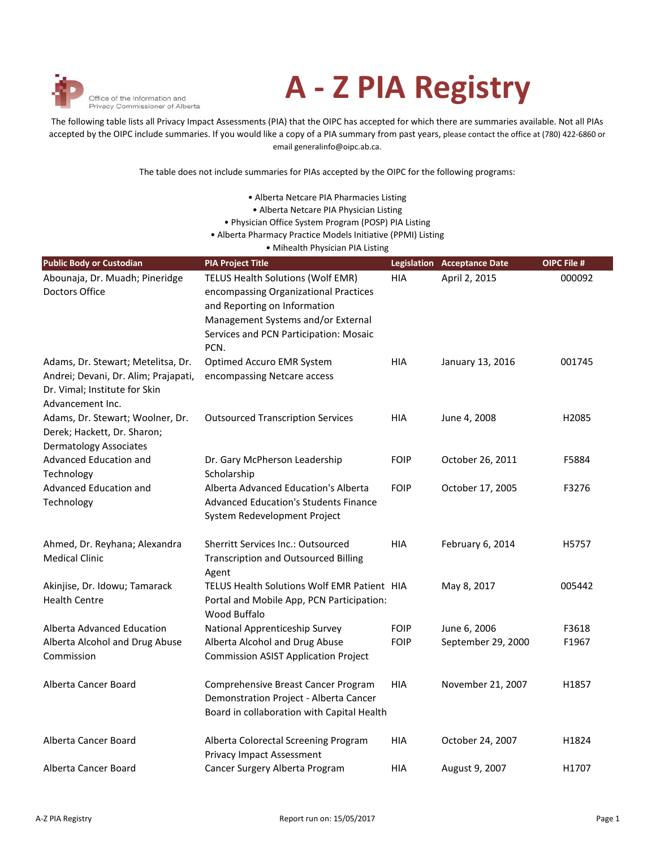

## **A - Z PIA Registry**

The following table lists all Privacy Impact Assessments (PIA) that the OIPC has accepted for which there are summaries available. Not all PIAs accepted by the OIPC include summaries. If you would like a copy of a PIA summary from past years, please contact the office at (780) 422-6860 or email generalinfo@oipc.ab.ca.

The table does not include summaries for PIAs accepted by the OIPC for the following programs:

| • Alberta Netcare PIA Pharmacies Listing                     |  |
|--------------------------------------------------------------|--|
| • Alberta Netcare PIA Physician Listing                      |  |
| • Physician Office System Program (POSP) PIA Listing         |  |
| • Alberta Pharmacy Practice Models Initiative (PPMI) Listing |  |
| • Mihealth Physician PIA Listing                             |  |

| <b>Public Body or Custodian</b>                                                                                                 | <b>PIA Project Title</b>                                                                                                                                                                           |             | <b>Legislation Acceptance Date</b> | OIPC File # |
|---------------------------------------------------------------------------------------------------------------------------------|----------------------------------------------------------------------------------------------------------------------------------------------------------------------------------------------------|-------------|------------------------------------|-------------|
| Abounaja, Dr. Muadh; Pineridge<br>Doctors Office                                                                                | TELUS Health Solutions (Wolf EMR)<br>encompassing Organizational Practices<br>and Reporting on Information<br>Management Systems and/or External<br>Services and PCN Participation: Mosaic<br>PCN. | <b>HIA</b>  | April 2, 2015                      | 000092      |
| Adams, Dr. Stewart; Metelitsa, Dr.<br>Andrei; Devani, Dr. Alim; Prajapati,<br>Dr. Vimal; Institute for Skin<br>Advancement Inc. | Optimed Accuro EMR System<br>encompassing Netcare access                                                                                                                                           | <b>HIA</b>  | January 13, 2016                   | 001745      |
| Adams, Dr. Stewart; Woolner, Dr.<br>Derek; Hackett, Dr. Sharon;<br><b>Dermatology Associates</b>                                | <b>Outsourced Transcription Services</b>                                                                                                                                                           | HIA         | June 4, 2008                       | H2085       |
| Advanced Education and<br>Technology                                                                                            | Dr. Gary McPherson Leadership<br>Scholarship                                                                                                                                                       | <b>FOIP</b> | October 26, 2011                   | F5884       |
| Advanced Education and<br>Technology                                                                                            | Alberta Advanced Education's Alberta<br><b>Advanced Education's Students Finance</b><br>System Redevelopment Project                                                                               | <b>FOIP</b> | October 17, 2005                   | F3276       |
| Ahmed, Dr. Reyhana; Alexandra<br><b>Medical Clinic</b>                                                                          | <b>Sherritt Services Inc.: Outsourced</b><br><b>Transcription and Outsourced Billing</b><br>Agent                                                                                                  | <b>HIA</b>  | February 6, 2014                   | H5757       |
| Akinjise, Dr. Idowu; Tamarack<br><b>Health Centre</b>                                                                           | TELUS Health Solutions Wolf EMR Patient HIA<br>Portal and Mobile App, PCN Participation:<br>Wood Buffalo                                                                                           |             | May 8, 2017                        | 005442      |
| Alberta Advanced Education                                                                                                      | National Apprenticeship Survey                                                                                                                                                                     | <b>FOIP</b> | June 6, 2006                       | F3618       |
| Alberta Alcohol and Drug Abuse<br>Commission                                                                                    | Alberta Alcohol and Drug Abuse<br><b>Commission ASIST Application Project</b>                                                                                                                      | <b>FOIP</b> | September 29, 2000                 | F1967       |
| Alberta Cancer Board                                                                                                            | Comprehensive Breast Cancer Program<br>Demonstration Project - Alberta Cancer<br>Board in collaboration with Capital Health                                                                        | HIA         | November 21, 2007                  | H1857       |
| Alberta Cancer Board                                                                                                            | Alberta Colorectal Screening Program<br><b>Privacy Impact Assessment</b>                                                                                                                           | HIA         | October 24, 2007                   | H1824       |
| Alberta Cancer Board                                                                                                            | Cancer Surgery Alberta Program                                                                                                                                                                     | HIA         | August 9, 2007                     | H1707       |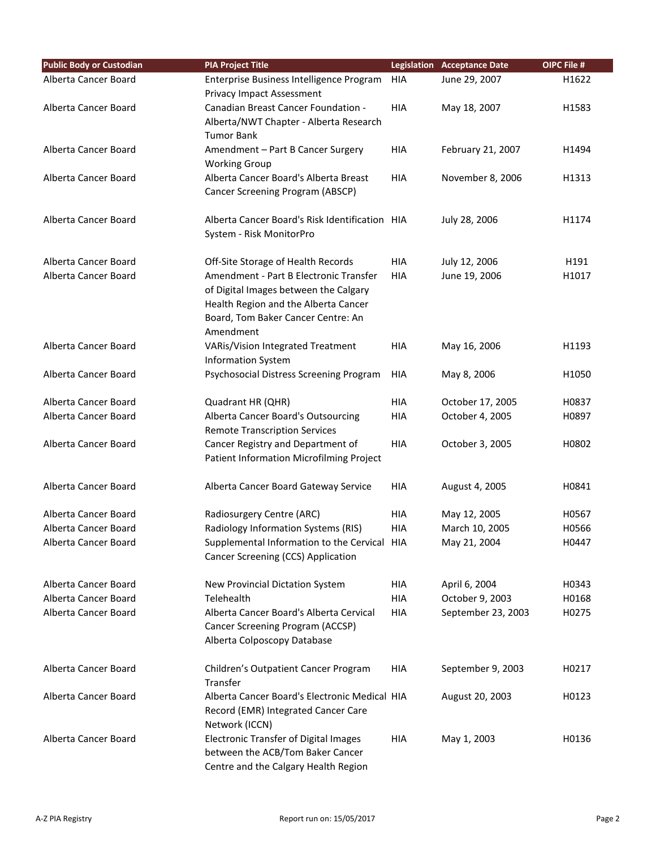| <b>Public Body or Custodian</b> | <b>PIA Project Title</b>                                                 |            | <b>Legislation Acceptance Date</b>  | OIPC File # |
|---------------------------------|--------------------------------------------------------------------------|------------|-------------------------------------|-------------|
| Alberta Cancer Board            | Enterprise Business Intelligence Program                                 | <b>HIA</b> | June 29, 2007                       | H1622       |
|                                 | <b>Privacy Impact Assessment</b>                                         |            |                                     |             |
| Alberta Cancer Board            | Canadian Breast Cancer Foundation -                                      | <b>HIA</b> | May 18, 2007                        | H1583       |
|                                 | Alberta/NWT Chapter - Alberta Research                                   |            |                                     |             |
|                                 | <b>Tumor Bank</b>                                                        |            |                                     |             |
| Alberta Cancer Board            | Amendment - Part B Cancer Surgery                                        | <b>HIA</b> | February 21, 2007                   | H1494       |
|                                 | <b>Working Group</b>                                                     |            |                                     |             |
| Alberta Cancer Board            | Alberta Cancer Board's Alberta Breast                                    | HIA        | November 8, 2006                    | H1313       |
|                                 | Cancer Screening Program (ABSCP)                                         |            |                                     |             |
| Alberta Cancer Board            | Alberta Cancer Board's Risk Identification HIA                           |            | July 28, 2006                       | H1174       |
|                                 | System - Risk MonitorPro                                                 |            |                                     |             |
| Alberta Cancer Board            | Off-Site Storage of Health Records                                       | <b>HIA</b> | July 12, 2006                       | H191        |
| Alberta Cancer Board            | Amendment - Part B Electronic Transfer                                   | <b>HIA</b> | June 19, 2006                       | H1017       |
|                                 | of Digital Images between the Calgary                                    |            |                                     |             |
|                                 | Health Region and the Alberta Cancer                                     |            |                                     |             |
|                                 | Board, Tom Baker Cancer Centre: An                                       |            |                                     |             |
|                                 | Amendment                                                                |            |                                     |             |
| Alberta Cancer Board            | VARis/Vision Integrated Treatment<br><b>Information System</b>           | <b>HIA</b> | May 16, 2006                        | H1193       |
| Alberta Cancer Board            | Psychosocial Distress Screening Program                                  | HIA        | May 8, 2006                         | H1050       |
| Alberta Cancer Board            |                                                                          | <b>HIA</b> |                                     | H0837       |
| Alberta Cancer Board            | Quadrant HR (QHR)<br>Alberta Cancer Board's Outsourcing                  | <b>HIA</b> | October 17, 2005<br>October 4, 2005 | H0897       |
|                                 | <b>Remote Transcription Services</b>                                     |            |                                     |             |
| Alberta Cancer Board            | Cancer Registry and Department of                                        | <b>HIA</b> | October 3, 2005                     | H0802       |
|                                 | Patient Information Microfilming Project                                 |            |                                     |             |
|                                 |                                                                          |            |                                     |             |
| Alberta Cancer Board            | Alberta Cancer Board Gateway Service                                     | <b>HIA</b> | August 4, 2005                      | H0841       |
| Alberta Cancer Board            | Radiosurgery Centre (ARC)                                                | <b>HIA</b> | May 12, 2005                        | H0567       |
| Alberta Cancer Board            | Radiology Information Systems (RIS)                                      | HIA        | March 10, 2005                      | H0566       |
| Alberta Cancer Board            | Supplemental Information to the Cervical HIA                             |            | May 21, 2004                        | H0447       |
|                                 | Cancer Screening (CCS) Application                                       |            |                                     |             |
| Alberta Cancer Board            | New Provincial Dictation System                                          | <b>HIA</b> | April 6, 2004                       | H0343       |
| Alberta Cancer Board            | Telehealth                                                               | <b>HIA</b> | October 9, 2003                     | H0168       |
| Alberta Cancer Board            | Alberta Cancer Board's Alberta Cervical                                  | HIA        | September 23, 2003                  | H0275       |
|                                 | Cancer Screening Program (ACCSP)                                         |            |                                     |             |
|                                 | Alberta Colposcopy Database                                              |            |                                     |             |
| Alberta Cancer Board            | Children's Outpatient Cancer Program                                     | HIA        | September 9, 2003                   | H0217       |
|                                 | Transfer                                                                 |            |                                     |             |
| Alberta Cancer Board            | Alberta Cancer Board's Electronic Medical HIA                            |            | August 20, 2003                     | H0123       |
|                                 | Record (EMR) Integrated Cancer Care                                      |            |                                     |             |
|                                 | Network (ICCN)                                                           |            |                                     |             |
| Alberta Cancer Board            | <b>Electronic Transfer of Digital Images</b>                             | HIA        | May 1, 2003                         | H0136       |
|                                 | between the ACB/Tom Baker Cancer<br>Centre and the Calgary Health Region |            |                                     |             |
|                                 |                                                                          |            |                                     |             |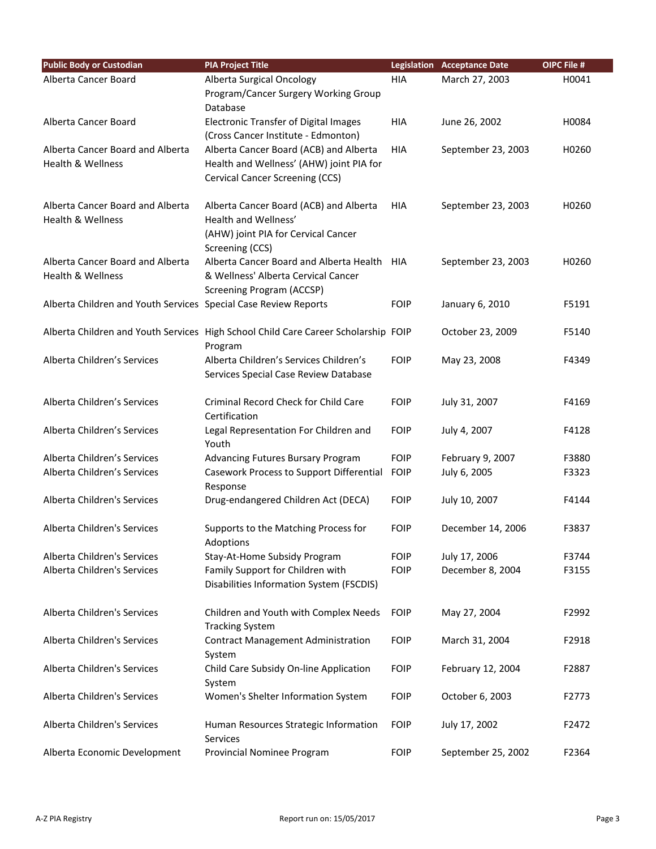| <b>Public Body or Custodian</b>                                  | <b>PIA Project Title</b>                                                                                                 |             | <b>Legislation Acceptance Date</b> | OIPC File # |
|------------------------------------------------------------------|--------------------------------------------------------------------------------------------------------------------------|-------------|------------------------------------|-------------|
| Alberta Cancer Board                                             | Alberta Surgical Oncology                                                                                                | HIA         | March 27, 2003                     | H0041       |
|                                                                  | Program/Cancer Surgery Working Group<br>Database                                                                         |             |                                    |             |
| Alberta Cancer Board                                             | <b>Electronic Transfer of Digital Images</b><br>(Cross Cancer Institute - Edmonton)                                      | <b>HIA</b>  | June 26, 2002                      | H0084       |
| Alberta Cancer Board and Alberta                                 | Alberta Cancer Board (ACB) and Alberta                                                                                   | HIA         | September 23, 2003                 | H0260       |
| Health & Wellness                                                | Health and Wellness' (AHW) joint PIA for<br>Cervical Cancer Screening (CCS)                                              |             |                                    |             |
| Alberta Cancer Board and Alberta<br><b>Health &amp; Wellness</b> | Alberta Cancer Board (ACB) and Alberta<br>Health and Wellness'<br>(AHW) joint PIA for Cervical Cancer<br>Screening (CCS) | HIA         | September 23, 2003                 | H0260       |
| Alberta Cancer Board and Alberta<br>Health & Wellness            | Alberta Cancer Board and Alberta Health HIA<br>& Wellness' Alberta Cervical Cancer<br><b>Screening Program (ACCSP)</b>   |             | September 23, 2003                 | H0260       |
| Alberta Children and Youth Services Special Case Review Reports  |                                                                                                                          | <b>FOIP</b> | January 6, 2010                    | F5191       |
|                                                                  | Alberta Children and Youth Services High School Child Care Career Scholarship FOIP<br>Program                            |             | October 23, 2009                   | F5140       |
| Alberta Children's Services                                      | Alberta Children's Services Children's<br>Services Special Case Review Database                                          | <b>FOIP</b> | May 23, 2008                       | F4349       |
| Alberta Children's Services                                      | Criminal Record Check for Child Care<br>Certification                                                                    | <b>FOIP</b> | July 31, 2007                      | F4169       |
| Alberta Children's Services                                      | Legal Representation For Children and<br>Youth                                                                           | <b>FOIP</b> | July 4, 2007                       | F4128       |
| Alberta Children's Services                                      | Advancing Futures Bursary Program                                                                                        | <b>FOIP</b> | February 9, 2007                   | F3880       |
| Alberta Children's Services                                      | Casework Process to Support Differential<br>Response                                                                     | <b>FOIP</b> | July 6, 2005                       | F3323       |
| Alberta Children's Services                                      | Drug-endangered Children Act (DECA)                                                                                      | <b>FOIP</b> | July 10, 2007                      | F4144       |
| Alberta Children's Services                                      | Supports to the Matching Process for<br>Adoptions                                                                        | <b>FOIP</b> | December 14, 2006                  | F3837       |
| Alberta Children's Services                                      | Stay-At-Home Subsidy Program                                                                                             | <b>FOIP</b> | July 17, 2006                      | F3744       |
| Alberta Children's Services                                      | Family Support for Children with<br>Disabilities Information System (FSCDIS)                                             | <b>FOIP</b> | December 8, 2004                   | F3155       |
| Alberta Children's Services                                      | Children and Youth with Complex Needs<br><b>Tracking System</b>                                                          | <b>FOIP</b> | May 27, 2004                       | F2992       |
| Alberta Children's Services                                      | <b>Contract Management Administration</b><br>System                                                                      | <b>FOIP</b> | March 31, 2004                     | F2918       |
| Alberta Children's Services                                      | Child Care Subsidy On-line Application<br>System                                                                         | <b>FOIP</b> | February 12, 2004                  | F2887       |
| Alberta Children's Services                                      | Women's Shelter Information System                                                                                       | <b>FOIP</b> | October 6, 2003                    | F2773       |
| Alberta Children's Services                                      | Human Resources Strategic Information<br><b>Services</b>                                                                 | <b>FOIP</b> | July 17, 2002                      | F2472       |
| Alberta Economic Development                                     | Provincial Nominee Program                                                                                               | <b>FOIP</b> | September 25, 2002                 | F2364       |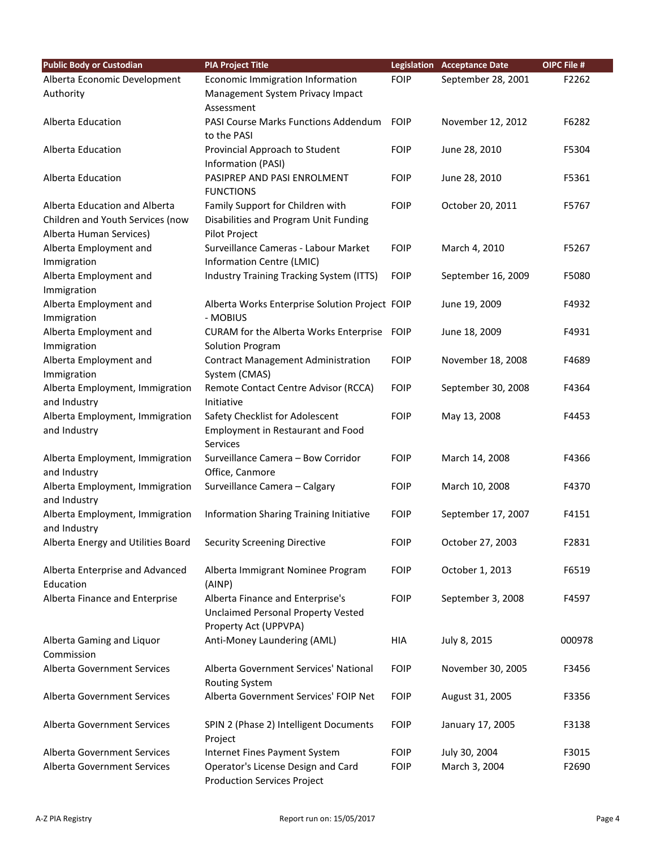| <b>Public Body or Custodian</b>    | <b>PIA Project Title</b>                                   |             | <b>Legislation</b> Acceptance Date | OIPC File # |
|------------------------------------|------------------------------------------------------------|-------------|------------------------------------|-------------|
| Alberta Economic Development       | Economic Immigration Information                           | <b>FOIP</b> | September 28, 2001                 | F2262       |
| Authority                          | Management System Privacy Impact                           |             |                                    |             |
|                                    | Assessment                                                 |             |                                    |             |
| Alberta Education                  | <b>PASI Course Marks Functions Addendum</b><br>to the PASI | <b>FOIP</b> | November 12, 2012                  | F6282       |
| Alberta Education                  | Provincial Approach to Student                             | <b>FOIP</b> | June 28, 2010                      | F5304       |
|                                    | Information (PASI)                                         |             |                                    |             |
| Alberta Education                  | PASIPREP AND PASI ENROLMENT                                | <b>FOIP</b> | June 28, 2010                      | F5361       |
|                                    | <b>FUNCTIONS</b>                                           |             |                                    |             |
| Alberta Education and Alberta      | Family Support for Children with                           | <b>FOIP</b> | October 20, 2011                   | F5767       |
| Children and Youth Services (now   | Disabilities and Program Unit Funding                      |             |                                    |             |
| Alberta Human Services)            | Pilot Project                                              |             |                                    |             |
| Alberta Employment and             | Surveillance Cameras - Labour Market                       | <b>FOIP</b> | March 4, 2010                      | F5267       |
| Immigration                        | Information Centre (LMIC)                                  |             |                                    |             |
| Alberta Employment and             | Industry Training Tracking System (ITTS)                   | <b>FOIP</b> | September 16, 2009                 | F5080       |
| Immigration                        |                                                            |             |                                    |             |
| Alberta Employment and             | Alberta Works Enterprise Solution Project FOIP             |             | June 19, 2009                      | F4932       |
| Immigration                        | - MOBIUS                                                   |             |                                    |             |
| Alberta Employment and             | CURAM for the Alberta Works Enterprise                     | <b>FOIP</b> | June 18, 2009                      | F4931       |
| Immigration                        | Solution Program                                           |             |                                    |             |
| Alberta Employment and             | <b>Contract Management Administration</b>                  | <b>FOIP</b> | November 18, 2008                  | F4689       |
| Immigration                        | System (CMAS)                                              |             |                                    |             |
| Alberta Employment, Immigration    | Remote Contact Centre Advisor (RCCA)                       | <b>FOIP</b> | September 30, 2008                 | F4364       |
| and Industry                       | Initiative                                                 |             |                                    |             |
| Alberta Employment, Immigration    | Safety Checklist for Adolescent                            | <b>FOIP</b> | May 13, 2008                       | F4453       |
| and Industry                       | Employment in Restaurant and Food<br>Services              |             |                                    |             |
| Alberta Employment, Immigration    | Surveillance Camera - Bow Corridor                         | <b>FOIP</b> | March 14, 2008                     | F4366       |
| and Industry                       | Office, Canmore                                            |             |                                    |             |
| Alberta Employment, Immigration    | Surveillance Camera - Calgary                              | <b>FOIP</b> | March 10, 2008                     | F4370       |
| and Industry                       |                                                            |             |                                    |             |
| Alberta Employment, Immigration    | Information Sharing Training Initiative                    | <b>FOIP</b> | September 17, 2007                 | F4151       |
| and Industry                       |                                                            | <b>FOIP</b> |                                    | F2831       |
| Alberta Energy and Utilities Board | <b>Security Screening Directive</b>                        |             | October 27, 2003                   |             |
| Alberta Enterprise and Advanced    | Alberta Immigrant Nominee Program                          | <b>FOIP</b> | October 1, 2013                    | F6519       |
| Education                          | (AINP)                                                     |             |                                    |             |
| Alberta Finance and Enterprise     | Alberta Finance and Enterprise's                           | <b>FOIP</b> | September 3, 2008                  | F4597       |
|                                    | <b>Unclaimed Personal Property Vested</b>                  |             |                                    |             |
|                                    | Property Act (UPPVPA)                                      |             |                                    |             |
| Alberta Gaming and Liquor          | Anti-Money Laundering (AML)                                | HIA         | July 8, 2015                       | 000978      |
| Commission                         |                                                            |             |                                    |             |
| <b>Alberta Government Services</b> | Alberta Government Services' National                      | <b>FOIP</b> | November 30, 2005                  | F3456       |
|                                    | Routing System                                             |             |                                    |             |
| Alberta Government Services        | Alberta Government Services' FOIP Net                      | <b>FOIP</b> | August 31, 2005                    | F3356       |
| Alberta Government Services        | SPIN 2 (Phase 2) Intelligent Documents                     | <b>FOIP</b> | January 17, 2005                   | F3138       |
|                                    | Project                                                    |             |                                    |             |
| Alberta Government Services        | Internet Fines Payment System                              | <b>FOIP</b> | July 30, 2004                      | F3015       |
| Alberta Government Services        | Operator's License Design and Card                         | <b>FOIP</b> | March 3, 2004                      | F2690       |
|                                    | <b>Production Services Project</b>                         |             |                                    |             |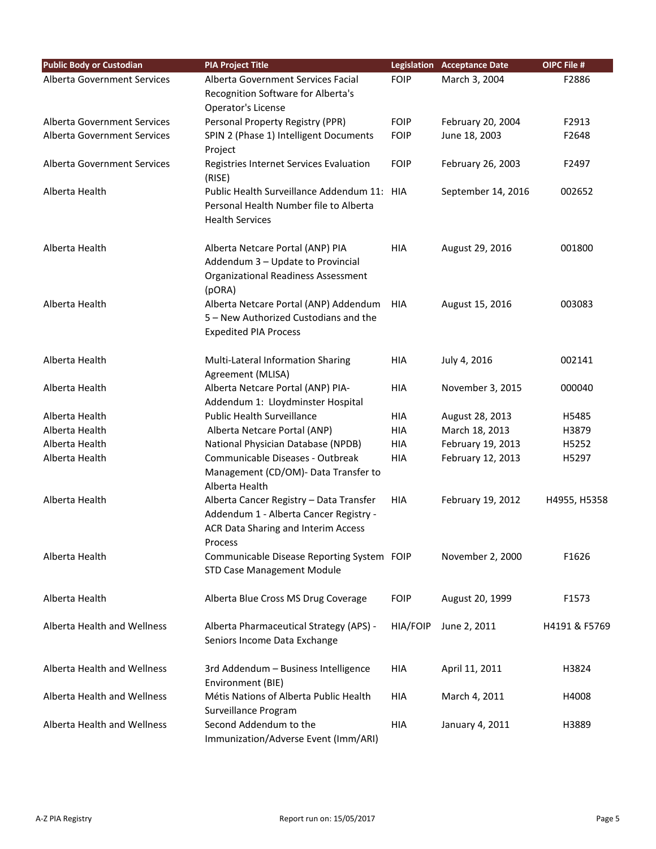| <b>Public Body or Custodian</b> | <b>PIA Project Title</b>                                                                                                            |                 | <b>Legislation Acceptance Date</b> | <b>OIPC File #</b> |
|---------------------------------|-------------------------------------------------------------------------------------------------------------------------------------|-----------------|------------------------------------|--------------------|
| Alberta Government Services     | Alberta Government Services Facial                                                                                                  | <b>FOIP</b>     | March 3, 2004                      | F2886              |
|                                 | Recognition Software for Alberta's                                                                                                  |                 |                                    |                    |
|                                 | Operator's License                                                                                                                  |                 |                                    |                    |
| Alberta Government Services     | Personal Property Registry (PPR)                                                                                                    | <b>FOIP</b>     | February 20, 2004                  | F2913              |
| Alberta Government Services     | SPIN 2 (Phase 1) Intelligent Documents                                                                                              | <b>FOIP</b>     | June 18, 2003                      | F2648              |
|                                 | Project                                                                                                                             |                 |                                    |                    |
| Alberta Government Services     | Registries Internet Services Evaluation<br>(RISE)                                                                                   | <b>FOIP</b>     | February 26, 2003                  | F2497              |
| Alberta Health                  | Public Health Surveillance Addendum 11: HIA<br>Personal Health Number file to Alberta<br><b>Health Services</b>                     |                 | September 14, 2016                 | 002652             |
| Alberta Health                  | Alberta Netcare Portal (ANP) PIA<br>Addendum 3 - Update to Provincial<br><b>Organizational Readiness Assessment</b><br>(pORA)       | HIA             | August 29, 2016                    | 001800             |
| Alberta Health                  | Alberta Netcare Portal (ANP) Addendum<br>5 - New Authorized Custodians and the<br><b>Expedited PIA Process</b>                      | HIA             | August 15, 2016                    | 003083             |
| Alberta Health                  | Multi-Lateral Information Sharing<br>Agreement (MLISA)                                                                              | <b>HIA</b>      | July 4, 2016                       | 002141             |
| Alberta Health                  | Alberta Netcare Portal (ANP) PIA-<br>Addendum 1: Lloydminster Hospital                                                              | HIA             | November 3, 2015                   | 000040             |
| Alberta Health                  | <b>Public Health Surveillance</b>                                                                                                   | <b>HIA</b>      | August 28, 2013                    | H5485              |
| Alberta Health                  | Alberta Netcare Portal (ANP)                                                                                                        | <b>HIA</b>      | March 18, 2013                     | H3879              |
| Alberta Health                  | National Physician Database (NPDB)                                                                                                  | HIA             | February 19, 2013                  | H5252              |
| Alberta Health                  | Communicable Diseases - Outbreak<br>Management (CD/OM)- Data Transfer to<br>Alberta Health                                          | <b>HIA</b>      | February 12, 2013                  | H5297              |
| Alberta Health                  | Alberta Cancer Registry - Data Transfer<br>Addendum 1 - Alberta Cancer Registry -<br>ACR Data Sharing and Interim Access<br>Process | <b>HIA</b>      | February 19, 2012                  | H4955, H5358       |
| Alberta Health                  | Communicable Disease Reporting System FOIP<br><b>STD Case Management Module</b>                                                     |                 | November 2, 2000                   | F1626              |
| Alberta Health                  | Alberta Blue Cross MS Drug Coverage                                                                                                 | <b>FOIP</b>     | August 20, 1999                    | F1573              |
| Alberta Health and Wellness     | Alberta Pharmaceutical Strategy (APS) -<br>Seniors Income Data Exchange                                                             | <b>HIA/FOIP</b> | June 2, 2011                       | H4191 & F5769      |
| Alberta Health and Wellness     | 3rd Addendum - Business Intelligence<br>Environment (BIE)                                                                           | HIA             | April 11, 2011                     | H3824              |
| Alberta Health and Wellness     | Métis Nations of Alberta Public Health<br>Surveillance Program                                                                      | <b>HIA</b>      | March 4, 2011                      | H4008              |
| Alberta Health and Wellness     | Second Addendum to the<br>Immunization/Adverse Event (Imm/ARI)                                                                      | HIA             | January 4, 2011                    | H3889              |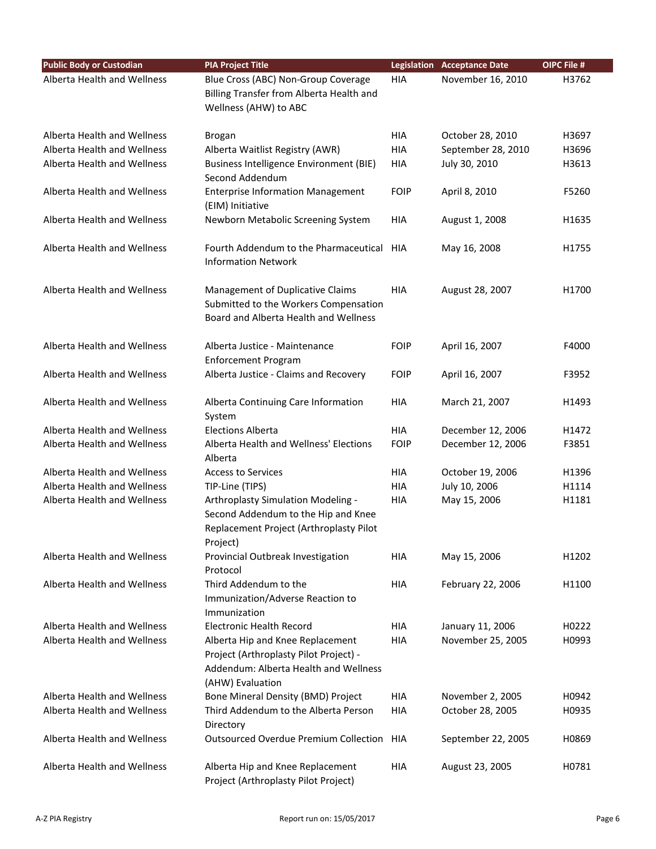| <b>Public Body or Custodian</b> | <b>PIA Project Title</b>                                                                                                                |             | <b>Legislation Acceptance Date</b> | OIPC File # |
|---------------------------------|-----------------------------------------------------------------------------------------------------------------------------------------|-------------|------------------------------------|-------------|
| Alberta Health and Wellness     | Blue Cross (ABC) Non-Group Coverage<br>Billing Transfer from Alberta Health and<br>Wellness (AHW) to ABC                                | <b>HIA</b>  | November 16, 2010                  | H3762       |
| Alberta Health and Wellness     | Brogan                                                                                                                                  | <b>HIA</b>  | October 28, 2010                   | H3697       |
| Alberta Health and Wellness     | Alberta Waitlist Registry (AWR)                                                                                                         | <b>HIA</b>  | September 28, 2010                 | H3696       |
| Alberta Health and Wellness     | <b>Business Intelligence Environment (BIE)</b><br>Second Addendum                                                                       | <b>HIA</b>  | July 30, 2010                      | H3613       |
| Alberta Health and Wellness     | <b>Enterprise Information Management</b><br>(EIM) Initiative                                                                            | <b>FOIP</b> | April 8, 2010                      | F5260       |
| Alberta Health and Wellness     | Newborn Metabolic Screening System                                                                                                      | <b>HIA</b>  | August 1, 2008                     | H1635       |
| Alberta Health and Wellness     | Fourth Addendum to the Pharmaceutical<br><b>Information Network</b>                                                                     | HIA         | May 16, 2008                       | H1755       |
| Alberta Health and Wellness     | Management of Duplicative Claims<br>Submitted to the Workers Compensation<br>Board and Alberta Health and Wellness                      | <b>HIA</b>  | August 28, 2007                    | H1700       |
| Alberta Health and Wellness     | Alberta Justice - Maintenance<br><b>Enforcement Program</b>                                                                             | <b>FOIP</b> | April 16, 2007                     | F4000       |
| Alberta Health and Wellness     | Alberta Justice - Claims and Recovery                                                                                                   | <b>FOIP</b> | April 16, 2007                     | F3952       |
| Alberta Health and Wellness     | Alberta Continuing Care Information<br>System                                                                                           | <b>HIA</b>  | March 21, 2007                     | H1493       |
| Alberta Health and Wellness     | <b>Elections Alberta</b>                                                                                                                | <b>HIA</b>  | December 12, 2006                  | H1472       |
| Alberta Health and Wellness     | Alberta Health and Wellness' Elections<br>Alberta                                                                                       | <b>FOIP</b> | December 12, 2006                  | F3851       |
| Alberta Health and Wellness     | <b>Access to Services</b>                                                                                                               | <b>HIA</b>  | October 19, 2006                   | H1396       |
| Alberta Health and Wellness     | TIP-Line (TIPS)                                                                                                                         | <b>HIA</b>  | July 10, 2006                      | H1114       |
| Alberta Health and Wellness     | Arthroplasty Simulation Modeling -<br>Second Addendum to the Hip and Knee<br>Replacement Project (Arthroplasty Pilot<br>Project)        | <b>HIA</b>  | May 15, 2006                       | H1181       |
| Alberta Health and Wellness     | Provincial Outbreak Investigation<br>Protocol                                                                                           | <b>HIA</b>  | May 15, 2006                       | H1202       |
| Alberta Health and Wellness     | Third Addendum to the<br>Immunization/Adverse Reaction to<br>Immunization                                                               | <b>HIA</b>  | February 22, 2006                  | H1100       |
| Alberta Health and Wellness     | <b>Electronic Health Record</b>                                                                                                         | <b>HIA</b>  | January 11, 2006                   | H0222       |
| Alberta Health and Wellness     | Alberta Hip and Knee Replacement<br>Project (Arthroplasty Pilot Project) -<br>Addendum: Alberta Health and Wellness<br>(AHW) Evaluation | <b>HIA</b>  | November 25, 2005                  | H0993       |
| Alberta Health and Wellness     | Bone Mineral Density (BMD) Project                                                                                                      | <b>HIA</b>  | November 2, 2005                   | H0942       |
| Alberta Health and Wellness     | Third Addendum to the Alberta Person<br>Directory                                                                                       | <b>HIA</b>  | October 28, 2005                   | H0935       |
| Alberta Health and Wellness     | <b>Outsourced Overdue Premium Collection</b>                                                                                            | HIA         | September 22, 2005                 | H0869       |
| Alberta Health and Wellness     | Alberta Hip and Knee Replacement<br>Project (Arthroplasty Pilot Project)                                                                | HIA         | August 23, 2005                    | H0781       |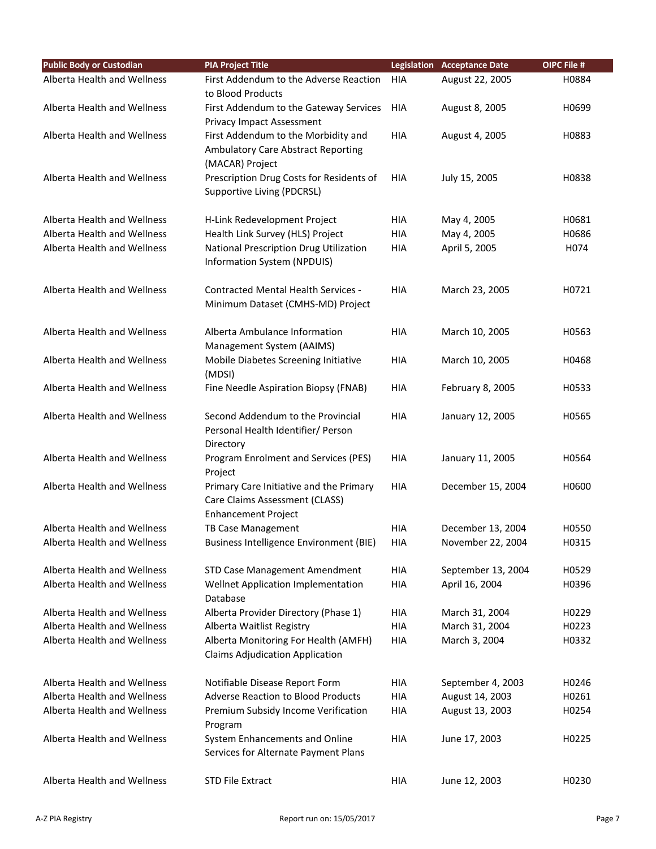| <b>Public Body or Custodian</b> | <b>PIA Project Title</b>                         |            | <b>Legislation Acceptance Date</b> | OIPC File # |
|---------------------------------|--------------------------------------------------|------------|------------------------------------|-------------|
| Alberta Health and Wellness     | First Addendum to the Adverse Reaction           | HIA        | August 22, 2005                    | H0884       |
|                                 | to Blood Products                                |            |                                    |             |
| Alberta Health and Wellness     | First Addendum to the Gateway Services           | HIA        | August 8, 2005                     | H0699       |
|                                 | Privacy Impact Assessment                        |            |                                    |             |
| Alberta Health and Wellness     | First Addendum to the Morbidity and              | HIA        | August 4, 2005                     | H0883       |
|                                 | <b>Ambulatory Care Abstract Reporting</b>        |            |                                    |             |
|                                 | (MACAR) Project                                  |            |                                    |             |
| Alberta Health and Wellness     | Prescription Drug Costs for Residents of         | <b>HIA</b> | July 15, 2005                      | H0838       |
|                                 | Supportive Living (PDCRSL)                       |            |                                    |             |
|                                 |                                                  |            |                                    |             |
| Alberta Health and Wellness     | H-Link Redevelopment Project                     | <b>HIA</b> | May 4, 2005                        | H0681       |
| Alberta Health and Wellness     | Health Link Survey (HLS) Project                 | HIA        | May 4, 2005                        | H0686       |
| Alberta Health and Wellness     | National Prescription Drug Utilization           | HIA        | April 5, 2005                      | H074        |
|                                 | Information System (NPDUIS)                      |            |                                    |             |
| Alberta Health and Wellness     | <b>Contracted Mental Health Services -</b>       | HIA        | March 23, 2005                     | H0721       |
|                                 | Minimum Dataset (CMHS-MD) Project                |            |                                    |             |
|                                 |                                                  |            |                                    |             |
| Alberta Health and Wellness     | Alberta Ambulance Information                    | <b>HIA</b> | March 10, 2005                     | H0563       |
|                                 | Management System (AAIMS)                        |            |                                    |             |
| Alberta Health and Wellness     | Mobile Diabetes Screening Initiative             | HIA        | March 10, 2005                     | H0468       |
|                                 | (MDSI)                                           |            |                                    |             |
| Alberta Health and Wellness     | Fine Needle Aspiration Biopsy (FNAB)             | HIA        | February 8, 2005                   | H0533       |
|                                 |                                                  |            |                                    |             |
| Alberta Health and Wellness     | Second Addendum to the Provincial                | <b>HIA</b> | January 12, 2005                   | H0565       |
|                                 | Personal Health Identifier/ Person               |            |                                    |             |
|                                 | Directory                                        |            |                                    |             |
| Alberta Health and Wellness     | Program Enrolment and Services (PES)             | <b>HIA</b> | January 11, 2005                   | H0564       |
|                                 | Project                                          |            |                                    |             |
| Alberta Health and Wellness     | Primary Care Initiative and the Primary          | <b>HIA</b> | December 15, 2004                  | H0600       |
|                                 | Care Claims Assessment (CLASS)                   |            |                                    |             |
| Alberta Health and Wellness     | <b>Enhancement Project</b><br>TB Case Management | <b>HIA</b> | December 13, 2004                  | H0550       |
| Alberta Health and Wellness     | <b>Business Intelligence Environment (BIE)</b>   | HIA        | November 22, 2004                  | H0315       |
|                                 |                                                  |            |                                    |             |
| Alberta Health and Wellness     | <b>STD Case Management Amendment</b>             | HIA        | September 13, 2004                 | H0529       |
| Alberta Health and Wellness     | Wellnet Application Implementation               | <b>HIA</b> | April 16, 2004                     | H0396       |
|                                 | Database                                         |            |                                    |             |
| Alberta Health and Wellness     | Alberta Provider Directory (Phase 1)             | HIA        | March 31, 2004                     | H0229       |
| Alberta Health and Wellness     | Alberta Waitlist Registry                        | <b>HIA</b> | March 31, 2004                     | H0223       |
| Alberta Health and Wellness     | Alberta Monitoring For Health (AMFH)             | HIA        | March 3, 2004                      | H0332       |
|                                 | <b>Claims Adjudication Application</b>           |            |                                    |             |
|                                 |                                                  |            |                                    |             |
| Alberta Health and Wellness     | Notifiable Disease Report Form                   | HIA        | September 4, 2003                  | H0246       |
| Alberta Health and Wellness     | <b>Adverse Reaction to Blood Products</b>        | <b>HIA</b> | August 14, 2003                    | H0261       |
| Alberta Health and Wellness     | Premium Subsidy Income Verification              | HIA        | August 13, 2003                    | H0254       |
|                                 | Program                                          |            |                                    |             |
| Alberta Health and Wellness     | System Enhancements and Online                   | <b>HIA</b> | June 17, 2003                      | H0225       |
|                                 | Services for Alternate Payment Plans             |            |                                    |             |
|                                 |                                                  |            |                                    |             |
| Alberta Health and Wellness     | <b>STD File Extract</b>                          | HIA        | June 12, 2003                      | H0230       |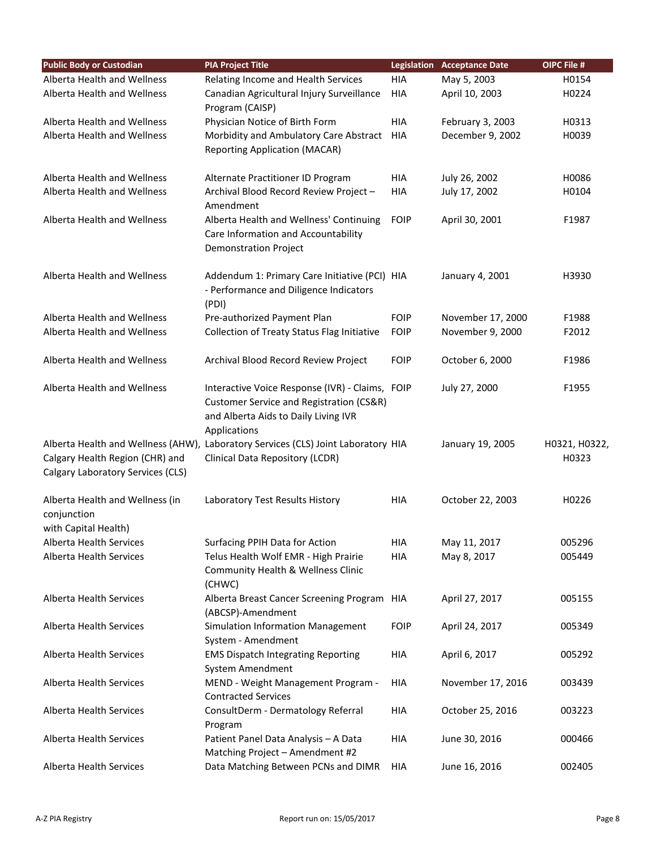| <b>Public Body or Custodian</b>                                        | <b>PIA Project Title</b>                                                                                                                            |             | <b>Legislation Acceptance Date</b> | OIPC File #            |
|------------------------------------------------------------------------|-----------------------------------------------------------------------------------------------------------------------------------------------------|-------------|------------------------------------|------------------------|
| Alberta Health and Wellness                                            | Relating Income and Health Services                                                                                                                 | HIA         | May 5, 2003                        | H0154                  |
| Alberta Health and Wellness                                            | Canadian Agricultural Injury Surveillance                                                                                                           | <b>HIA</b>  | April 10, 2003                     | H0224                  |
|                                                                        | Program (CAISP)                                                                                                                                     |             |                                    |                        |
| Alberta Health and Wellness                                            | Physician Notice of Birth Form                                                                                                                      | <b>HIA</b>  | February 3, 2003                   | H0313                  |
| Alberta Health and Wellness                                            | Morbidity and Ambulatory Care Abstract<br><b>Reporting Application (MACAR)</b>                                                                      | HIA         | December 9, 2002                   | H0039                  |
| Alberta Health and Wellness                                            | Alternate Practitioner ID Program                                                                                                                   | <b>HIA</b>  | July 26, 2002                      | H0086                  |
| Alberta Health and Wellness                                            | Archival Blood Record Review Project -<br>Amendment                                                                                                 | <b>HIA</b>  | July 17, 2002                      | H0104                  |
| Alberta Health and Wellness                                            | Alberta Health and Wellness' Continuing<br>Care Information and Accountability<br><b>Demonstration Project</b>                                      | <b>FOIP</b> | April 30, 2001                     | F1987                  |
| Alberta Health and Wellness                                            | Addendum 1: Primary Care Initiative (PCI) HIA<br>- Performance and Diligence Indicators<br>(PDI)                                                    |             | January 4, 2001                    | H3930                  |
| Alberta Health and Wellness                                            | Pre-authorized Payment Plan                                                                                                                         | <b>FOIP</b> | November 17, 2000                  | F1988                  |
| Alberta Health and Wellness                                            | Collection of Treaty Status Flag Initiative                                                                                                         | <b>FOIP</b> | November 9, 2000                   | F2012                  |
| Alberta Health and Wellness                                            | Archival Blood Record Review Project                                                                                                                | <b>FOIP</b> | October 6, 2000                    | F1986                  |
| Alberta Health and Wellness                                            | Interactive Voice Response (IVR) - Claims, FOIP<br>Customer Service and Registration (CS&R)<br>and Alberta Aids to Daily Living IVR<br>Applications |             | July 27, 2000                      | F1955                  |
| Calgary Health Region (CHR) and<br>Calgary Laboratory Services (CLS)   | Alberta Health and Wellness (AHW), Laboratory Services (CLS) Joint Laboratory HIA<br>Clinical Data Repository (LCDR)                                |             | January 19, 2005                   | H0321, H0322,<br>H0323 |
| Alberta Health and Wellness (in<br>conjunction<br>with Capital Health) | Laboratory Test Results History                                                                                                                     | HIA         | October 22, 2003                   | H0226                  |
| Alberta Health Services                                                | Surfacing PPIH Data for Action                                                                                                                      | HIA         | May 11, 2017                       | 005296                 |
| Alberta Health Services                                                | Telus Health Wolf EMR - High Prairie<br>Community Health & Wellness Clinic<br>(CHWC)                                                                | <b>HIA</b>  | May 8, 2017                        | 005449                 |
| <b>Alberta Health Services</b>                                         | Alberta Breast Cancer Screening Program HIA<br>(ABCSP)-Amendment                                                                                    |             | April 27, 2017                     | 005155                 |
| <b>Alberta Health Services</b>                                         | Simulation Information Management<br>System - Amendment                                                                                             | <b>FOIP</b> | April 24, 2017                     | 005349                 |
| Alberta Health Services                                                | <b>EMS Dispatch Integrating Reporting</b><br>System Amendment                                                                                       | HIA         | April 6, 2017                      | 005292                 |
| Alberta Health Services                                                | MEND - Weight Management Program -<br><b>Contracted Services</b>                                                                                    | HIA         | November 17, 2016                  | 003439                 |
| Alberta Health Services                                                | ConsultDerm - Dermatology Referral<br>Program                                                                                                       | HIA         | October 25, 2016                   | 003223                 |
| Alberta Health Services                                                | Patient Panel Data Analysis - A Data<br>Matching Project - Amendment #2                                                                             | HIA         | June 30, 2016                      | 000466                 |
| Alberta Health Services                                                | Data Matching Between PCNs and DIMR                                                                                                                 | HIA         | June 16, 2016                      | 002405                 |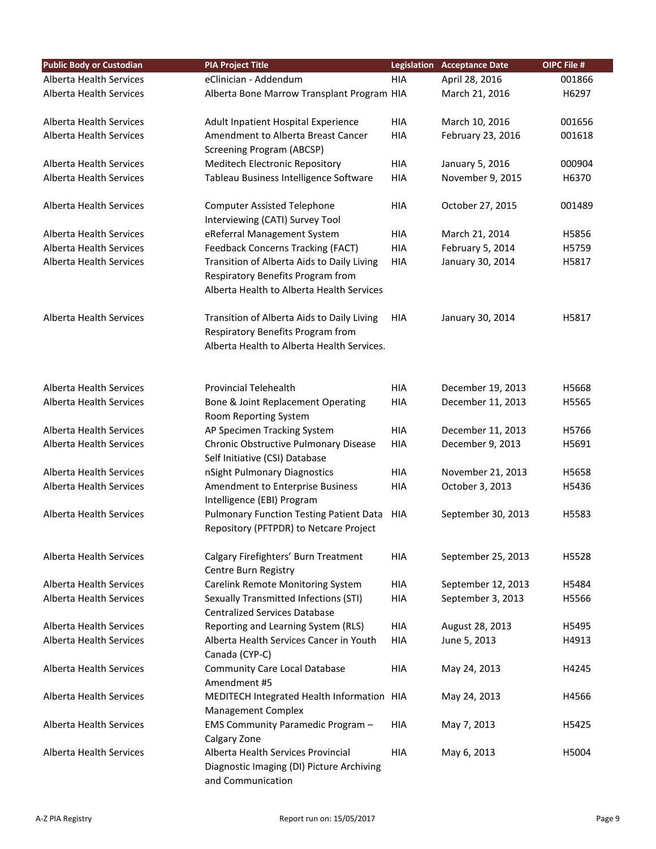| <b>Public Body or Custodian</b> | <b>PIA Project Title</b>                                              | <b>Legislation</b> | <b>Acceptance Date</b> | OIPC File # |
|---------------------------------|-----------------------------------------------------------------------|--------------------|------------------------|-------------|
| Alberta Health Services         | eClinician - Addendum                                                 | <b>HIA</b>         | April 28, 2016         | 001866      |
| <b>Alberta Health Services</b>  | Alberta Bone Marrow Transplant Program HIA                            |                    | March 21, 2016         | H6297       |
|                                 |                                                                       |                    |                        |             |
| Alberta Health Services         | Adult Inpatient Hospital Experience                                   | <b>HIA</b>         | March 10, 2016         | 001656      |
| <b>Alberta Health Services</b>  | Amendment to Alberta Breast Cancer                                    | <b>HIA</b>         | February 23, 2016      | 001618      |
|                                 | <b>Screening Program (ABCSP)</b>                                      |                    |                        |             |
| <b>Alberta Health Services</b>  | Meditech Electronic Repository                                        | <b>HIA</b>         | January 5, 2016        | 000904      |
| Alberta Health Services         | Tableau Business Intelligence Software                                | <b>HIA</b>         | November 9, 2015       | H6370       |
|                                 |                                                                       |                    |                        |             |
| <b>Alberta Health Services</b>  | <b>Computer Assisted Telephone</b><br>Interviewing (CATI) Survey Tool | <b>HIA</b>         | October 27, 2015       | 001489      |
| Alberta Health Services         | eReferral Management System                                           | <b>HIA</b>         | March 21, 2014         | H5856       |
| Alberta Health Services         | <b>Feedback Concerns Tracking (FACT)</b>                              | <b>HIA</b>         | February 5, 2014       | H5759       |
| Alberta Health Services         | Transition of Alberta Aids to Daily Living                            | <b>HIA</b>         | January 30, 2014       | H5817       |
|                                 | Respiratory Benefits Program from                                     |                    |                        |             |
|                                 | Alberta Health to Alberta Health Services                             |                    |                        |             |
|                                 |                                                                       |                    |                        |             |
| Alberta Health Services         | Transition of Alberta Aids to Daily Living                            | <b>HIA</b>         | January 30, 2014       | H5817       |
|                                 | Respiratory Benefits Program from                                     |                    |                        |             |
|                                 | Alberta Health to Alberta Health Services.                            |                    |                        |             |
|                                 |                                                                       |                    |                        |             |
|                                 |                                                                       |                    |                        |             |
| <b>Alberta Health Services</b>  | <b>Provincial Telehealth</b>                                          | HIA                | December 19, 2013      | H5668       |
| Alberta Health Services         | Bone & Joint Replacement Operating                                    | <b>HIA</b>         | December 11, 2013      | H5565       |
| Alberta Health Services         | Room Reporting System<br>AP Specimen Tracking System                  | <b>HIA</b>         | December 11, 2013      | H5766       |
| Alberta Health Services         | Chronic Obstructive Pulmonary Disease                                 | <b>HIA</b>         | December 9, 2013       | H5691       |
|                                 | Self Initiative (CSI) Database                                        |                    |                        |             |
| Alberta Health Services         | nSight Pulmonary Diagnostics                                          | <b>HIA</b>         | November 21, 2013      | H5658       |
| <b>Alberta Health Services</b>  | Amendment to Enterprise Business                                      | <b>HIA</b>         | October 3, 2013        | H5436       |
|                                 | Intelligence (EBI) Program                                            |                    |                        |             |
| <b>Alberta Health Services</b>  | Pulmonary Function Testing Patient Data                               | <b>HIA</b>         | September 30, 2013     | H5583       |
|                                 | Repository (PFTPDR) to Netcare Project                                |                    |                        |             |
|                                 |                                                                       |                    |                        |             |
| <b>Alberta Health Services</b>  | Calgary Firefighters' Burn Treatment                                  | HIA                | September 25, 2013     | H5528       |
|                                 | Centre Burn Registry                                                  |                    |                        |             |
| <b>Alberta Health Services</b>  | Carelink Remote Monitoring System                                     | <b>HIA</b>         | September 12, 2013     | H5484       |
| Alberta Health Services         | Sexually Transmitted Infections (STI)                                 | <b>HIA</b>         | September 3, 2013      | H5566       |
|                                 | <b>Centralized Services Database</b>                                  |                    |                        |             |
| Alberta Health Services         | Reporting and Learning System (RLS)                                   | <b>HIA</b>         | August 28, 2013        | H5495       |
| Alberta Health Services         | Alberta Health Services Cancer in Youth                               | <b>HIA</b>         | June 5, 2013           | H4913       |
| <b>Alberta Health Services</b>  | Canada (CYP-C)                                                        | <b>HIA</b>         |                        | H4245       |
|                                 | <b>Community Care Local Database</b><br>Amendment #5                  |                    | May 24, 2013           |             |
| <b>Alberta Health Services</b>  | MEDITECH Integrated Health Information HIA                            |                    | May 24, 2013           | H4566       |
|                                 | <b>Management Complex</b>                                             |                    |                        |             |
| Alberta Health Services         | EMS Community Paramedic Program -                                     | <b>HIA</b>         | May 7, 2013            | H5425       |
|                                 | Calgary Zone                                                          |                    |                        |             |
| Alberta Health Services         | Alberta Health Services Provincial                                    | <b>HIA</b>         | May 6, 2013            | H5004       |
|                                 | Diagnostic Imaging (DI) Picture Archiving                             |                    |                        |             |
|                                 | and Communication                                                     |                    |                        |             |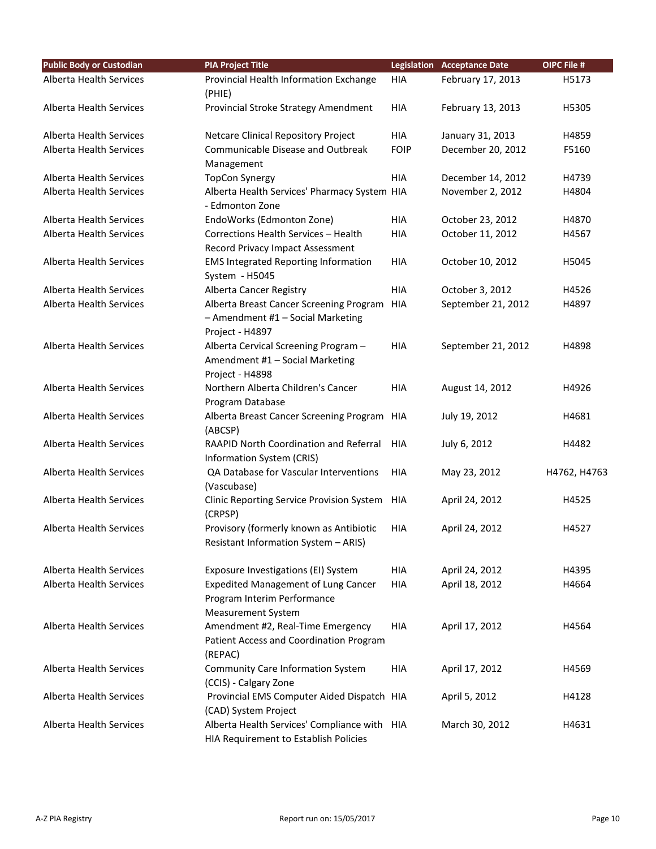| <b>Public Body or Custodian</b> | <b>PIA Project Title</b>                                                                               |             | <b>Legislation Acceptance Date</b> | OIPC File #  |
|---------------------------------|--------------------------------------------------------------------------------------------------------|-------------|------------------------------------|--------------|
| Alberta Health Services         | Provincial Health Information Exchange<br>(PHIE)                                                       | <b>HIA</b>  | February 17, 2013                  | H5173        |
| <b>Alberta Health Services</b>  | Provincial Stroke Strategy Amendment                                                                   | <b>HIA</b>  | February 13, 2013                  | H5305        |
| Alberta Health Services         | <b>Netcare Clinical Repository Project</b>                                                             | <b>HIA</b>  | January 31, 2013                   | H4859        |
| Alberta Health Services         | Communicable Disease and Outbreak<br>Management                                                        | <b>FOIP</b> | December 20, 2012                  | F5160        |
| Alberta Health Services         | <b>TopCon Synergy</b>                                                                                  | <b>HIA</b>  | December 14, 2012                  | H4739        |
| Alberta Health Services         | Alberta Health Services' Pharmacy System HIA<br>- Edmonton Zone                                        |             | November 2, 2012                   | H4804        |
| Alberta Health Services         | EndoWorks (Edmonton Zone)                                                                              | <b>HIA</b>  | October 23, 2012                   | H4870        |
| Alberta Health Services         | Corrections Health Services - Health<br>Record Privacy Impact Assessment                               | <b>HIA</b>  | October 11, 2012                   | H4567        |
| Alberta Health Services         | <b>EMS Integrated Reporting Information</b><br>System - H5045                                          | <b>HIA</b>  | October 10, 2012                   | H5045        |
| <b>Alberta Health Services</b>  | Alberta Cancer Registry                                                                                | <b>HIA</b>  | October 3, 2012                    | H4526        |
| <b>Alberta Health Services</b>  | Alberta Breast Cancer Screening Program<br>- Amendment #1 - Social Marketing<br>Project - H4897        | <b>HIA</b>  | September 21, 2012                 | H4897        |
| <b>Alberta Health Services</b>  | Alberta Cervical Screening Program -<br>Amendment #1 - Social Marketing<br>Project - H4898             | <b>HIA</b>  | September 21, 2012                 | H4898        |
| Alberta Health Services         | Northern Alberta Children's Cancer<br>Program Database                                                 | <b>HIA</b>  | August 14, 2012                    | H4926        |
| Alberta Health Services         | Alberta Breast Cancer Screening Program<br>(ABCSP)                                                     | HIA         | July 19, 2012                      | H4681        |
| Alberta Health Services         | RAAPID North Coordination and Referral<br>Information System (CRIS)                                    | <b>HIA</b>  | July 6, 2012                       | H4482        |
| Alberta Health Services         | QA Database for Vascular Interventions<br>(Vascubase)                                                  | <b>HIA</b>  | May 23, 2012                       | H4762, H4763 |
| <b>Alberta Health Services</b>  | Clinic Reporting Service Provision System<br>(CRPSP)                                                   | HIA         | April 24, 2012                     | H4525        |
| <b>Alberta Health Services</b>  | Provisory (formerly known as Antibiotic<br>Resistant Information System - ARIS)                        | <b>HIA</b>  | April 24, 2012                     | H4527        |
| Alberta Health Services         | Exposure Investigations (EI) System                                                                    | <b>HIA</b>  | April 24, 2012                     | H4395        |
| Alberta Health Services         | <b>Expedited Management of Lung Cancer</b><br>Program Interim Performance<br><b>Measurement System</b> | <b>HIA</b>  | April 18, 2012                     | H4664        |
| <b>Alberta Health Services</b>  | Amendment #2, Real-Time Emergency<br>Patient Access and Coordination Program<br>(REPAC)                | <b>HIA</b>  | April 17, 2012                     | H4564        |
| Alberta Health Services         | Community Care Information System<br>(CCIS) - Calgary Zone                                             | <b>HIA</b>  | April 17, 2012                     | H4569        |
| Alberta Health Services         | Provincial EMS Computer Aided Dispatch HIA<br>(CAD) System Project                                     |             | April 5, 2012                      | H4128        |
| Alberta Health Services         | Alberta Health Services' Compliance with HIA<br>HIA Requirement to Establish Policies                  |             | March 30, 2012                     | H4631        |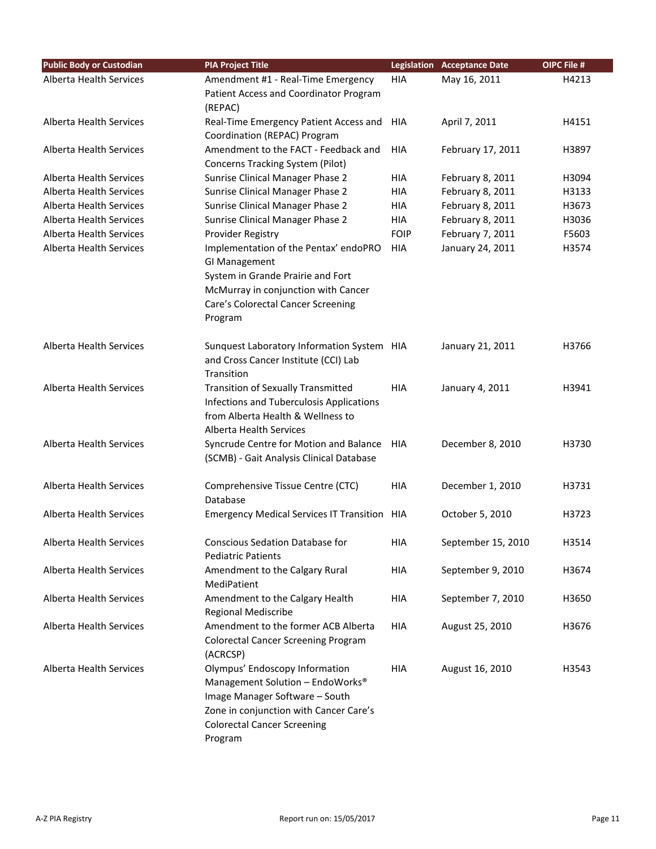| <b>Public Body or Custodian</b> | <b>PIA Project Title</b>                               |             | <b>Legislation Acceptance Date</b> | OIPC File # |
|---------------------------------|--------------------------------------------------------|-------------|------------------------------------|-------------|
| Alberta Health Services         | Amendment #1 - Real-Time Emergency                     | <b>HIA</b>  | May 16, 2011                       | H4213       |
|                                 | Patient Access and Coordinator Program                 |             |                                    |             |
|                                 | (REPAC)                                                |             |                                    |             |
| <b>Alberta Health Services</b>  | Real-Time Emergency Patient Access and                 | <b>HIA</b>  | April 7, 2011                      | H4151       |
|                                 | Coordination (REPAC) Program                           |             |                                    |             |
| Alberta Health Services         | Amendment to the FACT - Feedback and                   | <b>HIA</b>  | February 17, 2011                  | H3897       |
|                                 | <b>Concerns Tracking System (Pilot)</b>                |             |                                    |             |
| <b>Alberta Health Services</b>  | Sunrise Clinical Manager Phase 2                       | <b>HIA</b>  | February 8, 2011                   | H3094       |
| <b>Alberta Health Services</b>  | Sunrise Clinical Manager Phase 2                       | <b>HIA</b>  | February 8, 2011                   | H3133       |
| Alberta Health Services         | Sunrise Clinical Manager Phase 2                       | <b>HIA</b>  | February 8, 2011                   | H3673       |
| Alberta Health Services         | Sunrise Clinical Manager Phase 2                       | <b>HIA</b>  | February 8, 2011                   | H3036       |
| Alberta Health Services         | Provider Registry                                      | <b>FOIP</b> | February 7, 2011                   | F5603       |
| Alberta Health Services         | Implementation of the Pentax' endoPRO<br>GI Management | <b>HIA</b>  | January 24, 2011                   | H3574       |
|                                 | System in Grande Prairie and Fort                      |             |                                    |             |
|                                 | McMurray in conjunction with Cancer                    |             |                                    |             |
|                                 | Care's Colorectal Cancer Screening                     |             |                                    |             |
|                                 | Program                                                |             |                                    |             |
| <b>Alberta Health Services</b>  | Sunquest Laboratory Information System HIA             |             | January 21, 2011                   | H3766       |
|                                 | and Cross Cancer Institute (CCI) Lab                   |             |                                    |             |
|                                 | Transition                                             |             |                                    |             |
| <b>Alberta Health Services</b>  | <b>Transition of Sexually Transmitted</b>              | <b>HIA</b>  | January 4, 2011                    | H3941       |
|                                 | Infections and Tuberculosis Applications               |             |                                    |             |
|                                 | from Alberta Health & Wellness to                      |             |                                    |             |
|                                 | Alberta Health Services                                |             |                                    |             |
| <b>Alberta Health Services</b>  | Syncrude Centre for Motion and Balance HIA             |             | December 8, 2010                   | H3730       |
|                                 | (SCMB) - Gait Analysis Clinical Database               |             |                                    |             |
| Alberta Health Services         | Comprehensive Tissue Centre (CTC)                      | <b>HIA</b>  | December 1, 2010                   | H3731       |
|                                 | Database                                               |             |                                    |             |
| <b>Alberta Health Services</b>  | Emergency Medical Services IT Transition HIA           |             | October 5, 2010                    | H3723       |
| Alberta Health Services         | <b>Conscious Sedation Database for</b>                 | <b>HIA</b>  | September 15, 2010                 | H3514       |
|                                 | <b>Pediatric Patients</b>                              |             |                                    |             |
| Alberta Health Services         | Amendment to the Calgary Rural<br>MediPatient          | <b>HIA</b>  | September 9, 2010                  | H3674       |
| Alberta Health Services         | Amendment to the Calgary Health                        | HIA         | September 7, 2010                  | H3650       |
|                                 | <b>Regional Mediscribe</b>                             |             |                                    |             |
| Alberta Health Services         | Amendment to the former ACB Alberta                    | HIA         | August 25, 2010                    | H3676       |
|                                 | <b>Colorectal Cancer Screening Program</b>             |             |                                    |             |
|                                 | (ACRCSP)                                               |             |                                    |             |
| <b>Alberta Health Services</b>  | Olympus' Endoscopy Information                         | <b>HIA</b>  | August 16, 2010                    | H3543       |
|                                 | Management Solution - EndoWorks®                       |             |                                    |             |
|                                 | Image Manager Software - South                         |             |                                    |             |
|                                 | Zone in conjunction with Cancer Care's                 |             |                                    |             |
|                                 | <b>Colorectal Cancer Screening</b>                     |             |                                    |             |
|                                 | Program                                                |             |                                    |             |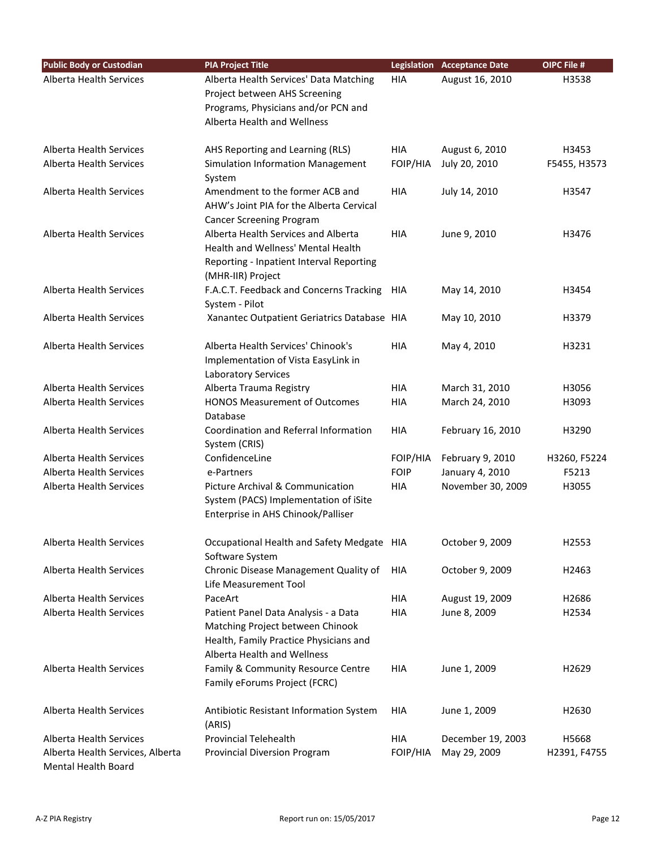| <b>Public Body or Custodian</b>                         | <b>PIA Project Title</b>                                                                                                                          |                 | <b>Legislation Acceptance Date</b> | OIPC File #           |
|---------------------------------------------------------|---------------------------------------------------------------------------------------------------------------------------------------------------|-----------------|------------------------------------|-----------------------|
| <b>Alberta Health Services</b>                          | Alberta Health Services' Data Matching<br>Project between AHS Screening<br>Programs, Physicians and/or PCN and<br>Alberta Health and Wellness     | <b>HIA</b>      | August 16, 2010                    | H3538                 |
| Alberta Health Services<br>Alberta Health Services      | AHS Reporting and Learning (RLS)<br>Simulation Information Management<br>System                                                                   | HIA<br>FOIP/HIA | August 6, 2010<br>July 20, 2010    | H3453<br>F5455, H3573 |
| Alberta Health Services                                 | Amendment to the former ACB and<br>AHW's Joint PIA for the Alberta Cervical<br><b>Cancer Screening Program</b>                                    | HIA             | July 14, 2010                      | H3547                 |
| Alberta Health Services                                 | Alberta Health Services and Alberta<br>Health and Wellness' Mental Health<br>Reporting - Inpatient Interval Reporting<br>(MHR-IIR) Project        | HIA             | June 9, 2010                       | H3476                 |
| <b>Alberta Health Services</b>                          | F.A.C.T. Feedback and Concerns Tracking HIA<br>System - Pilot                                                                                     |                 | May 14, 2010                       | H3454                 |
| Alberta Health Services                                 | Xanantec Outpatient Geriatrics Database HIA                                                                                                       |                 | May 10, 2010                       | H3379                 |
| Alberta Health Services                                 | Alberta Health Services' Chinook's<br>Implementation of Vista EasyLink in<br>Laboratory Services                                                  | <b>HIA</b>      | May 4, 2010                        | H3231                 |
| <b>Alberta Health Services</b>                          | Alberta Trauma Registry                                                                                                                           | <b>HIA</b>      | March 31, 2010                     | H3056                 |
| Alberta Health Services                                 | <b>HONOS Measurement of Outcomes</b><br>Database                                                                                                  | HIA             | March 24, 2010                     | H3093                 |
| Alberta Health Services                                 | Coordination and Referral Information<br>System (CRIS)                                                                                            | HIA             | February 16, 2010                  | H3290                 |
| Alberta Health Services                                 | ConfidenceLine                                                                                                                                    | FOIP/HIA        | February 9, 2010                   | H3260, F5224          |
| <b>Alberta Health Services</b>                          | e-Partners                                                                                                                                        | <b>FOIP</b>     | January 4, 2010                    | F5213                 |
| Alberta Health Services                                 | Picture Archival & Communication<br>System (PACS) Implementation of iSite<br>Enterprise in AHS Chinook/Palliser                                   | <b>HIA</b>      | November 30, 2009                  | H3055                 |
| Alberta Health Services                                 | Occupational Health and Safety Medgate HIA<br>Software System                                                                                     |                 | October 9, 2009                    | H2553                 |
| Alberta Health Services                                 | Chronic Disease Management Quality of<br>Life Measurement Tool                                                                                    | HIA             | October 9, 2009                    | H2463                 |
| <b>Alberta Health Services</b>                          | PaceArt                                                                                                                                           | HIA             | August 19, 2009                    | H2686                 |
| <b>Alberta Health Services</b>                          | Patient Panel Data Analysis - a Data<br>Matching Project between Chinook<br>Health, Family Practice Physicians and<br>Alberta Health and Wellness | HIA             | June 8, 2009                       | H2534                 |
| <b>Alberta Health Services</b>                          | Family & Community Resource Centre<br>Family eForums Project (FCRC)                                                                               | HIA             | June 1, 2009                       | H2629                 |
| Alberta Health Services                                 | Antibiotic Resistant Information System<br>(ARIS)                                                                                                 | <b>HIA</b>      | June 1, 2009                       | H2630                 |
| Alberta Health Services                                 | <b>Provincial Telehealth</b>                                                                                                                      | <b>HIA</b>      | December 19, 2003                  | H5668                 |
| Alberta Health Services, Alberta<br>Mental Health Board | Provincial Diversion Program                                                                                                                      | FOIP/HIA        | May 29, 2009                       | H2391, F4755          |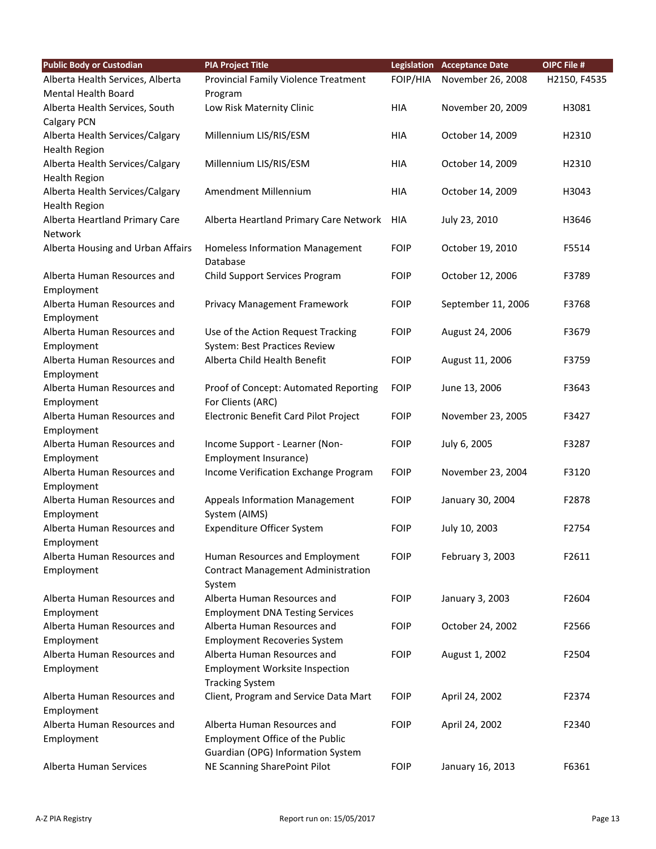| <b>Public Body or Custodian</b>   | <b>PIA Project Title</b>                    |             | <b>Legislation Acceptance Date</b> | OIPC File #  |
|-----------------------------------|---------------------------------------------|-------------|------------------------------------|--------------|
| Alberta Health Services, Alberta  | Provincial Family Violence Treatment        | FOIP/HIA    | November 26, 2008                  | H2150, F4535 |
| <b>Mental Health Board</b>        | Program                                     |             |                                    |              |
| Alberta Health Services, South    | Low Risk Maternity Clinic                   | <b>HIA</b>  | November 20, 2009                  | H3081        |
| Calgary PCN                       |                                             |             |                                    |              |
| Alberta Health Services/Calgary   | Millennium LIS/RIS/ESM                      | <b>HIA</b>  | October 14, 2009                   | H2310        |
| <b>Health Region</b>              |                                             |             |                                    |              |
| Alberta Health Services/Calgary   | Millennium LIS/RIS/ESM                      | <b>HIA</b>  | October 14, 2009                   | H2310        |
| <b>Health Region</b>              |                                             |             |                                    |              |
| Alberta Health Services/Calgary   | Amendment Millennium                        | <b>HIA</b>  | October 14, 2009                   | H3043        |
| <b>Health Region</b>              |                                             |             |                                    |              |
| Alberta Heartland Primary Care    | Alberta Heartland Primary Care Network      | HIA         | July 23, 2010                      | H3646        |
| Network                           |                                             |             |                                    |              |
| Alberta Housing and Urban Affairs | Homeless Information Management<br>Database | <b>FOIP</b> | October 19, 2010                   | F5514        |
| Alberta Human Resources and       | Child Support Services Program              | <b>FOIP</b> | October 12, 2006                   | F3789        |
| Employment                        |                                             |             |                                    |              |
| Alberta Human Resources and       | Privacy Management Framework                | <b>FOIP</b> | September 11, 2006                 | F3768        |
| Employment                        |                                             |             |                                    |              |
| Alberta Human Resources and       | Use of the Action Request Tracking          | <b>FOIP</b> | August 24, 2006                    | F3679        |
| Employment                        | System: Best Practices Review               |             |                                    |              |
| Alberta Human Resources and       | Alberta Child Health Benefit                | <b>FOIP</b> | August 11, 2006                    | F3759        |
| Employment                        |                                             |             |                                    |              |
| Alberta Human Resources and       | Proof of Concept: Automated Reporting       | <b>FOIP</b> | June 13, 2006                      | F3643        |
| Employment                        | For Clients (ARC)                           |             |                                    |              |
| Alberta Human Resources and       | Electronic Benefit Card Pilot Project       | <b>FOIP</b> | November 23, 2005                  | F3427        |
| Employment                        |                                             |             |                                    |              |
| Alberta Human Resources and       | Income Support - Learner (Non-              | <b>FOIP</b> | July 6, 2005                       | F3287        |
| Employment                        | Employment Insurance)                       |             |                                    |              |
| Alberta Human Resources and       | Income Verification Exchange Program        | <b>FOIP</b> | November 23, 2004                  | F3120        |
| Employment                        |                                             |             |                                    |              |
| Alberta Human Resources and       | <b>Appeals Information Management</b>       | <b>FOIP</b> | January 30, 2004                   | F2878        |
| Employment                        | System (AIMS)                               |             |                                    |              |
| Alberta Human Resources and       | Expenditure Officer System                  | <b>FOIP</b> | July 10, 2003                      | F2754        |
| Employment                        |                                             |             |                                    |              |
| Alberta Human Resources and       | Human Resources and Employment              | <b>FOIP</b> | February 3, 2003                   | F2611        |
| Employment                        | <b>Contract Management Administration</b>   |             |                                    |              |
|                                   | System                                      |             |                                    |              |
| Alberta Human Resources and       | Alberta Human Resources and                 | <b>FOIP</b> | January 3, 2003                    | F2604        |
| Employment                        | <b>Employment DNA Testing Services</b>      |             |                                    |              |
| Alberta Human Resources and       | Alberta Human Resources and                 | <b>FOIP</b> | October 24, 2002                   | F2566        |
| Employment                        | <b>Employment Recoveries System</b>         |             |                                    |              |
| Alberta Human Resources and       | Alberta Human Resources and                 | <b>FOIP</b> | August 1, 2002                     | F2504        |
| Employment                        | <b>Employment Worksite Inspection</b>       |             |                                    |              |
|                                   | <b>Tracking System</b>                      |             |                                    |              |
| Alberta Human Resources and       | Client, Program and Service Data Mart       | <b>FOIP</b> | April 24, 2002                     | F2374        |
| Employment                        |                                             |             |                                    |              |
| Alberta Human Resources and       | Alberta Human Resources and                 | <b>FOIP</b> | April 24, 2002                     | F2340        |
| Employment                        | Employment Office of the Public             |             |                                    |              |
|                                   | Guardian (OPG) Information System           |             |                                    |              |
| Alberta Human Services            | NE Scanning SharePoint Pilot                | <b>FOIP</b> | January 16, 2013                   | F6361        |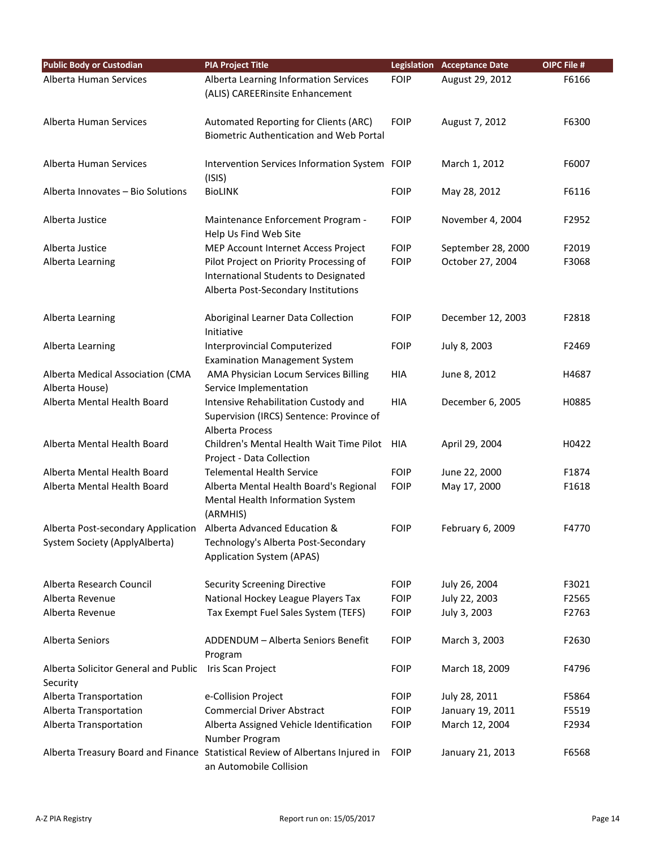| <b>Public Body or Custodian</b>                                     | <b>PIA Project Title</b>                                                                                               |             | <b>Legislation Acceptance Date</b> | OIPC File # |
|---------------------------------------------------------------------|------------------------------------------------------------------------------------------------------------------------|-------------|------------------------------------|-------------|
| Alberta Human Services                                              | Alberta Learning Information Services<br>(ALIS) CAREERinsite Enhancement                                               | <b>FOIP</b> | August 29, 2012                    | F6166       |
| Alberta Human Services                                              | Automated Reporting for Clients (ARC)<br><b>Biometric Authentication and Web Portal</b>                                | <b>FOIP</b> | August 7, 2012                     | F6300       |
| Alberta Human Services                                              | Intervention Services Information System FOIP<br>(ISIS)                                                                |             | March 1, 2012                      | F6007       |
| Alberta Innovates - Bio Solutions                                   | <b>BioLINK</b>                                                                                                         | <b>FOIP</b> | May 28, 2012                       | F6116       |
| Alberta Justice                                                     | Maintenance Enforcement Program -<br>Help Us Find Web Site                                                             | <b>FOIP</b> | November 4, 2004                   | F2952       |
| Alberta Justice                                                     | MEP Account Internet Access Project                                                                                    | <b>FOIP</b> | September 28, 2000                 | F2019       |
| Alberta Learning                                                    | Pilot Project on Priority Processing of<br>International Students to Designated<br>Alberta Post-Secondary Institutions | <b>FOIP</b> | October 27, 2004                   | F3068       |
| Alberta Learning                                                    | Aboriginal Learner Data Collection<br>Initiative                                                                       | <b>FOIP</b> | December 12, 2003                  | F2818       |
| Alberta Learning                                                    | Interprovincial Computerized<br><b>Examination Management System</b>                                                   | <b>FOIP</b> | July 8, 2003                       | F2469       |
| Alberta Medical Association (CMA                                    | AMA Physician Locum Services Billing                                                                                   | HIA         | June 8, 2012                       | H4687       |
| Alberta House)                                                      | Service Implementation                                                                                                 |             |                                    |             |
| Alberta Mental Health Board                                         | Intensive Rehabilitation Custody and<br>Supervision (IRCS) Sentence: Province of<br>Alberta Process                    | HIA         | December 6, 2005                   | H0885       |
| Alberta Mental Health Board                                         | Children's Mental Health Wait Time Pilot<br>Project - Data Collection                                                  | HIA         | April 29, 2004                     | H0422       |
| Alberta Mental Health Board                                         | <b>Telemental Health Service</b>                                                                                       | <b>FOIP</b> | June 22, 2000                      | F1874       |
| Alberta Mental Health Board                                         | Alberta Mental Health Board's Regional<br>Mental Health Information System<br>(ARMHIS)                                 | <b>FOIP</b> | May 17, 2000                       | F1618       |
| Alberta Post-secondary Application<br>System Society (ApplyAlberta) | Alberta Advanced Education &<br>Technology's Alberta Post-Secondary<br><b>Application System (APAS)</b>                | <b>FOIP</b> | February 6, 2009                   | F4770       |
| Alberta Research Council                                            | <b>Security Screening Directive</b>                                                                                    | <b>FOIP</b> | July 26, 2004                      | F3021       |
| Alberta Revenue                                                     | National Hockey League Players Tax                                                                                     | <b>FOIP</b> | July 22, 2003                      | F2565       |
| Alberta Revenue                                                     | Tax Exempt Fuel Sales System (TEFS)                                                                                    | <b>FOIP</b> | July 3, 2003                       | F2763       |
| Alberta Seniors                                                     | ADDENDUM - Alberta Seniors Benefit<br>Program                                                                          | <b>FOIP</b> | March 3, 2003                      | F2630       |
| Alberta Solicitor General and Public<br>Security                    | Iris Scan Project                                                                                                      | <b>FOIP</b> | March 18, 2009                     | F4796       |
| Alberta Transportation                                              | e-Collision Project                                                                                                    | <b>FOIP</b> | July 28, 2011                      | F5864       |
| Alberta Transportation                                              | <b>Commercial Driver Abstract</b>                                                                                      | <b>FOIP</b> | January 19, 2011                   | F5519       |
| Alberta Transportation                                              | Alberta Assigned Vehicle Identification<br>Number Program                                                              | <b>FOIP</b> | March 12, 2004                     | F2934       |
|                                                                     | Alberta Treasury Board and Finance Statistical Review of Albertans Injured in<br>an Automobile Collision               | <b>FOIP</b> | January 21, 2013                   | F6568       |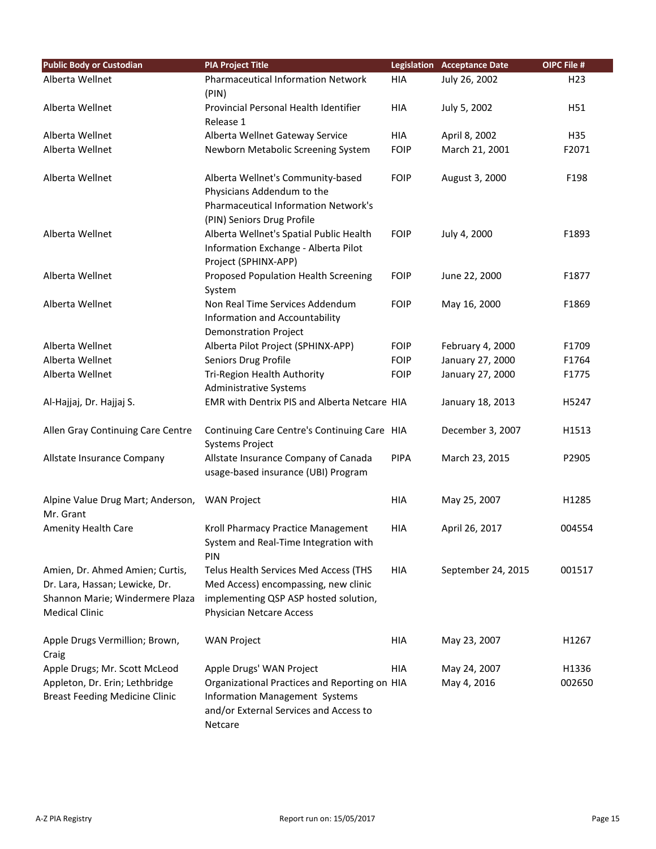| <b>Public Body or Custodian</b>                                                                                               | <b>PIA Project Title</b>                                                                                                                           |             | <b>Legislation Acceptance Date</b> | OIPC File #     |
|-------------------------------------------------------------------------------------------------------------------------------|----------------------------------------------------------------------------------------------------------------------------------------------------|-------------|------------------------------------|-----------------|
| Alberta Wellnet                                                                                                               | <b>Pharmaceutical Information Network</b>                                                                                                          | <b>HIA</b>  | July 26, 2002                      | H <sub>23</sub> |
|                                                                                                                               | (PIN)                                                                                                                                              |             |                                    |                 |
| Alberta Wellnet                                                                                                               | Provincial Personal Health Identifier                                                                                                              | HIA         | July 5, 2002                       | H51             |
|                                                                                                                               | Release 1                                                                                                                                          |             |                                    |                 |
| Alberta Wellnet                                                                                                               | Alberta Wellnet Gateway Service                                                                                                                    | HIA         | April 8, 2002                      | H35             |
| Alberta Wellnet                                                                                                               | Newborn Metabolic Screening System                                                                                                                 | <b>FOIP</b> | March 21, 2001                     | F2071           |
| Alberta Wellnet                                                                                                               | Alberta Wellnet's Community-based<br>Physicians Addendum to the<br><b>Pharmaceutical Information Network's</b><br>(PIN) Seniors Drug Profile       | <b>FOIP</b> | August 3, 2000                     | F198            |
| Alberta Wellnet                                                                                                               | Alberta Wellnet's Spatial Public Health<br>Information Exchange - Alberta Pilot<br>Project (SPHINX-APP)                                            | <b>FOIP</b> | July 4, 2000                       | F1893           |
| Alberta Wellnet                                                                                                               | Proposed Population Health Screening<br>System                                                                                                     | <b>FOIP</b> | June 22, 2000                      | F1877           |
| Alberta Wellnet                                                                                                               | Non Real Time Services Addendum<br>Information and Accountability<br><b>Demonstration Project</b>                                                  | <b>FOIP</b> | May 16, 2000                       | F1869           |
| Alberta Wellnet                                                                                                               | Alberta Pilot Project (SPHINX-APP)                                                                                                                 | <b>FOIP</b> | February 4, 2000                   | F1709           |
| Alberta Wellnet                                                                                                               | Seniors Drug Profile                                                                                                                               | <b>FOIP</b> | January 27, 2000                   | F1764           |
| Alberta Wellnet                                                                                                               | Tri-Region Health Authority<br><b>Administrative Systems</b>                                                                                       | <b>FOIP</b> | January 27, 2000                   | F1775           |
| Al-Hajjaj, Dr. Hajjaj S.                                                                                                      | EMR with Dentrix PIS and Alberta Netcare HIA                                                                                                       |             | January 18, 2013                   | H5247           |
| Allen Gray Continuing Care Centre                                                                                             | Continuing Care Centre's Continuing Care HIA<br><b>Systems Project</b>                                                                             |             | December 3, 2007                   | H1513           |
| Allstate Insurance Company                                                                                                    | Allstate Insurance Company of Canada<br>usage-based insurance (UBI) Program                                                                        | <b>PIPA</b> | March 23, 2015                     | P2905           |
| Alpine Value Drug Mart; Anderson,<br>Mr. Grant                                                                                | <b>WAN Project</b>                                                                                                                                 | HIA         | May 25, 2007                       | H1285           |
| Amenity Health Care                                                                                                           | Kroll Pharmacy Practice Management<br>System and Real-Time Integration with<br>PIN                                                                 | HIA         | April 26, 2017                     | 004554          |
| Amien, Dr. Ahmed Amien; Curtis,<br>Dr. Lara, Hassan; Lewicke, Dr.<br>Shannon Marie; Windermere Plaza<br><b>Medical Clinic</b> | Telus Health Services Med Access (THS<br>Med Access) encompassing, new clinic<br>implementing QSP ASP hosted solution,<br>Physician Netcare Access | HIA         | September 24, 2015                 | 001517          |
| Apple Drugs Vermillion; Brown,<br>Craig                                                                                       | <b>WAN Project</b>                                                                                                                                 | HIA         | May 23, 2007                       | H1267           |
| Apple Drugs; Mr. Scott McLeod                                                                                                 | Apple Drugs' WAN Project                                                                                                                           | HIA         | May 24, 2007                       | H1336           |
| Appleton, Dr. Erin; Lethbridge<br><b>Breast Feeding Medicine Clinic</b>                                                       | Organizational Practices and Reporting on HIA<br><b>Information Management Systems</b><br>and/or External Services and Access to<br>Netcare        |             | May 4, 2016                        | 002650          |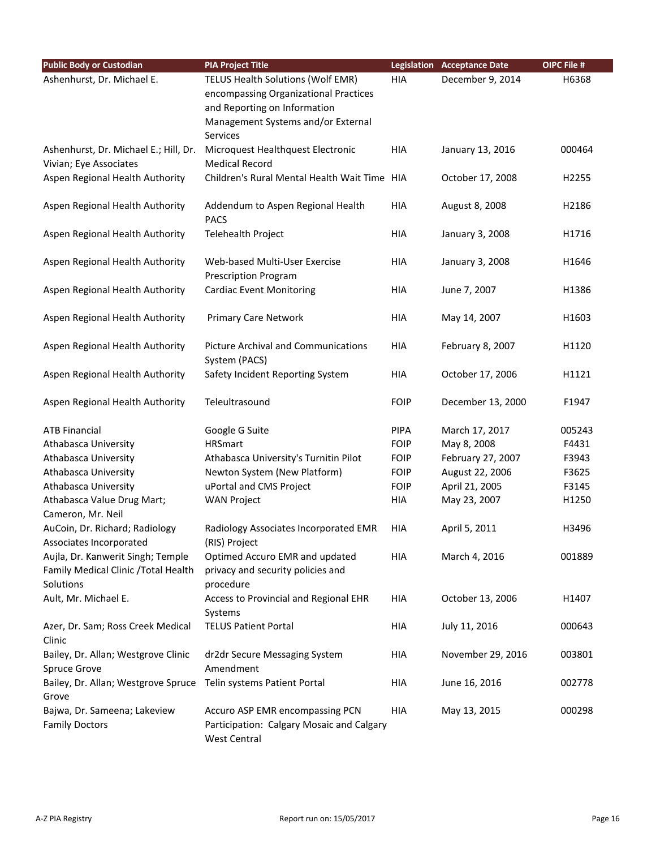| <b>Public Body or Custodian</b>                 | <b>PIA Project Title</b>                                         |             | <b>Legislation Acceptance Date</b> | OIPC File # |
|-------------------------------------------------|------------------------------------------------------------------|-------------|------------------------------------|-------------|
| Ashenhurst, Dr. Michael E.                      | TELUS Health Solutions (Wolf EMR)                                | HIA         | December 9, 2014                   | H6368       |
|                                                 | encompassing Organizational Practices                            |             |                                    |             |
|                                                 | and Reporting on Information                                     |             |                                    |             |
|                                                 | Management Systems and/or External                               |             |                                    |             |
|                                                 | <b>Services</b>                                                  |             |                                    |             |
| Ashenhurst, Dr. Michael E.; Hill, Dr.           | Microquest Healthquest Electronic                                | HIA         | January 13, 2016                   | 000464      |
| Vivian; Eye Associates                          | <b>Medical Record</b>                                            |             |                                    |             |
| Aspen Regional Health Authority                 | Children's Rural Mental Health Wait Time HIA                     |             | October 17, 2008                   | H2255       |
| Aspen Regional Health Authority                 | Addendum to Aspen Regional Health<br><b>PACS</b>                 | HIA         | August 8, 2008                     | H2186       |
| Aspen Regional Health Authority                 | Telehealth Project                                               | HIA         | January 3, 2008                    | H1716       |
| Aspen Regional Health Authority                 | Web-based Multi-User Exercise                                    | HIA         | January 3, 2008                    | H1646       |
|                                                 | <b>Prescription Program</b>                                      |             |                                    |             |
| Aspen Regional Health Authority                 | <b>Cardiac Event Monitoring</b>                                  | <b>HIA</b>  | June 7, 2007                       | H1386       |
| Aspen Regional Health Authority                 | <b>Primary Care Network</b>                                      | HIA         | May 14, 2007                       | H1603       |
| Aspen Regional Health Authority                 | <b>Picture Archival and Communications</b>                       | HIA         | February 8, 2007                   | H1120       |
|                                                 | System (PACS)                                                    |             |                                    |             |
| Aspen Regional Health Authority                 | Safety Incident Reporting System                                 | HIA         | October 17, 2006                   | H1121       |
| Aspen Regional Health Authority                 | Teleultrasound                                                   | <b>FOIP</b> | December 13, 2000                  | F1947       |
| <b>ATB Financial</b>                            | Google G Suite                                                   | <b>PIPA</b> | March 17, 2017                     | 005243      |
| Athabasca University                            | <b>HRSmart</b>                                                   | <b>FOIP</b> | May 8, 2008                        | F4431       |
| Athabasca University                            | Athabasca University's Turnitin Pilot                            | <b>FOIP</b> | February 27, 2007                  | F3943       |
| Athabasca University                            | Newton System (New Platform)                                     | <b>FOIP</b> | August 22, 2006                    | F3625       |
| Athabasca University                            | uPortal and CMS Project                                          | <b>FOIP</b> | April 21, 2005                     | F3145       |
| Athabasca Value Drug Mart;<br>Cameron, Mr. Neil | <b>WAN Project</b>                                               | HIA         | May 23, 2007                       | H1250       |
| AuCoin, Dr. Richard; Radiology                  | Radiology Associates Incorporated EMR                            | <b>HIA</b>  | April 5, 2011                      | H3496       |
| Associates Incorporated                         | (RIS) Project                                                    |             |                                    |             |
| Aujla, Dr. Kanwerit Singh; Temple               | Optimed Accuro EMR and updated                                   | HIA         | March 4, 2016                      | 001889      |
| Family Medical Clinic / Total Health            | privacy and security policies and                                |             |                                    |             |
| Solutions                                       | procedure                                                        |             |                                    |             |
| Ault, Mr. Michael E.                            | Access to Provincial and Regional EHR<br>Systems                 | HIA         | October 13, 2006                   | H1407       |
| Azer, Dr. Sam; Ross Creek Medical<br>Clinic     | <b>TELUS Patient Portal</b>                                      | HIA         | July 11, 2016                      | 000643      |
| Bailey, Dr. Allan; Westgrove Clinic             | dr2dr Secure Messaging System                                    | HIA         | November 29, 2016                  | 003801      |
| <b>Spruce Grove</b>                             | Amendment                                                        |             |                                    |             |
| Bailey, Dr. Allan; Westgrove Spruce<br>Grove    | Telin systems Patient Portal                                     | HIA         | June 16, 2016                      | 002778      |
| Bajwa, Dr. Sameena; Lakeview                    | Accuro ASP EMR encompassing PCN                                  | HIA         | May 13, 2015                       | 000298      |
| <b>Family Doctors</b>                           | Participation: Calgary Mosaic and Calgary<br><b>West Central</b> |             |                                    |             |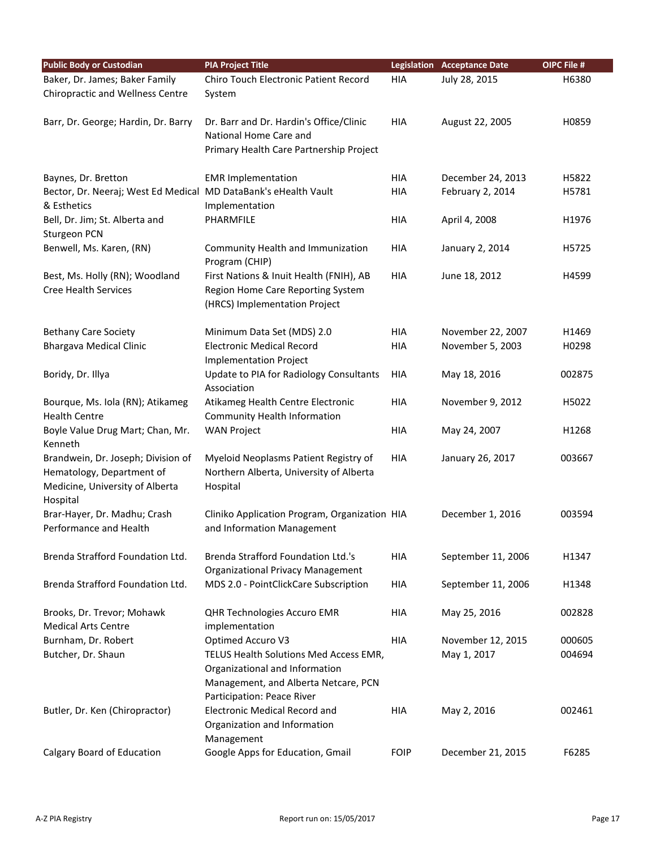| <b>Public Body or Custodian</b>                                 | <b>PIA Project Title</b>                                                         |             | <b>Legislation Acceptance Date</b> | OIPC File # |
|-----------------------------------------------------------------|----------------------------------------------------------------------------------|-------------|------------------------------------|-------------|
| Baker, Dr. James; Baker Family                                  | Chiro Touch Electronic Patient Record                                            | <b>HIA</b>  | July 28, 2015                      | H6380       |
| <b>Chiropractic and Wellness Centre</b>                         | System                                                                           |             |                                    |             |
|                                                                 |                                                                                  |             |                                    |             |
| Barr, Dr. George; Hardin, Dr. Barry                             | Dr. Barr and Dr. Hardin's Office/Clinic                                          | <b>HIA</b>  | August 22, 2005                    | H0859       |
|                                                                 | National Home Care and                                                           |             |                                    |             |
|                                                                 | Primary Health Care Partnership Project                                          |             |                                    |             |
| Baynes, Dr. Bretton                                             | <b>EMR Implementation</b>                                                        | <b>HIA</b>  | December 24, 2013                  | H5822       |
| Bector, Dr. Neeraj; West Ed Medical MD DataBank's eHealth Vault |                                                                                  | <b>HIA</b>  | February 2, 2014                   | H5781       |
| & Esthetics                                                     | Implementation                                                                   |             |                                    |             |
| Bell, Dr. Jim; St. Alberta and                                  | PHARMFILE                                                                        | <b>HIA</b>  | April 4, 2008                      | H1976       |
| Sturgeon PCN                                                    |                                                                                  |             |                                    |             |
| Benwell, Ms. Karen, (RN)                                        | Community Health and Immunization                                                | <b>HIA</b>  | January 2, 2014                    | H5725       |
|                                                                 | Program (CHIP)                                                                   |             |                                    |             |
| Best, Ms. Holly (RN); Woodland                                  | First Nations & Inuit Health (FNIH), AB                                          | <b>HIA</b>  | June 18, 2012                      | H4599       |
| <b>Cree Health Services</b>                                     | Region Home Care Reporting System                                                |             |                                    |             |
|                                                                 | (HRCS) Implementation Project                                                    |             |                                    |             |
|                                                                 |                                                                                  |             |                                    |             |
| <b>Bethany Care Society</b>                                     | Minimum Data Set (MDS) 2.0                                                       | <b>HIA</b>  | November 22, 2007                  | H1469       |
| <b>Bhargava Medical Clinic</b>                                  | <b>Electronic Medical Record</b>                                                 | <b>HIA</b>  | November 5, 2003                   | H0298       |
|                                                                 | <b>Implementation Project</b>                                                    |             |                                    |             |
| Boridy, Dr. Illya                                               | Update to PIA for Radiology Consultants                                          | <b>HIA</b>  | May 18, 2016                       | 002875      |
|                                                                 | Association                                                                      |             |                                    |             |
| Bourque, Ms. Iola (RN); Atikameg                                | Atikameg Health Centre Electronic                                                | <b>HIA</b>  | November 9, 2012                   | H5022       |
| <b>Health Centre</b>                                            | <b>Community Health Information</b>                                              |             |                                    |             |
| Boyle Value Drug Mart; Chan, Mr.                                | <b>WAN Project</b>                                                               | <b>HIA</b>  | May 24, 2007                       | H1268       |
| Kenneth                                                         |                                                                                  |             |                                    |             |
| Brandwein, Dr. Joseph; Division of<br>Hematology, Department of | Myeloid Neoplasms Patient Registry of<br>Northern Alberta, University of Alberta | <b>HIA</b>  | January 26, 2017                   | 003667      |
| Medicine, University of Alberta                                 |                                                                                  |             |                                    |             |
| Hospital                                                        | Hospital                                                                         |             |                                    |             |
| Brar-Hayer, Dr. Madhu; Crash                                    | Cliniko Application Program, Organization HIA                                    |             | December 1, 2016                   | 003594      |
| Performance and Health                                          | and Information Management                                                       |             |                                    |             |
|                                                                 |                                                                                  |             |                                    |             |
| Brenda Strafford Foundation Ltd.                                | <b>Brenda Strafford Foundation Ltd.'s</b>                                        | <b>HIA</b>  | September 11, 2006                 | H1347       |
|                                                                 | <b>Organizational Privacy Management</b>                                         |             |                                    |             |
| Brenda Strafford Foundation Ltd.                                | MDS 2.0 - PointClickCare Subscription                                            | HIA         | September 11, 2006                 | H1348       |
|                                                                 |                                                                                  |             |                                    |             |
| Brooks, Dr. Trevor; Mohawk                                      | QHR Technologies Accuro EMR                                                      | <b>HIA</b>  | May 25, 2016                       | 002828      |
| <b>Medical Arts Centre</b>                                      | implementation                                                                   |             |                                    |             |
| Burnham, Dr. Robert                                             | Optimed Accuro V3                                                                | <b>HIA</b>  | November 12, 2015                  | 000605      |
| Butcher, Dr. Shaun                                              | TELUS Health Solutions Med Access EMR,                                           |             | May 1, 2017                        | 004694      |
|                                                                 | Organizational and Information                                                   |             |                                    |             |
|                                                                 | Management, and Alberta Netcare, PCN                                             |             |                                    |             |
|                                                                 | Participation: Peace River                                                       |             |                                    |             |
| Butler, Dr. Ken (Chiropractor)                                  | <b>Electronic Medical Record and</b>                                             | <b>HIA</b>  | May 2, 2016                        | 002461      |
|                                                                 | Organization and Information                                                     |             |                                    |             |
|                                                                 | Management                                                                       | <b>FOIP</b> |                                    | F6285       |
| Calgary Board of Education                                      | Google Apps for Education, Gmail                                                 |             | December 21, 2015                  |             |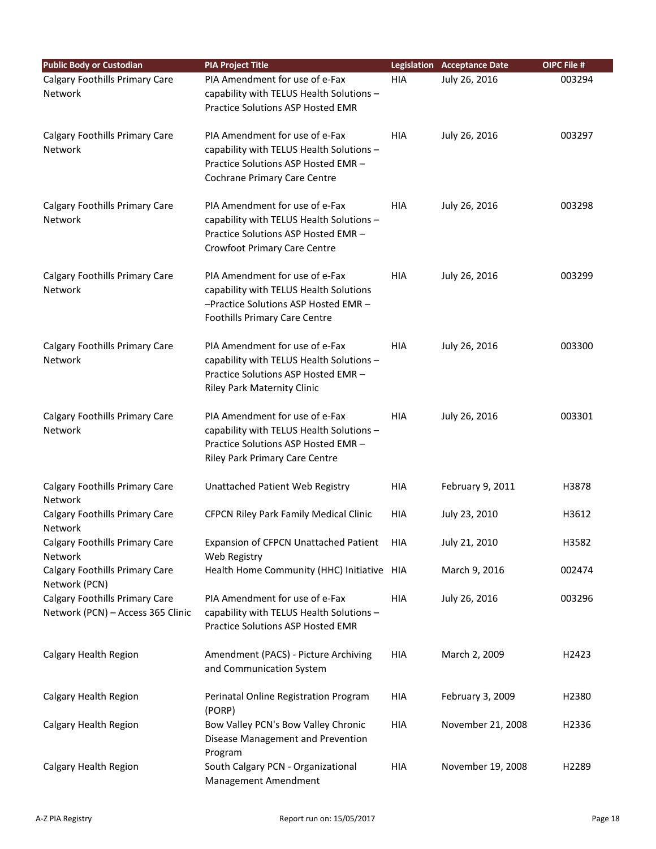| <b>Public Body or Custodian</b>                                            | <b>PIA Project Title</b>                                                                                                                                 |            | <b>Legislation Acceptance Date</b> | OIPC File # |
|----------------------------------------------------------------------------|----------------------------------------------------------------------------------------------------------------------------------------------------------|------------|------------------------------------|-------------|
| Calgary Foothills Primary Care<br>Network                                  | PIA Amendment for use of e-Fax<br>capability with TELUS Health Solutions -<br>Practice Solutions ASP Hosted EMR                                          | HIA        | July 26, 2016                      | 003294      |
| <b>Calgary Foothills Primary Care</b><br><b>Network</b>                    | PIA Amendment for use of e-Fax<br>capability with TELUS Health Solutions -<br>Practice Solutions ASP Hosted EMR -<br><b>Cochrane Primary Care Centre</b> | HIA        | July 26, 2016                      | 003297      |
| Calgary Foothills Primary Care<br><b>Network</b>                           | PIA Amendment for use of e-Fax<br>capability with TELUS Health Solutions -<br>Practice Solutions ASP Hosted EMR -<br><b>Crowfoot Primary Care Centre</b> | <b>HIA</b> | July 26, 2016                      | 003298      |
| Calgary Foothills Primary Care<br>Network                                  | PIA Amendment for use of e-Fax<br>capability with TELUS Health Solutions<br>-Practice Solutions ASP Hosted EMR-<br><b>Foothills Primary Care Centre</b>  | <b>HIA</b> | July 26, 2016                      | 003299      |
| Calgary Foothills Primary Care<br><b>Network</b>                           | PIA Amendment for use of e-Fax<br>capability with TELUS Health Solutions -<br>Practice Solutions ASP Hosted EMR -<br>Riley Park Maternity Clinic         | <b>HIA</b> | July 26, 2016                      | 003300      |
| Calgary Foothills Primary Care<br><b>Network</b>                           | PIA Amendment for use of e-Fax<br>capability with TELUS Health Solutions -<br>Practice Solutions ASP Hosted EMR -<br>Riley Park Primary Care Centre      | <b>HIA</b> | July 26, 2016                      | 003301      |
| Calgary Foothills Primary Care<br><b>Network</b>                           | Unattached Patient Web Registry                                                                                                                          | <b>HIA</b> | February 9, 2011                   | H3878       |
| Calgary Foothills Primary Care<br><b>Network</b>                           | <b>CFPCN Riley Park Family Medical Clinic</b>                                                                                                            | <b>HIA</b> | July 23, 2010                      | H3612       |
| <b>Calgary Foothills Primary Care</b><br>Network                           | Expansion of CFPCN Unattached Patient<br>Web Registry                                                                                                    | HIA        | July 21, 2010                      | H3582       |
| Calgary Foothills Primary Care<br>Network (PCN)                            | Health Home Community (HHC) Initiative HIA                                                                                                               |            | March 9, 2016                      | 002474      |
| <b>Calgary Foothills Primary Care</b><br>Network (PCN) - Access 365 Clinic | PIA Amendment for use of e-Fax<br>capability with TELUS Health Solutions -<br>Practice Solutions ASP Hosted EMR                                          | HIA        | July 26, 2016                      | 003296      |
| Calgary Health Region                                                      | Amendment (PACS) - Picture Archiving<br>and Communication System                                                                                         | HIA        | March 2, 2009                      | H2423       |
| Calgary Health Region                                                      | Perinatal Online Registration Program<br>(PORP)                                                                                                          | HIA        | February 3, 2009                   | H2380       |
| Calgary Health Region                                                      | Bow Valley PCN's Bow Valley Chronic<br>Disease Management and Prevention<br>Program                                                                      | HIA        | November 21, 2008                  | H2336       |
| Calgary Health Region                                                      | South Calgary PCN - Organizational<br>Management Amendment                                                                                               | HIA        | November 19, 2008                  | H2289       |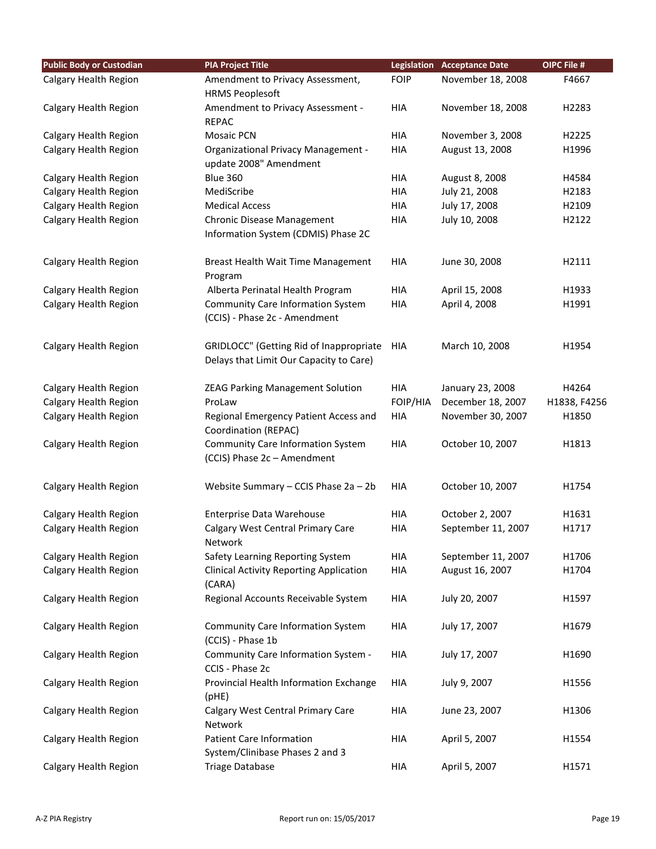| <b>Public Body or Custodian</b> | <b>PIA Project Title</b>                       |             | <b>Legislation Acceptance Date</b> | OIPC File #  |
|---------------------------------|------------------------------------------------|-------------|------------------------------------|--------------|
| Calgary Health Region           | Amendment to Privacy Assessment,               | <b>FOIP</b> | November 18, 2008                  | F4667        |
|                                 | <b>HRMS Peoplesoft</b>                         |             |                                    |              |
| Calgary Health Region           | Amendment to Privacy Assessment -              | HIA         | November 18, 2008                  | H2283        |
|                                 | <b>REPAC</b>                                   |             |                                    |              |
| Calgary Health Region           | Mosaic PCN                                     | HIA         | November 3, 2008                   | H2225        |
| Calgary Health Region           | <b>Organizational Privacy Management -</b>     | HIA         | August 13, 2008                    | H1996        |
|                                 | update 2008" Amendment                         |             |                                    |              |
| Calgary Health Region           | <b>Blue 360</b>                                | HIA         | August 8, 2008                     | H4584        |
| Calgary Health Region           | MediScribe                                     | HIA         | July 21, 2008                      | H2183        |
| Calgary Health Region           | <b>Medical Access</b>                          | <b>HIA</b>  | July 17, 2008                      | H2109        |
| Calgary Health Region           | Chronic Disease Management                     | HIA         | July 10, 2008                      | H2122        |
|                                 | Information System (CDMIS) Phase 2C            |             |                                    |              |
| Calgary Health Region           | Breast Health Wait Time Management             | <b>HIA</b>  | June 30, 2008                      | H2111        |
|                                 | Program                                        |             |                                    |              |
| Calgary Health Region           | Alberta Perinatal Health Program               | HIA         | April 15, 2008                     | H1933        |
| Calgary Health Region           | <b>Community Care Information System</b>       | HIA         | April 4, 2008                      | H1991        |
|                                 | (CCIS) - Phase 2c - Amendment                  |             |                                    |              |
| Calgary Health Region           | GRIDLOCC" (Getting Rid of Inappropriate        | <b>HIA</b>  | March 10, 2008                     | H1954        |
|                                 | Delays that Limit Our Capacity to Care)        |             |                                    |              |
|                                 |                                                |             |                                    |              |
| Calgary Health Region           | <b>ZEAG Parking Management Solution</b>        | HIA         | January 23, 2008                   | H4264        |
| Calgary Health Region           | ProLaw                                         | FOIP/HIA    | December 18, 2007                  | H1838, F4256 |
| Calgary Health Region           | Regional Emergency Patient Access and          | HIA         | November 30, 2007                  | H1850        |
|                                 | Coordination (REPAC)                           |             |                                    |              |
| Calgary Health Region           | <b>Community Care Information System</b>       | HIA         | October 10, 2007                   | H1813        |
|                                 | (CCIS) Phase 2c - Amendment                    |             |                                    |              |
| Calgary Health Region           | Website Summary - CCIS Phase 2a - 2b           | HIA         | October 10, 2007                   | H1754        |
|                                 |                                                |             |                                    |              |
| Calgary Health Region           | <b>Enterprise Data Warehouse</b>               | <b>HIA</b>  | October 2, 2007                    | H1631        |
| Calgary Health Region           | Calgary West Central Primary Care              | HIA         | September 11, 2007                 | H1717        |
|                                 | Network                                        |             |                                    |              |
| Calgary Health Region           | Safety Learning Reporting System               | HIA         | September 11, 2007                 | H1706        |
| Calgary Health Region           | <b>Clinical Activity Reporting Application</b> | <b>HIA</b>  | August 16, 2007                    | H1704        |
|                                 | (CARA)                                         |             |                                    |              |
| Calgary Health Region           | Regional Accounts Receivable System            | <b>HIA</b>  | July 20, 2007                      | H1597        |
|                                 |                                                |             |                                    |              |
| Calgary Health Region           | <b>Community Care Information System</b>       | HIA         | July 17, 2007                      | H1679        |
|                                 | (CCIS) - Phase 1b                              |             |                                    |              |
| Calgary Health Region           | Community Care Information System -            | HIA         | July 17, 2007                      | H1690        |
|                                 | CCIS - Phase 2c                                |             |                                    |              |
| Calgary Health Region           | Provincial Health Information Exchange         | HIA         | July 9, 2007                       | H1556        |
|                                 | (pHE)                                          |             |                                    | H1306        |
| Calgary Health Region           | Calgary West Central Primary Care<br>Network   | HIA         | June 23, 2007                      |              |
| Calgary Health Region           | <b>Patient Care Information</b>                | HIA         | April 5, 2007                      | H1554        |
|                                 | System/Clinibase Phases 2 and 3                |             |                                    |              |
| Calgary Health Region           | <b>Triage Database</b>                         | HIA         | April 5, 2007                      | H1571        |
|                                 |                                                |             |                                    |              |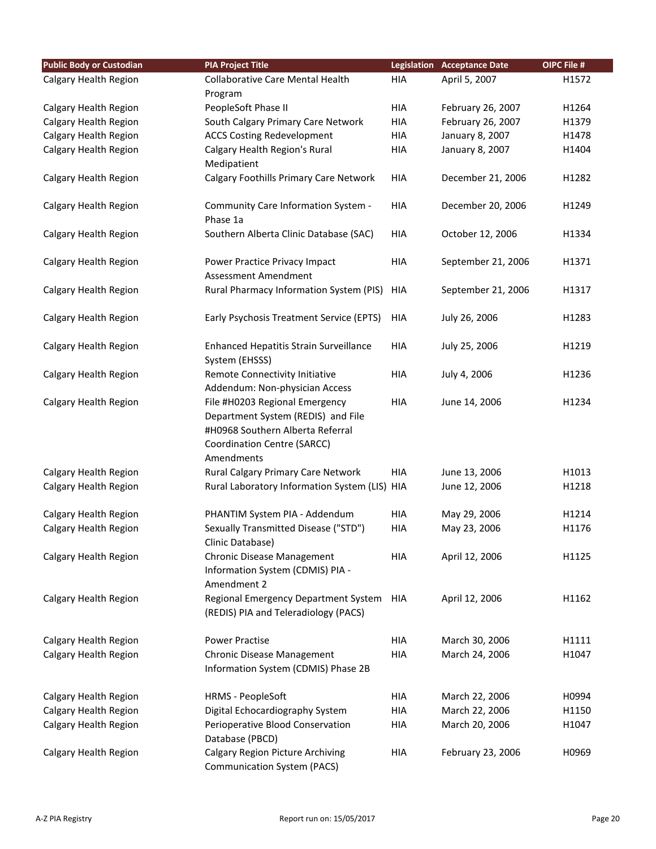| <b>Public Body or Custodian</b> | <b>PIA Project Title</b>                                                                                                                              |            | <b>Legislation Acceptance Date</b> | OIPC File # |
|---------------------------------|-------------------------------------------------------------------------------------------------------------------------------------------------------|------------|------------------------------------|-------------|
| Calgary Health Region           | <b>Collaborative Care Mental Health</b>                                                                                                               | <b>HIA</b> | April 5, 2007                      | H1572       |
|                                 | Program                                                                                                                                               |            |                                    |             |
| Calgary Health Region           | PeopleSoft Phase II                                                                                                                                   | <b>HIA</b> | February 26, 2007                  | H1264       |
| Calgary Health Region           | South Calgary Primary Care Network                                                                                                                    | <b>HIA</b> | February 26, 2007                  | H1379       |
| Calgary Health Region           | <b>ACCS Costing Redevelopment</b>                                                                                                                     | <b>HIA</b> | January 8, 2007                    | H1478       |
| Calgary Health Region           | Calgary Health Region's Rural                                                                                                                         | <b>HIA</b> | January 8, 2007                    | H1404       |
|                                 | Medipatient                                                                                                                                           |            |                                    |             |
| Calgary Health Region           | Calgary Foothills Primary Care Network                                                                                                                | <b>HIA</b> | December 21, 2006                  | H1282       |
| Calgary Health Region           | Community Care Information System -<br>Phase 1a                                                                                                       | <b>HIA</b> | December 20, 2006                  | H1249       |
| Calgary Health Region           | Southern Alberta Clinic Database (SAC)                                                                                                                | <b>HIA</b> | October 12, 2006                   | H1334       |
|                                 |                                                                                                                                                       |            |                                    |             |
| Calgary Health Region           | Power Practice Privacy Impact<br>Assessment Amendment                                                                                                 | <b>HIA</b> | September 21, 2006                 | H1371       |
| Calgary Health Region           | Rural Pharmacy Information System (PIS)                                                                                                               | HIA        | September 21, 2006                 | H1317       |
| Calgary Health Region           | Early Psychosis Treatment Service (EPTS)                                                                                                              | <b>HIA</b> | July 26, 2006                      | H1283       |
| Calgary Health Region           | Enhanced Hepatitis Strain Surveillance<br>System (EHSSS)                                                                                              | <b>HIA</b> | July 25, 2006                      | H1219       |
| Calgary Health Region           | Remote Connectivity Initiative                                                                                                                        | <b>HIA</b> | July 4, 2006                       | H1236       |
|                                 | Addendum: Non-physician Access                                                                                                                        |            |                                    |             |
| Calgary Health Region           | File #H0203 Regional Emergency<br>Department System (REDIS) and File<br>#H0968 Southern Alberta Referral<br>Coordination Centre (SARCC)<br>Amendments | <b>HIA</b> | June 14, 2006                      | H1234       |
| Calgary Health Region           | Rural Calgary Primary Care Network                                                                                                                    | <b>HIA</b> | June 13, 2006                      | H1013       |
| Calgary Health Region           | Rural Laboratory Information System (LIS) HIA                                                                                                         |            | June 12, 2006                      | H1218       |
| Calgary Health Region           | PHANTIM System PIA - Addendum                                                                                                                         | <b>HIA</b> | May 29, 2006                       | H1214       |
| Calgary Health Region           | Sexually Transmitted Disease ("STD")                                                                                                                  | <b>HIA</b> | May 23, 2006                       | H1176       |
|                                 | Clinic Database)                                                                                                                                      |            |                                    |             |
| Calgary Health Region           | Chronic Disease Management<br>Information System (CDMIS) PIA -<br>Amendment 2                                                                         | HIA        | April 12, 2006                     | H1125       |
| Calgary Health Region           | Regional Emergency Department System<br>(REDIS) PIA and Teleradiology (PACS)                                                                          | HIA        | April 12, 2006                     | H1162       |
| Calgary Health Region           | <b>Power Practise</b>                                                                                                                                 | <b>HIA</b> | March 30, 2006                     | H1111       |
| Calgary Health Region           | Chronic Disease Management                                                                                                                            | <b>HIA</b> | March 24, 2006                     | H1047       |
|                                 | Information System (CDMIS) Phase 2B                                                                                                                   |            |                                    |             |
| Calgary Health Region           | <b>HRMS - PeopleSoft</b>                                                                                                                              | <b>HIA</b> | March 22, 2006                     | H0994       |
| Calgary Health Region           | Digital Echocardiography System                                                                                                                       | HIA        | March 22, 2006                     | H1150       |
| Calgary Health Region           | Perioperative Blood Conservation<br>Database (PBCD)                                                                                                   | HIA        | March 20, 2006                     | H1047       |
| Calgary Health Region           | <b>Calgary Region Picture Archiving</b><br><b>Communication System (PACS)</b>                                                                         | HIA        | February 23, 2006                  | H0969       |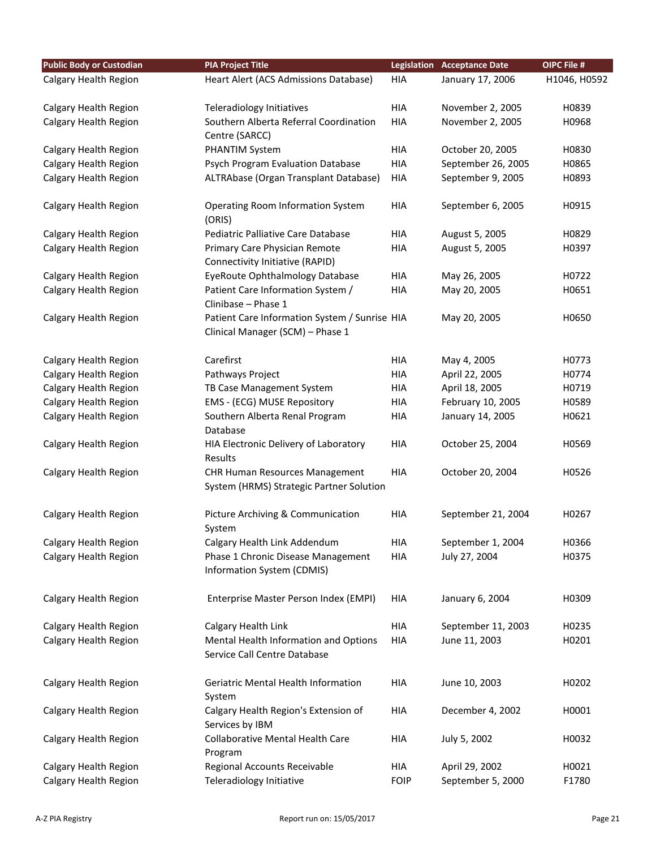| <b>Public Body or Custodian</b> | <b>PIA Project Title</b>                         |             | <b>Legislation Acceptance Date</b> | OIPC File #  |
|---------------------------------|--------------------------------------------------|-------------|------------------------------------|--------------|
| Calgary Health Region           | Heart Alert (ACS Admissions Database)            | <b>HIA</b>  | January 17, 2006                   | H1046, H0592 |
|                                 |                                                  |             |                                    |              |
| Calgary Health Region           | Teleradiology Initiatives                        | HIA         | November 2, 2005                   | H0839        |
| Calgary Health Region           | Southern Alberta Referral Coordination           | <b>HIA</b>  | November 2, 2005                   | H0968        |
|                                 | Centre (SARCC)                                   |             |                                    |              |
| Calgary Health Region           | <b>PHANTIM System</b>                            | HIA         | October 20, 2005                   | H0830        |
| Calgary Health Region           | Psych Program Evaluation Database                | <b>HIA</b>  | September 26, 2005                 | H0865        |
| Calgary Health Region           | ALTRAbase (Organ Transplant Database)            | HIA         | September 9, 2005                  | H0893        |
|                                 |                                                  |             |                                    |              |
| Calgary Health Region           | <b>Operating Room Information System</b>         | <b>HIA</b>  | September 6, 2005                  | H0915        |
|                                 | (ORIS)                                           |             |                                    |              |
| Calgary Health Region           | Pediatric Palliative Care Database               | <b>HIA</b>  | August 5, 2005                     | H0829        |
| Calgary Health Region           | Primary Care Physician Remote                    | <b>HIA</b>  | August 5, 2005                     | H0397        |
|                                 | Connectivity Initiative (RAPID)                  |             |                                    |              |
| Calgary Health Region           | EyeRoute Ophthalmology Database                  | <b>HIA</b>  | May 26, 2005                       | H0722        |
| Calgary Health Region           | Patient Care Information System /                | <b>HIA</b>  | May 20, 2005                       | H0651        |
|                                 | Clinibase - Phase 1                              |             |                                    |              |
| Calgary Health Region           | Patient Care Information System / Sunrise HIA    |             | May 20, 2005                       | H0650        |
|                                 | Clinical Manager (SCM) - Phase 1                 |             |                                    |              |
|                                 |                                                  |             |                                    |              |
| Calgary Health Region           | Carefirst                                        | HIA         | May 4, 2005                        | H0773        |
| Calgary Health Region           | Pathways Project                                 | <b>HIA</b>  | April 22, 2005                     | H0774        |
| Calgary Health Region           | TB Case Management System                        | <b>HIA</b>  | April 18, 2005                     | H0719        |
| Calgary Health Region           | EMS - (ECG) MUSE Repository                      | <b>HIA</b>  | February 10, 2005                  | H0589        |
| Calgary Health Region           | Southern Alberta Renal Program                   | HIA         | January 14, 2005                   | H0621        |
|                                 | Database                                         | <b>HIA</b>  |                                    | H0569        |
| Calgary Health Region           | HIA Electronic Delivery of Laboratory<br>Results |             | October 25, 2004                   |              |
| Calgary Health Region           | <b>CHR Human Resources Management</b>            | <b>HIA</b>  | October 20, 2004                   | H0526        |
|                                 | System (HRMS) Strategic Partner Solution         |             |                                    |              |
|                                 |                                                  |             |                                    |              |
| Calgary Health Region           | Picture Archiving & Communication                | <b>HIA</b>  | September 21, 2004                 | H0267        |
|                                 | System                                           |             |                                    |              |
| Calgary Health Region           | Calgary Health Link Addendum                     | HIA         | September 1, 2004                  | H0366        |
| Calgary Health Region           | Phase 1 Chronic Disease Management               | <b>HIA</b>  | July 27, 2004                      | H0375        |
|                                 | Information System (CDMIS)                       |             |                                    |              |
|                                 |                                                  |             |                                    |              |
| Calgary Health Region           | Enterprise Master Person Index (EMPI)            | HIA         | January 6, 2004                    | H0309        |
|                                 |                                                  |             |                                    |              |
| Calgary Health Region           | Calgary Health Link                              | HIA         | September 11, 2003                 | H0235        |
| Calgary Health Region           | Mental Health Information and Options            | HIA         | June 11, 2003                      | H0201        |
|                                 | Service Call Centre Database                     |             |                                    |              |
|                                 |                                                  |             |                                    |              |
| Calgary Health Region           | Geriatric Mental Health Information              | HIA         | June 10, 2003                      | H0202        |
|                                 | System                                           |             |                                    |              |
| Calgary Health Region           | Calgary Health Region's Extension of             | HIA         | December 4, 2002                   | H0001        |
|                                 | Services by IBM                                  |             |                                    |              |
| Calgary Health Region           | Collaborative Mental Health Care                 | HIA         | July 5, 2002                       | H0032        |
|                                 | Program                                          |             |                                    |              |
| Calgary Health Region           | Regional Accounts Receivable                     | HIA         | April 29, 2002                     | H0021        |
| Calgary Health Region           | Teleradiology Initiative                         | <b>FOIP</b> | September 5, 2000                  | F1780        |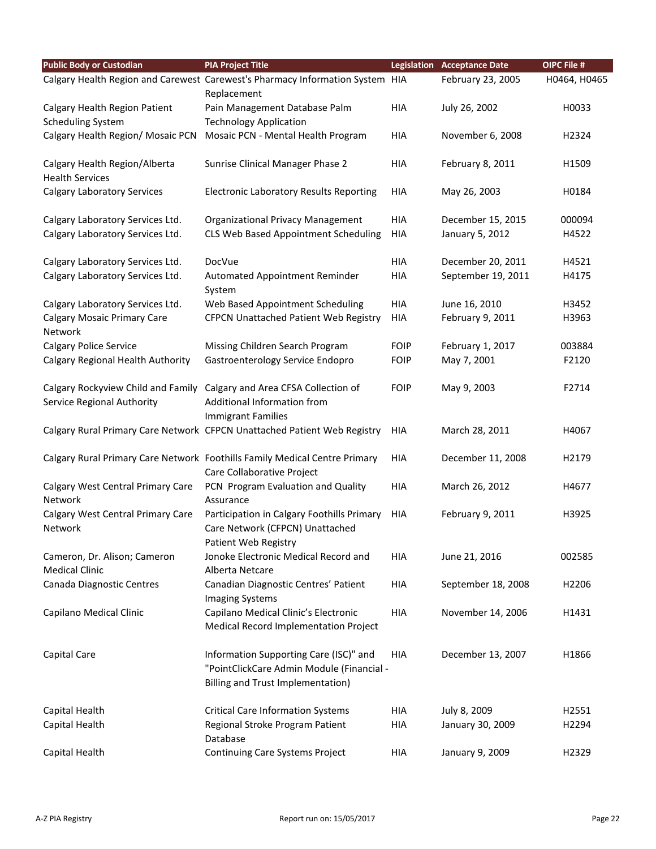| <b>Public Body or Custodian</b>                         | <b>PIA Project Title</b>                                                                                                           |             | <b>Legislation Acceptance Date</b> | OIPC File #       |
|---------------------------------------------------------|------------------------------------------------------------------------------------------------------------------------------------|-------------|------------------------------------|-------------------|
|                                                         | Calgary Health Region and Carewest Carewest's Pharmacy Information System HIA                                                      |             | February 23, 2005                  | H0464, H0465      |
|                                                         | Replacement                                                                                                                        |             |                                    |                   |
| Calgary Health Region Patient                           | Pain Management Database Palm                                                                                                      | <b>HIA</b>  | July 26, 2002                      | H0033             |
| <b>Scheduling System</b>                                | <b>Technology Application</b>                                                                                                      |             |                                    |                   |
| Calgary Health Region/ Mosaic PCN                       | Mosaic PCN - Mental Health Program                                                                                                 | HIA         | November 6, 2008                   | H2324             |
| Calgary Health Region/Alberta<br><b>Health Services</b> | Sunrise Clinical Manager Phase 2                                                                                                   | <b>HIA</b>  | February 8, 2011                   | H1509             |
| <b>Calgary Laboratory Services</b>                      | <b>Electronic Laboratory Results Reporting</b>                                                                                     | HIA         | May 26, 2003                       | H0184             |
| Calgary Laboratory Services Ltd.                        | <b>Organizational Privacy Management</b>                                                                                           | HIA         | December 15, 2015                  | 000094            |
| Calgary Laboratory Services Ltd.                        | CLS Web Based Appointment Scheduling                                                                                               | <b>HIA</b>  | January 5, 2012                    | H4522             |
| Calgary Laboratory Services Ltd.                        | DocVue                                                                                                                             | <b>HIA</b>  | December 20, 2011                  | H4521             |
| Calgary Laboratory Services Ltd.                        | Automated Appointment Reminder<br>System                                                                                           | <b>HIA</b>  | September 19, 2011                 | H4175             |
| Calgary Laboratory Services Ltd.                        | Web Based Appointment Scheduling                                                                                                   | <b>HIA</b>  | June 16, 2010                      | H3452             |
| <b>Calgary Mosaic Primary Care</b><br>Network           | <b>CFPCN Unattached Patient Web Registry</b>                                                                                       | <b>HIA</b>  | February 9, 2011                   | H3963             |
| <b>Calgary Police Service</b>                           | Missing Children Search Program                                                                                                    | <b>FOIP</b> | February 1, 2017                   | 003884            |
| Calgary Regional Health Authority                       | Gastroenterology Service Endopro                                                                                                   | <b>FOIP</b> | May 7, 2001                        | F2120             |
| Service Regional Authority                              | Calgary Rockyview Child and Family Calgary and Area CFSA Collection of<br>Additional Information from<br><b>Immigrant Families</b> | <b>FOIP</b> | May 9, 2003                        | F2714             |
|                                                         | Calgary Rural Primary Care Network CFPCN Unattached Patient Web Registry                                                           | <b>HIA</b>  | March 28, 2011                     | H4067             |
|                                                         | Calgary Rural Primary Care Network Foothills Family Medical Centre Primary<br>Care Collaborative Project                           | HIA         | December 11, 2008                  | H2179             |
| Calgary West Central Primary Care<br>Network            | PCN Program Evaluation and Quality<br>Assurance                                                                                    | <b>HIA</b>  | March 26, 2012                     | H4677             |
| Calgary West Central Primary Care<br>Network            | Participation in Calgary Foothills Primary<br>Care Network (CFPCN) Unattached<br>Patient Web Registry                              | <b>HIA</b>  | February 9, 2011                   | H3925             |
| Cameron, Dr. Alison; Cameron<br><b>Medical Clinic</b>   | Jonoke Electronic Medical Record and<br>Alberta Netcare                                                                            | HIA         | June 21, 2016                      | 002585            |
| Canada Diagnostic Centres                               | Canadian Diagnostic Centres' Patient<br><b>Imaging Systems</b>                                                                     | HIA         | September 18, 2008                 | H <sub>2206</sub> |
| Capilano Medical Clinic                                 | Capilano Medical Clinic's Electronic<br>Medical Record Implementation Project                                                      | HIA         | November 14, 2006                  | H1431             |
| Capital Care                                            | Information Supporting Care (ISC)" and<br>"PointClickCare Admin Module (Financial -<br>Billing and Trust Implementation)           | <b>HIA</b>  | December 13, 2007                  | H1866             |
| Capital Health                                          | <b>Critical Care Information Systems</b>                                                                                           | HIA         | July 8, 2009                       | H2551             |
| Capital Health                                          | Regional Stroke Program Patient<br>Database                                                                                        | <b>HIA</b>  | January 30, 2009                   | H2294             |
| Capital Health                                          | Continuing Care Systems Project                                                                                                    | HIA         | January 9, 2009                    | H2329             |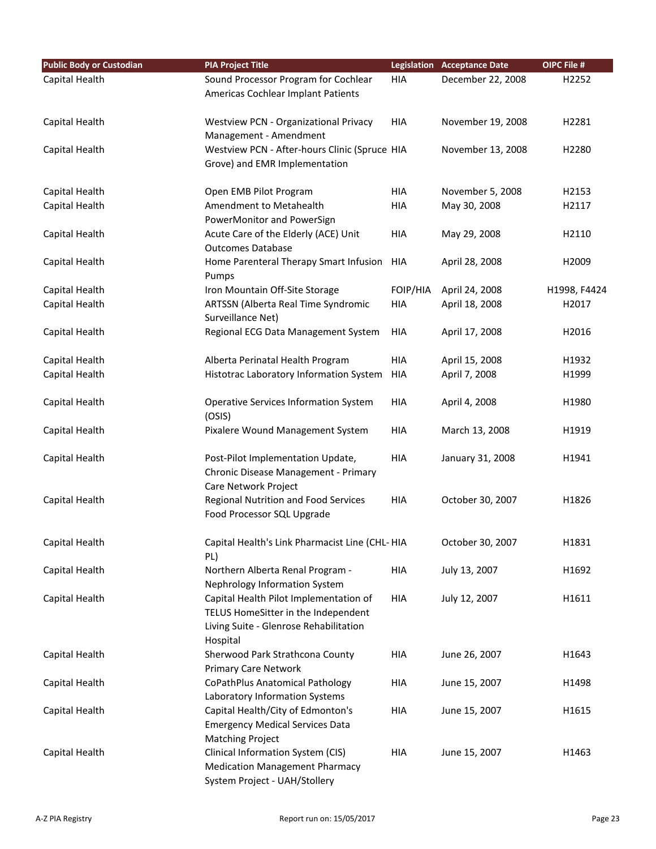| <b>Public Body or Custodian</b> | <b>PIA Project Title</b>                                                      |            | <b>Legislation Acceptance Date</b> | OIPC File #  |
|---------------------------------|-------------------------------------------------------------------------------|------------|------------------------------------|--------------|
| Capital Health                  | Sound Processor Program for Cochlear                                          | <b>HIA</b> | December 22, 2008                  | H2252        |
|                                 | Americas Cochlear Implant Patients                                            |            |                                    |              |
|                                 |                                                                               |            |                                    |              |
| Capital Health                  | Westview PCN - Organizational Privacy                                         | <b>HIA</b> | November 19, 2008                  | H2281        |
|                                 | Management - Amendment                                                        |            |                                    |              |
| Capital Health                  | Westview PCN - After-hours Clinic (Spruce HIA                                 |            | November 13, 2008                  | H2280        |
|                                 | Grove) and EMR Implementation                                                 |            |                                    |              |
| Capital Health                  | Open EMB Pilot Program                                                        | <b>HIA</b> | November 5, 2008                   | H2153        |
| Capital Health                  | Amendment to Metahealth                                                       | <b>HIA</b> | May 30, 2008                       | H2117        |
|                                 | PowerMonitor and PowerSign                                                    |            |                                    |              |
| Capital Health                  | Acute Care of the Elderly (ACE) Unit                                          | HIA        | May 29, 2008                       | H2110        |
|                                 | <b>Outcomes Database</b>                                                      |            |                                    |              |
| Capital Health                  | Home Parenteral Therapy Smart Infusion                                        | <b>HIA</b> | April 28, 2008                     | H2009        |
|                                 | Pumps                                                                         |            |                                    |              |
| Capital Health                  | Iron Mountain Off-Site Storage                                                | FOIP/HIA   | April 24, 2008                     | H1998, F4424 |
| Capital Health                  | ARTSSN (Alberta Real Time Syndromic                                           | HIA        | April 18, 2008                     | H2017        |
|                                 | Surveillance Net)                                                             |            |                                    |              |
| Capital Health                  | Regional ECG Data Management System                                           | <b>HIA</b> | April 17, 2008                     | H2016        |
| Capital Health                  | Alberta Perinatal Health Program                                              | <b>HIA</b> | April 15, 2008                     | H1932        |
| Capital Health                  | Histotrac Laboratory Information System                                       | HIA        | April 7, 2008                      | H1999        |
|                                 |                                                                               |            |                                    |              |
| Capital Health                  | <b>Operative Services Information System</b>                                  | <b>HIA</b> | April 4, 2008                      | H1980        |
|                                 | (OSIS)                                                                        |            |                                    |              |
| Capital Health                  | Pixalere Wound Management System                                              | HIA        | March 13, 2008                     | H1919        |
| Capital Health                  | Post-Pilot Implementation Update,                                             | <b>HIA</b> | January 31, 2008                   | H1941        |
|                                 | Chronic Disease Management - Primary                                          |            |                                    |              |
|                                 | Care Network Project                                                          |            |                                    |              |
| Capital Health                  | Regional Nutrition and Food Services                                          | <b>HIA</b> | October 30, 2007                   | H1826        |
|                                 | Food Processor SQL Upgrade                                                    |            |                                    |              |
|                                 |                                                                               |            |                                    |              |
| Capital Health                  | Capital Health's Link Pharmacist Line (CHL-HIA                                |            | October 30, 2007                   | H1831        |
|                                 | PL)                                                                           |            |                                    |              |
| Capital Health                  | Northern Alberta Renal Program -                                              | <b>HIA</b> | July 13, 2007                      | H1692        |
|                                 | Nephrology Information System                                                 |            |                                    |              |
| Capital Health                  | Capital Health Pilot Implementation of                                        | <b>HIA</b> | July 12, 2007                      | H1611        |
|                                 | TELUS HomeSitter in the Independent<br>Living Suite - Glenrose Rehabilitation |            |                                    |              |
|                                 | Hospital                                                                      |            |                                    |              |
| Capital Health                  | Sherwood Park Strathcona County                                               | HIA        | June 26, 2007                      | H1643        |
|                                 | <b>Primary Care Network</b>                                                   |            |                                    |              |
| Capital Health                  | CoPathPlus Anatomical Pathology                                               | HIA        | June 15, 2007                      | H1498        |
|                                 | Laboratory Information Systems                                                |            |                                    |              |
| Capital Health                  | Capital Health/City of Edmonton's                                             | <b>HIA</b> | June 15, 2007                      | H1615        |
|                                 | <b>Emergency Medical Services Data</b>                                        |            |                                    |              |
|                                 | <b>Matching Project</b>                                                       |            |                                    |              |
| Capital Health                  | Clinical Information System (CIS)                                             | HIA        | June 15, 2007                      | H1463        |
|                                 | <b>Medication Management Pharmacy</b>                                         |            |                                    |              |
|                                 | System Project - UAH/Stollery                                                 |            |                                    |              |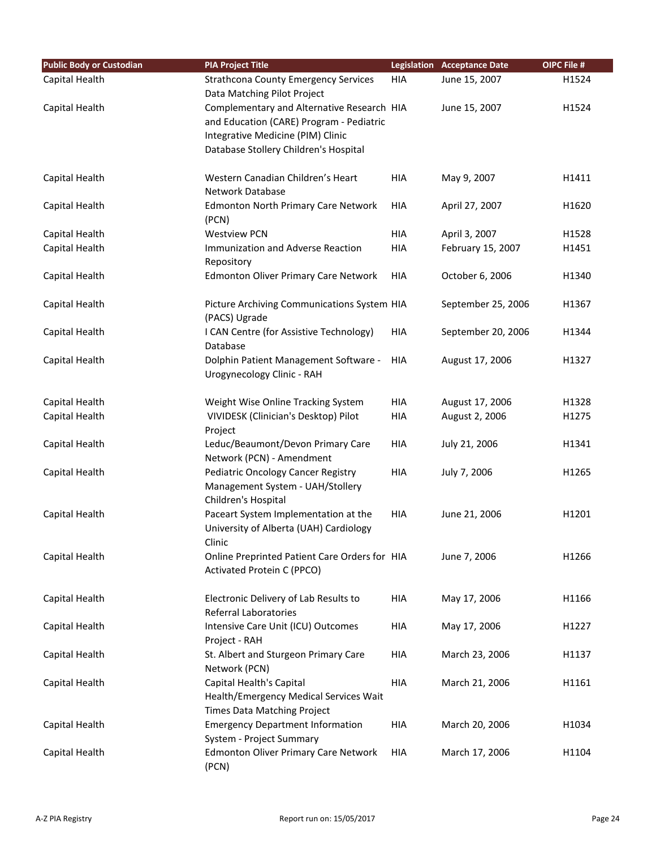| <b>Public Body or Custodian</b> | <b>PIA Project Title</b>                                                       |            | <b>Legislation Acceptance Date</b> | OIPC File # |
|---------------------------------|--------------------------------------------------------------------------------|------------|------------------------------------|-------------|
| Capital Health                  | <b>Strathcona County Emergency Services</b>                                    | HIA        | June 15, 2007                      | H1524       |
|                                 | Data Matching Pilot Project                                                    |            |                                    |             |
| Capital Health                  | Complementary and Alternative Research HIA                                     |            | June 15, 2007                      | H1524       |
|                                 | and Education (CARE) Program - Pediatric                                       |            |                                    |             |
|                                 | Integrative Medicine (PIM) Clinic                                              |            |                                    |             |
|                                 | Database Stollery Children's Hospital                                          |            |                                    |             |
| Capital Health                  | Western Canadian Children's Heart                                              | HIA        | May 9, 2007                        | H1411       |
|                                 | <b>Network Database</b>                                                        |            |                                    |             |
| Capital Health                  | <b>Edmonton North Primary Care Network</b>                                     | <b>HIA</b> | April 27, 2007                     | H1620       |
|                                 | (PCN)                                                                          |            |                                    |             |
| Capital Health                  | <b>Westview PCN</b>                                                            | HIA        | April 3, 2007                      | H1528       |
| Capital Health                  | Immunization and Adverse Reaction                                              | HIA        | February 15, 2007                  | H1451       |
|                                 | Repository                                                                     |            |                                    |             |
| Capital Health                  | <b>Edmonton Oliver Primary Care Network</b>                                    | HIA        | October 6, 2006                    | H1340       |
| Capital Health                  | Picture Archiving Communications System HIA                                    |            | September 25, 2006                 | H1367       |
|                                 | (PACS) Ugrade                                                                  |            |                                    |             |
| Capital Health                  | I CAN Centre (for Assistive Technology)                                        | HIA        | September 20, 2006                 | H1344       |
|                                 | Database                                                                       |            |                                    |             |
| Capital Health                  | Dolphin Patient Management Software -                                          | <b>HIA</b> | August 17, 2006                    | H1327       |
|                                 | Urogynecology Clinic - RAH                                                     |            |                                    |             |
| Capital Health                  | Weight Wise Online Tracking System                                             | HIA        | August 17, 2006                    | H1328       |
| Capital Health                  | VIVIDESK (Clinician's Desktop) Pilot                                           | HIA        | August 2, 2006                     | H1275       |
|                                 | Project                                                                        |            |                                    |             |
| Capital Health                  | Leduc/Beaumont/Devon Primary Care                                              | HIA        | July 21, 2006                      | H1341       |
|                                 | Network (PCN) - Amendment                                                      |            |                                    |             |
| Capital Health                  | Pediatric Oncology Cancer Registry                                             | HIA        | July 7, 2006                       | H1265       |
|                                 | Management System - UAH/Stollery                                               |            |                                    |             |
|                                 | Children's Hospital                                                            |            |                                    |             |
| Capital Health                  | Paceart System Implementation at the<br>University of Alberta (UAH) Cardiology | <b>HIA</b> | June 21, 2006                      | H1201       |
|                                 | Clinic                                                                         |            |                                    |             |
| Capital Health                  | Online Preprinted Patient Care Orders for HIA                                  |            | June 7, 2006                       | H1266       |
|                                 | Activated Protein C (PPCO)                                                     |            |                                    |             |
|                                 |                                                                                |            |                                    |             |
| Capital Health                  | Electronic Delivery of Lab Results to                                          | HIA        | May 17, 2006                       | H1166       |
|                                 | Referral Laboratories                                                          |            |                                    |             |
| Capital Health                  | Intensive Care Unit (ICU) Outcomes                                             | HIA        | May 17, 2006                       | H1227       |
|                                 | Project - RAH                                                                  |            |                                    |             |
| Capital Health                  | St. Albert and Sturgeon Primary Care                                           | HIA        | March 23, 2006                     | H1137       |
|                                 | Network (PCN)                                                                  |            |                                    |             |
| Capital Health                  | Capital Health's Capital                                                       | HIA        | March 21, 2006                     | H1161       |
|                                 | Health/Emergency Medical Services Wait                                         |            |                                    |             |
| Capital Health                  | Times Data Matching Project<br><b>Emergency Department Information</b>         | HIA        | March 20, 2006                     | H1034       |
|                                 | System - Project Summary                                                       |            |                                    |             |
| Capital Health                  | <b>Edmonton Oliver Primary Care Network</b>                                    | HIA        | March 17, 2006                     | H1104       |
|                                 | (PCN)                                                                          |            |                                    |             |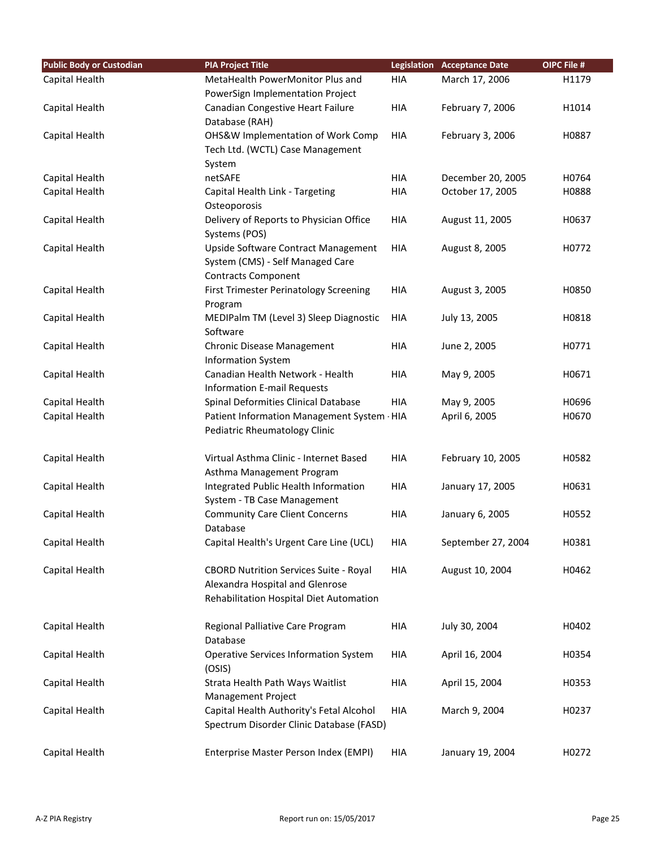| <b>Public Body or Custodian</b> | <b>PIA Project Title</b>                                                     |            | <b>Legislation Acceptance Date</b> | OIPC File # |
|---------------------------------|------------------------------------------------------------------------------|------------|------------------------------------|-------------|
| Capital Health                  | MetaHealth PowerMonitor Plus and                                             | HIA        | March 17, 2006                     | H1179       |
|                                 | PowerSign Implementation Project                                             |            |                                    |             |
| Capital Health                  | Canadian Congestive Heart Failure                                            | HIA        | February 7, 2006                   | H1014       |
|                                 | Database (RAH)                                                               |            |                                    |             |
| Capital Health                  | OHS&W Implementation of Work Comp                                            | <b>HIA</b> | February 3, 2006                   | H0887       |
|                                 | Tech Ltd. (WCTL) Case Management                                             |            |                                    |             |
|                                 | System                                                                       |            |                                    |             |
| Capital Health                  | netSAFE                                                                      | HIA        | December 20, 2005                  | H0764       |
| Capital Health                  | Capital Health Link - Targeting                                              | HIA        | October 17, 2005                   | H0888       |
|                                 | Osteoporosis                                                                 |            |                                    |             |
| Capital Health                  | Delivery of Reports to Physician Office                                      | <b>HIA</b> | August 11, 2005                    | H0637       |
|                                 | Systems (POS)                                                                |            |                                    |             |
| Capital Health                  | Upside Software Contract Management                                          | <b>HIA</b> | August 8, 2005                     | H0772       |
|                                 | System (CMS) - Self Managed Care                                             |            |                                    |             |
|                                 | <b>Contracts Component</b>                                                   |            |                                    |             |
| Capital Health                  | First Trimester Perinatology Screening                                       | <b>HIA</b> | August 3, 2005                     | H0850       |
|                                 | Program                                                                      |            |                                    |             |
| Capital Health                  | MEDIPalm TM (Level 3) Sleep Diagnostic                                       | <b>HIA</b> | July 13, 2005                      | H0818       |
|                                 | Software                                                                     |            |                                    |             |
| Capital Health                  | Chronic Disease Management                                                   | <b>HIA</b> | June 2, 2005                       | H0771       |
|                                 | <b>Information System</b>                                                    |            |                                    |             |
| Capital Health                  | Canadian Health Network - Health                                             | <b>HIA</b> | May 9, 2005                        | H0671       |
|                                 | <b>Information E-mail Requests</b>                                           |            |                                    |             |
| Capital Health                  | Spinal Deformities Clinical Database                                         | <b>HIA</b> | May 9, 2005                        | H0696       |
| Capital Health                  | Patient Information Management System - HIA<br>Pediatric Rheumatology Clinic |            | April 6, 2005                      | H0670       |
|                                 |                                                                              |            |                                    |             |
| Capital Health                  | Virtual Asthma Clinic - Internet Based                                       | <b>HIA</b> | February 10, 2005                  | H0582       |
|                                 | Asthma Management Program                                                    |            |                                    |             |
| Capital Health                  | Integrated Public Health Information                                         | HIA        | January 17, 2005                   | H0631       |
|                                 | System - TB Case Management                                                  |            |                                    |             |
| Capital Health                  | <b>Community Care Client Concerns</b>                                        | <b>HIA</b> | January 6, 2005                    | H0552       |
|                                 | Database                                                                     |            |                                    |             |
| Capital Health                  | Capital Health's Urgent Care Line (UCL)                                      | HIA        | September 27, 2004                 | H0381       |
|                                 |                                                                              |            |                                    |             |
| Capital Health                  | <b>CBORD Nutrition Services Suite - Royal</b>                                | HIA        | August 10, 2004                    | H0462       |
|                                 | Alexandra Hospital and Glenrose                                              |            |                                    |             |
|                                 | Rehabilitation Hospital Diet Automation                                      |            |                                    |             |
|                                 |                                                                              |            |                                    |             |
| Capital Health                  | Regional Palliative Care Program                                             | HIA        | July 30, 2004                      | H0402       |
|                                 | Database                                                                     |            |                                    |             |
| Capital Health                  | <b>Operative Services Information System</b>                                 | HIA        | April 16, 2004                     | H0354       |
|                                 | (OSIS)                                                                       |            |                                    |             |
| Capital Health                  | Strata Health Path Ways Waitlist                                             | HIA        | April 15, 2004                     | H0353       |
|                                 | <b>Management Project</b>                                                    |            |                                    |             |
| Capital Health                  | Capital Health Authority's Fetal Alcohol                                     | HIA        | March 9, 2004                      | H0237       |
|                                 | Spectrum Disorder Clinic Database (FASD)                                     |            |                                    |             |
|                                 |                                                                              |            |                                    |             |
| Capital Health                  | Enterprise Master Person Index (EMPI)                                        | HIA        | January 19, 2004                   | H0272       |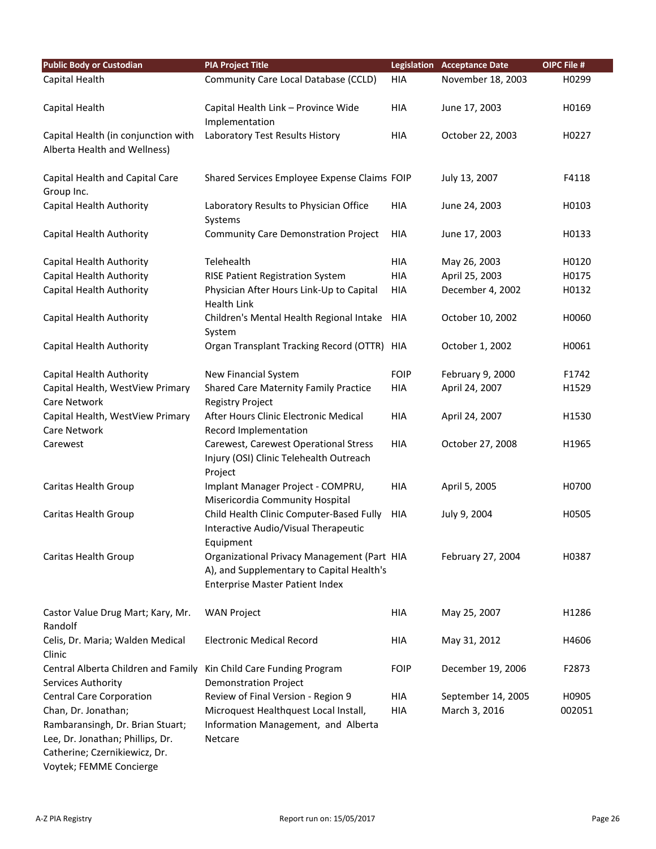| <b>Public Body or Custodian</b>                                                                                                  | <b>PIA Project Title</b>                                                                                                           | <b>Legislation</b> | <b>Acceptance Date</b> | OIPC File # |
|----------------------------------------------------------------------------------------------------------------------------------|------------------------------------------------------------------------------------------------------------------------------------|--------------------|------------------------|-------------|
| Capital Health                                                                                                                   | Community Care Local Database (CCLD)                                                                                               | <b>HIA</b>         | November 18, 2003      | H0299       |
| Capital Health                                                                                                                   | Capital Health Link - Province Wide<br>Implementation                                                                              | <b>HIA</b>         | June 17, 2003          | H0169       |
| Capital Health (in conjunction with<br>Alberta Health and Wellness)                                                              | Laboratory Test Results History                                                                                                    | <b>HIA</b>         | October 22, 2003       | H0227       |
| Capital Health and Capital Care<br>Group Inc.                                                                                    | Shared Services Employee Expense Claims FOIP                                                                                       |                    | July 13, 2007          | F4118       |
| Capital Health Authority                                                                                                         | Laboratory Results to Physician Office<br>Systems                                                                                  | <b>HIA</b>         | June 24, 2003          | H0103       |
| Capital Health Authority                                                                                                         | <b>Community Care Demonstration Project</b>                                                                                        | <b>HIA</b>         | June 17, 2003          | H0133       |
| Capital Health Authority                                                                                                         | Telehealth                                                                                                                         | <b>HIA</b>         | May 26, 2003           | H0120       |
| Capital Health Authority                                                                                                         | RISE Patient Registration System                                                                                                   | <b>HIA</b>         | April 25, 2003         | H0175       |
| Capital Health Authority                                                                                                         | Physician After Hours Link-Up to Capital<br><b>Health Link</b>                                                                     | HIA                | December 4, 2002       | H0132       |
| Capital Health Authority                                                                                                         | Children's Mental Health Regional Intake<br>System                                                                                 | <b>HIA</b>         | October 10, 2002       | H0060       |
| Capital Health Authority                                                                                                         | Organ Transplant Tracking Record (OTTR) HIA                                                                                        |                    | October 1, 2002        | H0061       |
| Capital Health Authority                                                                                                         | New Financial System                                                                                                               | <b>FOIP</b>        | February 9, 2000       | F1742       |
| Capital Health, WestView Primary                                                                                                 | Shared Care Maternity Family Practice                                                                                              | <b>HIA</b>         | April 24, 2007         | H1529       |
| Care Network                                                                                                                     | <b>Registry Project</b>                                                                                                            |                    |                        |             |
| Capital Health, WestView Primary                                                                                                 | After Hours Clinic Electronic Medical                                                                                              | <b>HIA</b>         | April 24, 2007         | H1530       |
| Care Network                                                                                                                     | Record Implementation                                                                                                              |                    |                        |             |
| Carewest                                                                                                                         | Carewest, Carewest Operational Stress<br>Injury (OSI) Clinic Telehealth Outreach<br>Project                                        | <b>HIA</b>         | October 27, 2008       | H1965       |
| Caritas Health Group                                                                                                             | Implant Manager Project - COMPRU,<br>Misericordia Community Hospital                                                               | <b>HIA</b>         | April 5, 2005          | H0700       |
| Caritas Health Group                                                                                                             | Child Health Clinic Computer-Based Fully<br>Interactive Audio/Visual Therapeutic<br>Equipment                                      | HIA                | July 9, 2004           | H0505       |
| Caritas Health Group                                                                                                             | Organizational Privacy Management (Part HIA<br>A), and Supplementary to Capital Health's<br><b>Enterprise Master Patient Index</b> |                    | February 27, 2004      | H0387       |
| Castor Value Drug Mart; Kary, Mr.<br>Randolf                                                                                     | <b>WAN Project</b>                                                                                                                 | <b>HIA</b>         | May 25, 2007           | H1286       |
| Celis, Dr. Maria; Walden Medical<br>Clinic                                                                                       | <b>Electronic Medical Record</b>                                                                                                   | HIA                | May 31, 2012           | H4606       |
| Central Alberta Children and Family<br>Services Authority                                                                        | Kin Child Care Funding Program<br><b>Demonstration Project</b>                                                                     | <b>FOIP</b>        | December 19, 2006      | F2873       |
| <b>Central Care Corporation</b>                                                                                                  | Review of Final Version - Region 9                                                                                                 | HIA                | September 14, 2005     | H0905       |
| Chan, Dr. Jonathan;                                                                                                              | Microquest Healthquest Local Install,                                                                                              | <b>HIA</b>         | March 3, 2016          | 002051      |
| Rambaransingh, Dr. Brian Stuart;<br>Lee, Dr. Jonathan; Phillips, Dr.<br>Catherine; Czernikiewicz, Dr.<br>Voytek; FEMME Concierge | Information Management, and Alberta<br>Netcare                                                                                     |                    |                        |             |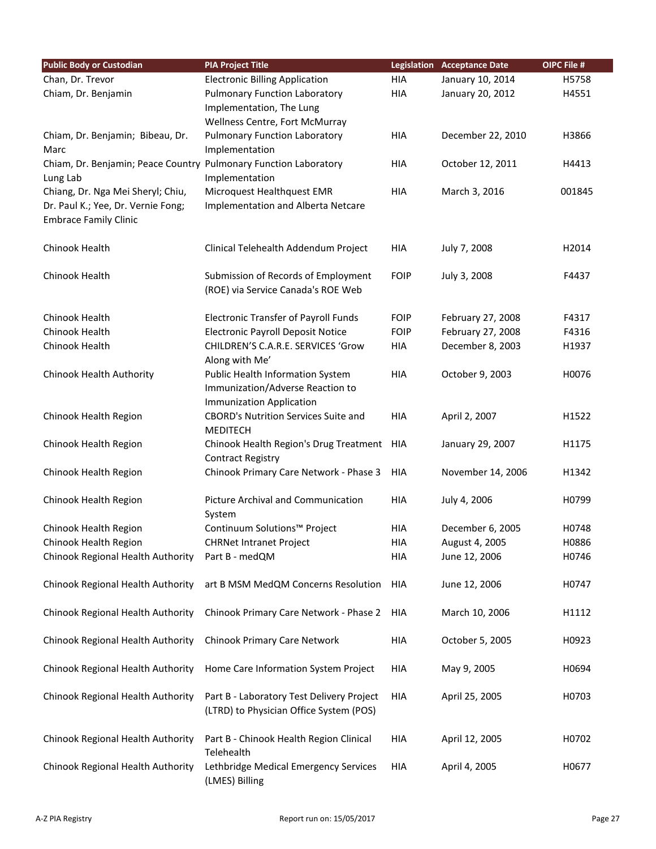| <b>Public Body or Custodian</b>                                  | <b>PIA Project Title</b>                                       |             | <b>Legislation Acceptance Date</b> | OIPC File # |
|------------------------------------------------------------------|----------------------------------------------------------------|-------------|------------------------------------|-------------|
| Chan, Dr. Trevor                                                 | <b>Electronic Billing Application</b>                          | <b>HIA</b>  | January 10, 2014                   | H5758       |
| Chiam, Dr. Benjamin                                              | <b>Pulmonary Function Laboratory</b>                           | <b>HIA</b>  | January 20, 2012                   | H4551       |
|                                                                  | Implementation, The Lung                                       |             |                                    |             |
|                                                                  | Wellness Centre, Fort McMurray                                 |             |                                    |             |
| Chiam, Dr. Benjamin; Bibeau, Dr.                                 | <b>Pulmonary Function Laboratory</b>                           | <b>HIA</b>  | December 22, 2010                  | H3866       |
| Marc                                                             | Implementation                                                 |             |                                    |             |
| Chiam, Dr. Benjamin; Peace Country Pulmonary Function Laboratory |                                                                | HIA         | October 12, 2011                   | H4413       |
| Lung Lab                                                         | Implementation                                                 |             |                                    |             |
| Chiang, Dr. Nga Mei Sheryl; Chiu,                                | Microquest Healthquest EMR                                     | <b>HIA</b>  | March 3, 2016                      | 001845      |
| Dr. Paul K.; Yee, Dr. Vernie Fong;                               | Implementation and Alberta Netcare                             |             |                                    |             |
| <b>Embrace Family Clinic</b>                                     |                                                                |             |                                    |             |
| Chinook Health                                                   | Clinical Telehealth Addendum Project                           | <b>HIA</b>  | July 7, 2008                       | H2014       |
| Chinook Health                                                   | Submission of Records of Employment                            | <b>FOIP</b> | July 3, 2008                       | F4437       |
|                                                                  | (ROE) via Service Canada's ROE Web                             |             |                                    |             |
| Chinook Health                                                   | <b>Electronic Transfer of Payroll Funds</b>                    | <b>FOIP</b> | February 27, 2008                  | F4317       |
| Chinook Health                                                   | <b>Electronic Payroll Deposit Notice</b>                       | <b>FOIP</b> | February 27, 2008                  | F4316       |
| Chinook Health                                                   | CHILDREN'S C.A.R.E. SERVICES 'Grow                             | <b>HIA</b>  | December 8, 2003                   | H1937       |
|                                                                  | Along with Me'                                                 |             |                                    |             |
| Chinook Health Authority                                         | Public Health Information System                               | <b>HIA</b>  | October 9, 2003                    | H0076       |
|                                                                  | Immunization/Adverse Reaction to                               |             |                                    |             |
|                                                                  | <b>Immunization Application</b>                                |             |                                    |             |
| Chinook Health Region                                            | <b>CBORD's Nutrition Services Suite and</b><br><b>MEDITECH</b> | <b>HIA</b>  | April 2, 2007                      | H1522       |
| Chinook Health Region                                            | Chinook Health Region's Drug Treatment HIA                     |             | January 29, 2007                   | H1175       |
|                                                                  | <b>Contract Registry</b>                                       |             |                                    |             |
| Chinook Health Region                                            | Chinook Primary Care Network - Phase 3                         | HIA         | November 14, 2006                  | H1342       |
| Chinook Health Region                                            | <b>Picture Archival and Communication</b>                      | <b>HIA</b>  | July 4, 2006                       | H0799       |
|                                                                  | System                                                         |             |                                    |             |
| Chinook Health Region                                            | Continuum Solutions™ Project                                   | <b>HIA</b>  | December 6, 2005                   | H0748       |
| Chinook Health Region                                            | <b>CHRNet Intranet Project</b>                                 | <b>HIA</b>  | August 4, 2005                     | H0886       |
| Chinook Regional Health Authority                                | Part B - medQM                                                 | HIA         | June 12, 2006                      | H0746       |
| Chinook Regional Health Authority                                | art B MSM MedQM Concerns Resolution                            | HIA         | June 12, 2006                      | H0747       |
| Chinook Regional Health Authority                                | Chinook Primary Care Network - Phase 2                         | HIA         | March 10, 2006                     | H1112       |
|                                                                  |                                                                |             |                                    |             |
| Chinook Regional Health Authority                                | Chinook Primary Care Network                                   | HIA         | October 5, 2005                    | H0923       |
| Chinook Regional Health Authority                                | Home Care Information System Project                           | HIA         | May 9, 2005                        | H0694       |
| Chinook Regional Health Authority                                | Part B - Laboratory Test Delivery Project                      | HIA         | April 25, 2005                     | H0703       |
|                                                                  | (LTRD) to Physician Office System (POS)                        |             |                                    |             |
| Chinook Regional Health Authority                                | Part B - Chinook Health Region Clinical                        | HIA         | April 12, 2005                     | H0702       |
|                                                                  | Telehealth                                                     |             |                                    |             |
| Chinook Regional Health Authority                                | Lethbridge Medical Emergency Services<br>(LMES) Billing        | HIA         | April 4, 2005                      | H0677       |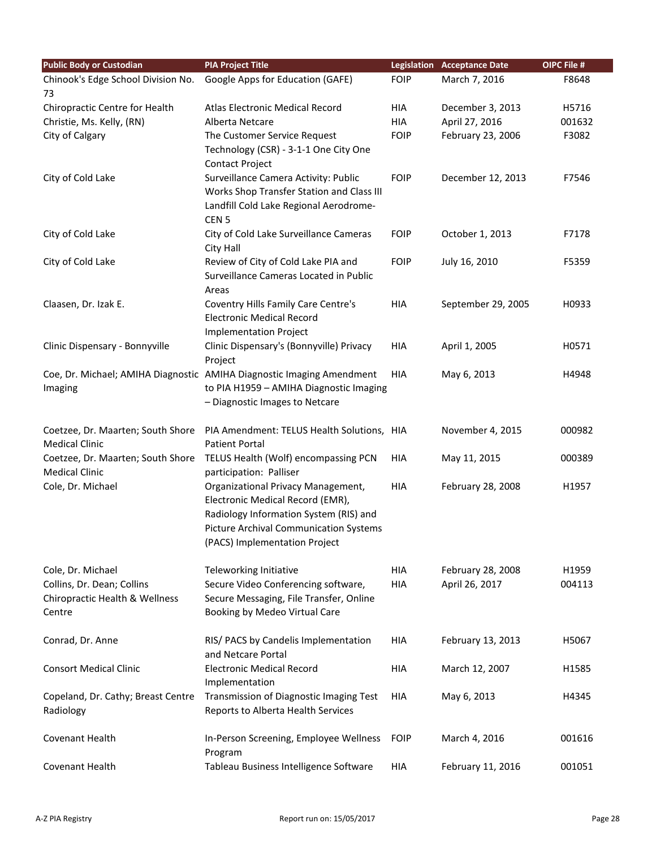| <b>Public Body or Custodian</b>    | <b>PIA Project Title</b>                                                |             | <b>Legislation Acceptance Date</b> | OIPC File # |
|------------------------------------|-------------------------------------------------------------------------|-------------|------------------------------------|-------------|
| Chinook's Edge School Division No. | Google Apps for Education (GAFE)                                        | <b>FOIP</b> | March 7, 2016                      | F8648       |
| 73                                 |                                                                         |             |                                    |             |
| Chiropractic Centre for Health     | Atlas Electronic Medical Record                                         | HIA         | December 3, 2013                   | H5716       |
| Christie, Ms. Kelly, (RN)          | Alberta Netcare                                                         | HIA         | April 27, 2016                     | 001632      |
| City of Calgary                    | The Customer Service Request                                            | <b>FOIP</b> | February 23, 2006                  | F3082       |
|                                    | Technology (CSR) - 3-1-1 One City One                                   |             |                                    |             |
|                                    | <b>Contact Project</b>                                                  |             |                                    |             |
| City of Cold Lake                  | Surveillance Camera Activity: Public                                    | <b>FOIP</b> | December 12, 2013                  | F7546       |
|                                    | Works Shop Transfer Station and Class III                               |             |                                    |             |
|                                    | Landfill Cold Lake Regional Aerodrome-                                  |             |                                    |             |
|                                    | CEN <sub>5</sub>                                                        |             |                                    |             |
| City of Cold Lake                  | City of Cold Lake Surveillance Cameras                                  | <b>FOIP</b> | October 1, 2013                    | F7178       |
|                                    | City Hall                                                               |             |                                    |             |
| City of Cold Lake                  | Review of City of Cold Lake PIA and                                     | <b>FOIP</b> | July 16, 2010                      | F5359       |
|                                    | Surveillance Cameras Located in Public<br>Areas                         |             |                                    |             |
| Claasen, Dr. Izak E.               | Coventry Hills Family Care Centre's                                     | <b>HIA</b>  | September 29, 2005                 | H0933       |
|                                    | <b>Electronic Medical Record</b>                                        |             |                                    |             |
|                                    | <b>Implementation Project</b>                                           |             |                                    |             |
| Clinic Dispensary - Bonnyville     | Clinic Dispensary's (Bonnyville) Privacy                                | HIA         | April 1, 2005                      | H0571       |
|                                    | Project                                                                 |             |                                    |             |
|                                    | Coe, Dr. Michael; AMIHA Diagnostic AMIHA Diagnostic Imaging Amendment   | <b>HIA</b>  | May 6, 2013                        | H4948       |
| Imaging                            | to PIA H1959 - AMIHA Diagnostic Imaging                                 |             |                                    |             |
|                                    | - Diagnostic Images to Netcare                                          |             |                                    |             |
|                                    |                                                                         |             |                                    |             |
| Coetzee, Dr. Maarten; South Shore  | PIA Amendment: TELUS Health Solutions, HIA                              |             | November 4, 2015                   | 000982      |
| <b>Medical Clinic</b>              | <b>Patient Portal</b>                                                   |             |                                    |             |
| Coetzee, Dr. Maarten; South Shore  | TELUS Health (Wolf) encompassing PCN                                    | HIA         | May 11, 2015                       | 000389      |
| <b>Medical Clinic</b>              | participation: Palliser                                                 |             |                                    |             |
| Cole, Dr. Michael                  | Organizational Privacy Management,                                      | <b>HIA</b>  | February 28, 2008                  | H1957       |
|                                    | Electronic Medical Record (EMR),                                        |             |                                    |             |
|                                    | Radiology Information System (RIS) and                                  |             |                                    |             |
|                                    | Picture Archival Communication Systems<br>(PACS) Implementation Project |             |                                    |             |
|                                    |                                                                         |             |                                    |             |
| Cole, Dr. Michael                  | Teleworking Initiative                                                  | HIA         | February 28, 2008                  | H1959       |
| Collins, Dr. Dean; Collins         | Secure Video Conferencing software,                                     | <b>HIA</b>  | April 26, 2017                     | 004113      |
| Chiropractic Health & Wellness     | Secure Messaging, File Transfer, Online                                 |             |                                    |             |
| Centre                             | Booking by Medeo Virtual Care                                           |             |                                    |             |
|                                    |                                                                         |             |                                    |             |
| Conrad, Dr. Anne                   | RIS/ PACS by Candelis Implementation                                    | HIA         | February 13, 2013                  | H5067       |
|                                    | and Netcare Portal                                                      |             |                                    |             |
| <b>Consort Medical Clinic</b>      | <b>Electronic Medical Record</b>                                        | HIA         | March 12, 2007                     | H1585       |
|                                    | Implementation                                                          |             |                                    |             |
| Copeland, Dr. Cathy; Breast Centre | Transmission of Diagnostic Imaging Test                                 | HIA         | May 6, 2013                        | H4345       |
| Radiology                          | Reports to Alberta Health Services                                      |             |                                    |             |
|                                    |                                                                         |             |                                    |             |
| Covenant Health                    | In-Person Screening, Employee Wellness                                  | <b>FOIP</b> | March 4, 2016                      | 001616      |
|                                    | Program                                                                 |             |                                    |             |
| Covenant Health                    | Tableau Business Intelligence Software                                  | HIA         | February 11, 2016                  | 001051      |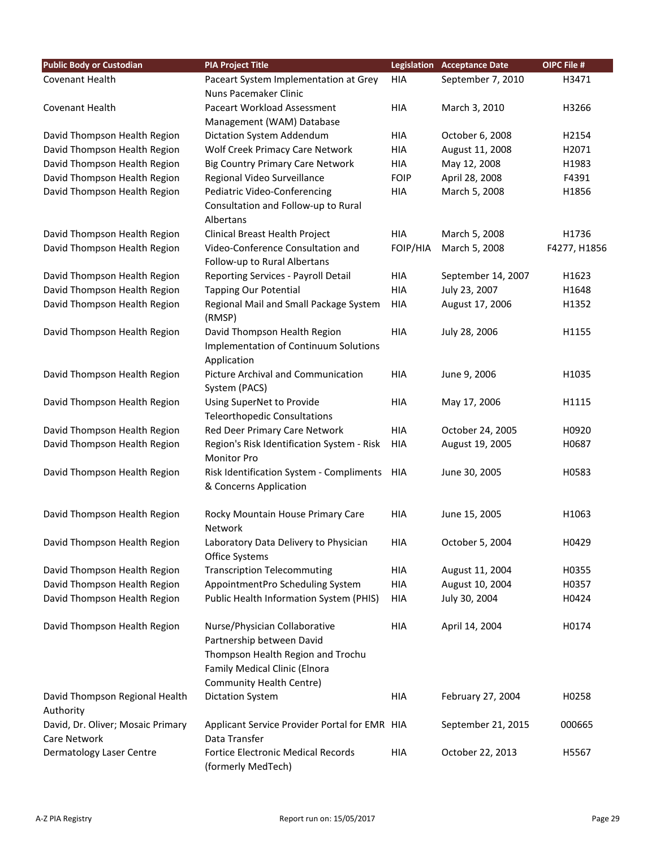| <b>Public Body or Custodian</b>   | <b>PIA Project Title</b>                         | Legislation | <b>Acceptance Date</b> | OIPC File #  |
|-----------------------------------|--------------------------------------------------|-------------|------------------------|--------------|
| Covenant Health                   | Paceart System Implementation at Grey            | <b>HIA</b>  | September 7, 2010      | H3471        |
|                                   | Nuns Pacemaker Clinic                            |             |                        |              |
| Covenant Health                   | Paceart Workload Assessment                      | <b>HIA</b>  | March 3, 2010          | H3266        |
|                                   | Management (WAM) Database                        |             |                        |              |
| David Thompson Health Region      | Dictation System Addendum                        | <b>HIA</b>  | October 6, 2008        | H2154        |
| David Thompson Health Region      | Wolf Creek Primacy Care Network                  | <b>HIA</b>  | August 11, 2008        | H2071        |
| David Thompson Health Region      | <b>Big Country Primary Care Network</b>          | <b>HIA</b>  | May 12, 2008           | H1983        |
| David Thompson Health Region      | Regional Video Surveillance                      | <b>FOIP</b> | April 28, 2008         | F4391        |
| David Thompson Health Region      | Pediatric Video-Conferencing                     | <b>HIA</b>  | March 5, 2008          | H1856        |
|                                   | Consultation and Follow-up to Rural              |             |                        |              |
|                                   | Albertans                                        |             |                        |              |
| David Thompson Health Region      | Clinical Breast Health Project                   | <b>HIA</b>  | March 5, 2008          | H1736        |
| David Thompson Health Region      | Video-Conference Consultation and                | FOIP/HIA    | March 5, 2008          | F4277, H1856 |
|                                   | Follow-up to Rural Albertans                     |             |                        |              |
| David Thompson Health Region      | Reporting Services - Payroll Detail              | <b>HIA</b>  | September 14, 2007     | H1623        |
| David Thompson Health Region      | <b>Tapping Our Potential</b>                     | <b>HIA</b>  | July 23, 2007          | H1648        |
| David Thompson Health Region      | Regional Mail and Small Package System<br>(RMSP) | <b>HIA</b>  | August 17, 2006        | H1352        |
| David Thompson Health Region      | David Thompson Health Region                     | <b>HIA</b>  | July 28, 2006          | H1155        |
|                                   | Implementation of Continuum Solutions            |             |                        |              |
|                                   | Application                                      |             |                        |              |
| David Thompson Health Region      | Picture Archival and Communication               | <b>HIA</b>  | June 9, 2006           | H1035        |
|                                   | System (PACS)                                    |             |                        |              |
| David Thompson Health Region      | Using SuperNet to Provide                        | <b>HIA</b>  | May 17, 2006           | H1115        |
|                                   | <b>Teleorthopedic Consultations</b>              |             |                        |              |
| David Thompson Health Region      | Red Deer Primary Care Network                    | <b>HIA</b>  | October 24, 2005       | H0920        |
| David Thompson Health Region      | Region's Risk Identification System - Risk       | <b>HIA</b>  | August 19, 2005        | H0687        |
|                                   | <b>Monitor Pro</b>                               |             |                        |              |
| David Thompson Health Region      | Risk Identification System - Compliments         | HIA         | June 30, 2005          | H0583        |
|                                   | & Concerns Application                           |             |                        |              |
| David Thompson Health Region      | Rocky Mountain House Primary Care                | <b>HIA</b>  | June 15, 2005          | H1063        |
|                                   | <b>Network</b>                                   |             |                        |              |
| David Thompson Health Region      | Laboratory Data Delivery to Physician            | HIA         | October 5, 2004        | H0429        |
|                                   | Office Systems                                   |             |                        |              |
| David Thompson Health Region      | <b>Transcription Telecommuting</b>               | <b>HIA</b>  | August 11, 2004        | H0355        |
| David Thompson Health Region      | AppointmentPro Scheduling System                 | <b>HIA</b>  | August 10, 2004        | H0357        |
| David Thompson Health Region      | Public Health Information System (PHIS)          | HIA         | July 30, 2004          | H0424        |
| David Thompson Health Region      | Nurse/Physician Collaborative                    | <b>HIA</b>  | April 14, 2004         | H0174        |
|                                   | Partnership between David                        |             |                        |              |
|                                   | Thompson Health Region and Trochu                |             |                        |              |
|                                   | Family Medical Clinic (Elnora                    |             |                        |              |
|                                   | Community Health Centre)                         |             |                        |              |
| David Thompson Regional Health    | <b>Dictation System</b>                          | <b>HIA</b>  | February 27, 2004      | H0258        |
| Authority                         |                                                  |             |                        |              |
| David, Dr. Oliver; Mosaic Primary | Applicant Service Provider Portal for EMR HIA    |             | September 21, 2015     | 000665       |
| Care Network                      | Data Transfer                                    |             |                        |              |
| <b>Dermatology Laser Centre</b>   | Fortice Electronic Medical Records               | <b>HIA</b>  | October 22, 2013       | H5567        |
|                                   | (formerly MedTech)                               |             |                        |              |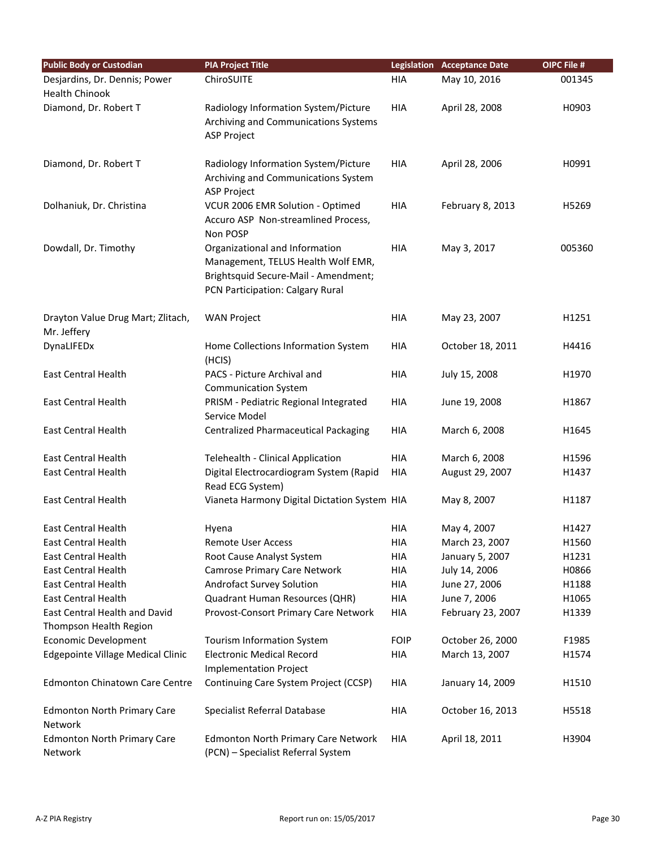| <b>Public Body or Custodian</b>                        | <b>PIA Project Title</b>                                                                                                                         |             | <b>Legislation Acceptance Date</b> | <b>OIPC File #</b> |
|--------------------------------------------------------|--------------------------------------------------------------------------------------------------------------------------------------------------|-------------|------------------------------------|--------------------|
| Desjardins, Dr. Dennis; Power<br><b>Health Chinook</b> | ChiroSUITE                                                                                                                                       | HIA         | May 10, 2016                       | 001345             |
| Diamond, Dr. Robert T                                  | Radiology Information System/Picture<br>Archiving and Communications Systems<br><b>ASP Project</b>                                               | <b>HIA</b>  | April 28, 2008                     | H0903              |
| Diamond, Dr. Robert T                                  | Radiology Information System/Picture<br>Archiving and Communications System<br><b>ASP Project</b>                                                | <b>HIA</b>  | April 28, 2006                     | H0991              |
| Dolhaniuk, Dr. Christina                               | VCUR 2006 EMR Solution - Optimed<br>Accuro ASP Non-streamlined Process,<br>Non POSP                                                              | <b>HIA</b>  | February 8, 2013                   | H5269              |
| Dowdall, Dr. Timothy                                   | Organizational and Information<br>Management, TELUS Health Wolf EMR,<br>Brightsquid Secure-Mail - Amendment;<br>PCN Participation: Calgary Rural | <b>HIA</b>  | May 3, 2017                        | 005360             |
| Drayton Value Drug Mart; Zlitach,<br>Mr. Jeffery       | <b>WAN Project</b>                                                                                                                               | <b>HIA</b>  | May 23, 2007                       | H1251              |
| DynaLIFEDx                                             | Home Collections Information System<br>(HCIS)                                                                                                    | HIA         | October 18, 2011                   | H4416              |
| <b>East Central Health</b>                             | PACS - Picture Archival and<br><b>Communication System</b>                                                                                       | HIA         | July 15, 2008                      | H1970              |
| <b>East Central Health</b>                             | PRISM - Pediatric Regional Integrated<br>Service Model                                                                                           | <b>HIA</b>  | June 19, 2008                      | H1867              |
| <b>East Central Health</b>                             | <b>Centralized Pharmaceutical Packaging</b>                                                                                                      | HIA         | March 6, 2008                      | H1645              |
| East Central Health                                    | Telehealth - Clinical Application                                                                                                                | <b>HIA</b>  | March 6, 2008                      | H1596              |
| <b>East Central Health</b>                             | Digital Electrocardiogram System (Rapid<br>Read ECG System)                                                                                      | HIA         | August 29, 2007                    | H1437              |
| <b>East Central Health</b>                             | Vianeta Harmony Digital Dictation System HIA                                                                                                     |             | May 8, 2007                        | H1187              |
| <b>East Central Health</b>                             | Hyena                                                                                                                                            | HIA         | May 4, 2007                        | H1427              |
| <b>East Central Health</b>                             | <b>Remote User Access</b>                                                                                                                        | <b>HIA</b>  | March 23, 2007                     | H1560              |
| <b>East Central Health</b>                             | Root Cause Analyst System                                                                                                                        | <b>HIA</b>  | January 5, 2007                    | H1231              |
| <b>East Central Health</b>                             | <b>Camrose Primary Care Network</b>                                                                                                              | HIA         | July 14, 2006                      | H0866              |
| <b>East Central Health</b>                             | Androfact Survey Solution                                                                                                                        | HIA         | June 27, 2006                      | H1188              |
| <b>East Central Health</b>                             | Quadrant Human Resources (QHR)                                                                                                                   | <b>HIA</b>  | June 7, 2006                       | H1065              |
| East Central Health and David                          | Provost-Consort Primary Care Network                                                                                                             | <b>HIA</b>  | February 23, 2007                  | H1339              |
| Thompson Health Region                                 |                                                                                                                                                  |             |                                    |                    |
| <b>Economic Development</b>                            | Tourism Information System                                                                                                                       | <b>FOIP</b> | October 26, 2000                   | F1985              |
| Edgepointe Village Medical Clinic                      | <b>Electronic Medical Record</b><br><b>Implementation Project</b>                                                                                | HIA         | March 13, 2007                     | H1574              |
| <b>Edmonton Chinatown Care Centre</b>                  | Continuing Care System Project (CCSP)                                                                                                            | HIA         | January 14, 2009                   | H1510              |
| <b>Edmonton North Primary Care</b><br>Network          | Specialist Referral Database                                                                                                                     | HIA         | October 16, 2013                   | H5518              |
| <b>Edmonton North Primary Care</b><br>Network          | <b>Edmonton North Primary Care Network</b><br>(PCN) - Specialist Referral System                                                                 | HIA         | April 18, 2011                     | H3904              |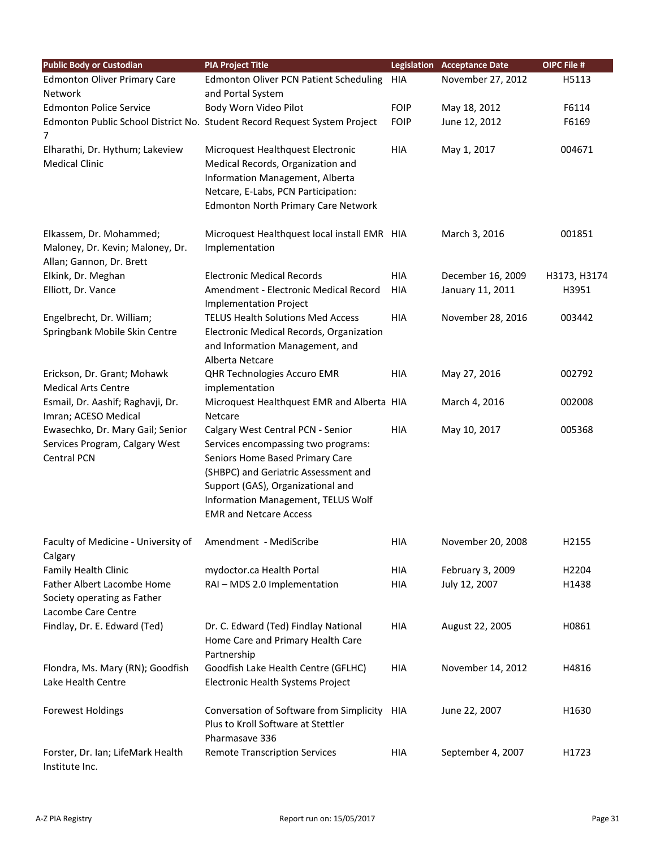| <b>Public Body or Custodian</b>     | <b>PIA Project Title</b>                                                  |             | <b>Legislation Acceptance Date</b> | OIPC File #       |
|-------------------------------------|---------------------------------------------------------------------------|-------------|------------------------------------|-------------------|
| <b>Edmonton Oliver Primary Care</b> | Edmonton Oliver PCN Patient Scheduling                                    | HIA         | November 27, 2012                  | H5113             |
| Network                             | and Portal System                                                         |             |                                    |                   |
| <b>Edmonton Police Service</b>      | Body Worn Video Pilot                                                     | <b>FOIP</b> | May 18, 2012                       | F6114             |
| 7                                   | Edmonton Public School District No. Student Record Request System Project | <b>FOIP</b> | June 12, 2012                      | F6169             |
| Elharathi, Dr. Hythum; Lakeview     | Microquest Healthquest Electronic                                         | <b>HIA</b>  | May 1, 2017                        | 004671            |
| <b>Medical Clinic</b>               | Medical Records, Organization and                                         |             |                                    |                   |
|                                     | Information Management, Alberta                                           |             |                                    |                   |
|                                     | Netcare, E-Labs, PCN Participation:                                       |             |                                    |                   |
|                                     | <b>Edmonton North Primary Care Network</b>                                |             |                                    |                   |
| Elkassem, Dr. Mohammed;             | Microquest Healthquest local install EMR HIA                              |             | March 3, 2016                      | 001851            |
| Maloney, Dr. Kevin; Maloney, Dr.    | Implementation                                                            |             |                                    |                   |
| Allan; Gannon, Dr. Brett            |                                                                           |             |                                    |                   |
| Elkink, Dr. Meghan                  | <b>Electronic Medical Records</b>                                         | HIA         | December 16, 2009                  | H3173, H3174      |
| Elliott, Dr. Vance                  | Amendment - Electronic Medical Record                                     | <b>HIA</b>  | January 11, 2011                   | H3951             |
|                                     | <b>Implementation Project</b>                                             |             |                                    |                   |
| Engelbrecht, Dr. William;           | <b>TELUS Health Solutions Med Access</b>                                  | <b>HIA</b>  | November 28, 2016                  | 003442            |
| Springbank Mobile Skin Centre       | Electronic Medical Records, Organization                                  |             |                                    |                   |
|                                     | and Information Management, and                                           |             |                                    |                   |
|                                     | Alberta Netcare                                                           |             |                                    |                   |
| Erickson, Dr. Grant; Mohawk         | QHR Technologies Accuro EMR                                               | HIA         | May 27, 2016                       | 002792            |
| <b>Medical Arts Centre</b>          | implementation                                                            |             |                                    |                   |
| Esmail, Dr. Aashif; Raghavji, Dr.   | Microquest Healthquest EMR and Alberta HIA                                |             | March 4, 2016                      | 002008            |
| Imran; ACESO Medical                | Netcare                                                                   |             |                                    |                   |
| Ewasechko, Dr. Mary Gail; Senior    | Calgary West Central PCN - Senior                                         | <b>HIA</b>  | May 10, 2017                       | 005368            |
| Services Program, Calgary West      | Services encompassing two programs:                                       |             |                                    |                   |
| <b>Central PCN</b>                  | Seniors Home Based Primary Care                                           |             |                                    |                   |
|                                     | (SHBPC) and Geriatric Assessment and                                      |             |                                    |                   |
|                                     | Support (GAS), Organizational and                                         |             |                                    |                   |
|                                     | Information Management, TELUS Wolf                                        |             |                                    |                   |
|                                     | <b>EMR and Netcare Access</b>                                             |             |                                    |                   |
| Faculty of Medicine - University of | Amendment - MediScribe                                                    | HIA         | November 20, 2008                  | H2155             |
| Calgary                             |                                                                           |             |                                    |                   |
| Family Health Clinic                | mydoctor.ca Health Portal                                                 | HIA         | February 3, 2009                   | H <sub>2204</sub> |
| Father Albert Lacombe Home          | RAI - MDS 2.0 Implementation                                              | <b>HIA</b>  | July 12, 2007                      | H1438             |
| Society operating as Father         |                                                                           |             |                                    |                   |
| Lacombe Care Centre                 |                                                                           |             |                                    |                   |
| Findlay, Dr. E. Edward (Ted)        | Dr. C. Edward (Ted) Findlay National                                      | HIA         | August 22, 2005                    | H0861             |
|                                     | Home Care and Primary Health Care                                         |             |                                    |                   |
|                                     | Partnership                                                               |             |                                    |                   |
| Flondra, Ms. Mary (RN); Goodfish    | Goodfish Lake Health Centre (GFLHC)                                       | <b>HIA</b>  | November 14, 2012                  | H4816             |
| Lake Health Centre                  | Electronic Health Systems Project                                         |             |                                    |                   |
| <b>Forewest Holdings</b>            | Conversation of Software from Simplicity                                  | HIA         | June 22, 2007                      | H1630             |
|                                     | Plus to Kroll Software at Stettler                                        |             |                                    |                   |
|                                     | Pharmasave 336                                                            |             |                                    |                   |
| Forster, Dr. Ian; LifeMark Health   | <b>Remote Transcription Services</b>                                      | HIA         | September 4, 2007                  | H1723             |
| Institute Inc.                      |                                                                           |             |                                    |                   |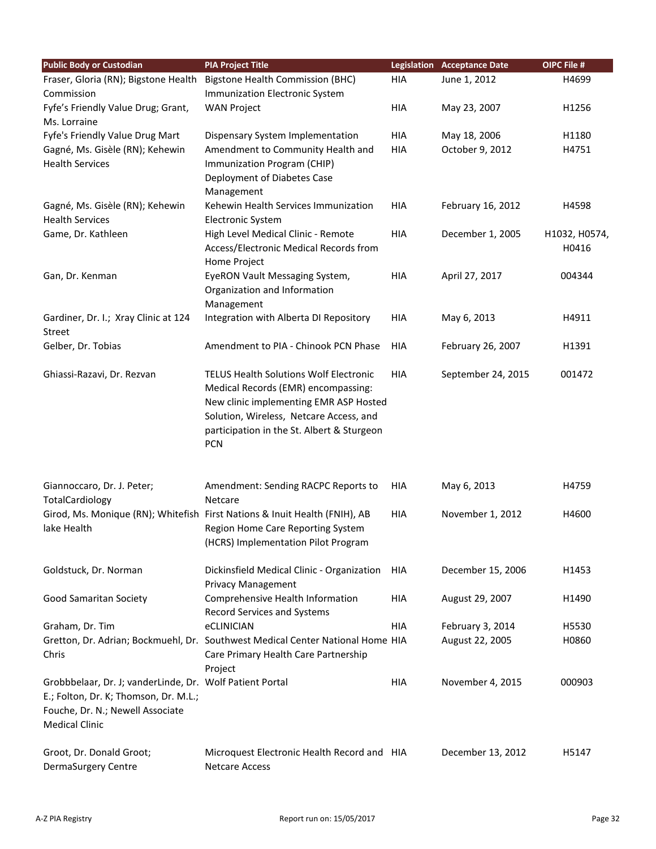| <b>Public Body or Custodian</b>                          | <b>PIA Project Title</b>                                                       |            | <b>Legislation Acceptance Date</b> | <b>OIPC File #</b> |
|----------------------------------------------------------|--------------------------------------------------------------------------------|------------|------------------------------------|--------------------|
| Fraser, Gloria (RN); Bigstone Health                     | <b>Bigstone Health Commission (BHC)</b>                                        | <b>HIA</b> | June 1, 2012                       | H4699              |
| Commission                                               | Immunization Electronic System                                                 |            |                                    |                    |
| Fyfe's Friendly Value Drug; Grant,                       | <b>WAN Project</b>                                                             | <b>HIA</b> | May 23, 2007                       | H1256              |
| Ms. Lorraine                                             |                                                                                |            |                                    |                    |
| Fyfe's Friendly Value Drug Mart                          | Dispensary System Implementation                                               | <b>HIA</b> | May 18, 2006                       | H1180              |
| Gagné, Ms. Gisèle (RN); Kehewin                          | Amendment to Community Health and                                              | <b>HIA</b> | October 9, 2012                    | H4751              |
| <b>Health Services</b>                                   | Immunization Program (CHIP)                                                    |            |                                    |                    |
|                                                          | Deployment of Diabetes Case                                                    |            |                                    |                    |
|                                                          | Management                                                                     |            |                                    |                    |
| Gagné, Ms. Gisèle (RN); Kehewin                          | Kehewin Health Services Immunization                                           | <b>HIA</b> | February 16, 2012                  | H4598              |
| <b>Health Services</b>                                   | <b>Electronic System</b>                                                       |            |                                    |                    |
| Game, Dr. Kathleen                                       | High Level Medical Clinic - Remote                                             | <b>HIA</b> | December 1, 2005                   | H1032, H0574,      |
|                                                          | Access/Electronic Medical Records from                                         |            |                                    | H0416              |
|                                                          | Home Project                                                                   |            |                                    |                    |
| Gan, Dr. Kenman                                          | EyeRON Vault Messaging System,                                                 | <b>HIA</b> | April 27, 2017                     | 004344             |
|                                                          | Organization and Information                                                   |            |                                    |                    |
|                                                          | Management                                                                     |            |                                    |                    |
| Gardiner, Dr. I.; Xray Clinic at 124<br><b>Street</b>    | Integration with Alberta DI Repository                                         | <b>HIA</b> | May 6, 2013                        | H4911              |
| Gelber, Dr. Tobias                                       | Amendment to PIA - Chinook PCN Phase                                           | <b>HIA</b> | February 26, 2007                  | H1391              |
| Ghiassi-Razavi, Dr. Rezvan                               | <b>TELUS Health Solutions Wolf Electronic</b>                                  | <b>HIA</b> | September 24, 2015                 | 001472             |
|                                                          | Medical Records (EMR) encompassing:                                            |            |                                    |                    |
|                                                          | New clinic implementing EMR ASP Hosted                                         |            |                                    |                    |
|                                                          | Solution, Wireless, Netcare Access, and                                        |            |                                    |                    |
|                                                          | participation in the St. Albert & Sturgeon                                     |            |                                    |                    |
|                                                          | <b>PCN</b>                                                                     |            |                                    |                    |
| Giannoccaro, Dr. J. Peter;                               | Amendment: Sending RACPC Reports to                                            | HIA        | May 6, 2013                        | H4759              |
| TotalCardiology                                          | Netcare                                                                        |            |                                    |                    |
|                                                          | Girod, Ms. Monique (RN); Whitefish First Nations & Inuit Health (FNIH), AB     | <b>HIA</b> | November 1, 2012                   | H4600              |
| lake Health                                              | Region Home Care Reporting System                                              |            |                                    |                    |
|                                                          | (HCRS) Implementation Pilot Program                                            |            |                                    |                    |
| Goldstuck, Dr. Norman                                    | Dickinsfield Medical Clinic - Organization                                     | HIA        | December 15, 2006                  | H1453              |
|                                                          | <b>Privacy Management</b>                                                      |            |                                    |                    |
| Good Samaritan Society                                   | Comprehensive Health Information                                               | HIA        | August 29, 2007                    | H1490              |
|                                                          | Record Services and Systems                                                    |            |                                    |                    |
| Graham, Dr. Tim                                          | eCLINICIAN                                                                     | <b>HIA</b> | February 3, 2014                   | H5530              |
|                                                          | Gretton, Dr. Adrian; Bockmuehl, Dr. Southwest Medical Center National Home HIA |            | August 22, 2005                    | H0860              |
| Chris                                                    | Care Primary Health Care Partnership                                           |            |                                    |                    |
|                                                          | Project                                                                        |            |                                    |                    |
| Grobbbelaar, Dr. J; vanderLinde, Dr. Wolf Patient Portal |                                                                                | <b>HIA</b> | November 4, 2015                   | 000903             |
| E.; Folton, Dr. K; Thomson, Dr. M.L.;                    |                                                                                |            |                                    |                    |
| Fouche, Dr. N.; Newell Associate                         |                                                                                |            |                                    |                    |
| <b>Medical Clinic</b>                                    |                                                                                |            |                                    |                    |
|                                                          |                                                                                |            |                                    |                    |
| Groot, Dr. Donald Groot;<br>DermaSurgery Centre          | Microquest Electronic Health Record and HIA<br><b>Netcare Access</b>           |            | December 13, 2012                  | H5147              |
|                                                          |                                                                                |            |                                    |                    |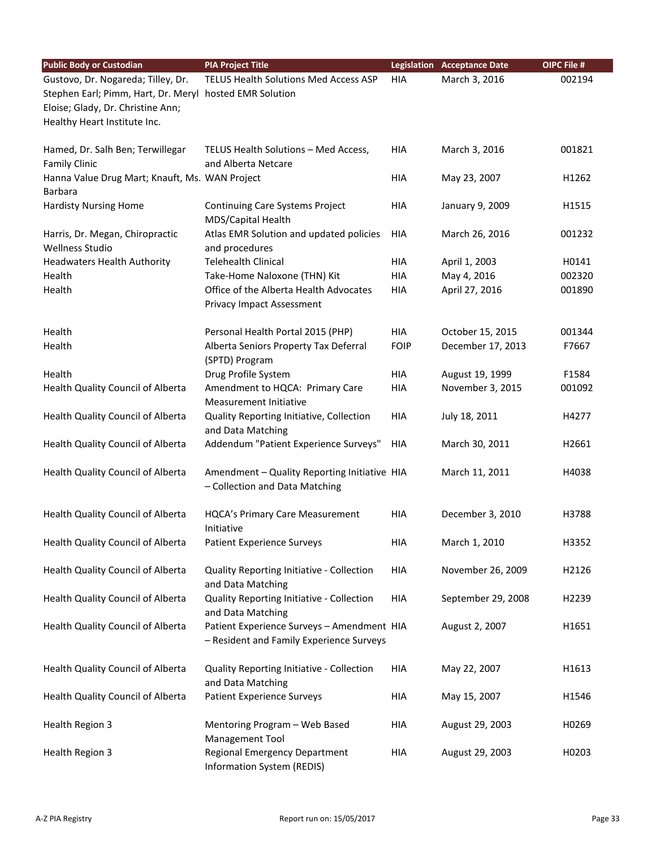| <b>Public Body or Custodian</b>                                                                                                                                    | <b>PIA Project Title</b>                                                               |             | <b>Legislation Acceptance Date</b> | <b>OIPC File #</b> |
|--------------------------------------------------------------------------------------------------------------------------------------------------------------------|----------------------------------------------------------------------------------------|-------------|------------------------------------|--------------------|
| Gustovo, Dr. Nogareda; Tilley, Dr.<br>Stephen Earl; Pimm, Hart, Dr. Meryl hosted EMR Solution<br>Eloise; Glady, Dr. Christine Ann;<br>Healthy Heart Institute Inc. | TELUS Health Solutions Med Access ASP                                                  | HIA         | March 3, 2016                      | 002194             |
| Hamed, Dr. Salh Ben; Terwillegar<br><b>Family Clinic</b>                                                                                                           | TELUS Health Solutions - Med Access,<br>and Alberta Netcare                            | <b>HIA</b>  | March 3, 2016                      | 001821             |
| Hanna Value Drug Mart; Knauft, Ms. WAN Project<br>Barbara                                                                                                          |                                                                                        | <b>HIA</b>  | May 23, 2007                       | H1262              |
| <b>Hardisty Nursing Home</b>                                                                                                                                       | Continuing Care Systems Project<br>MDS/Capital Health                                  | HIA         | January 9, 2009                    | H1515              |
| Harris, Dr. Megan, Chiropractic<br><b>Wellness Studio</b>                                                                                                          | Atlas EMR Solution and updated policies<br>and procedures                              | HIA         | March 26, 2016                     | 001232             |
| <b>Headwaters Health Authority</b>                                                                                                                                 | <b>Telehealth Clinical</b>                                                             | <b>HIA</b>  | April 1, 2003                      | H0141              |
| Health                                                                                                                                                             | Take-Home Naloxone (THN) Kit                                                           | <b>HIA</b>  | May 4, 2016                        | 002320             |
| Health                                                                                                                                                             | Office of the Alberta Health Advocates<br><b>Privacy Impact Assessment</b>             | HIA         | April 27, 2016                     | 001890             |
| Health                                                                                                                                                             | Personal Health Portal 2015 (PHP)                                                      | HIA         | October 15, 2015                   | 001344             |
| Health                                                                                                                                                             | Alberta Seniors Property Tax Deferral<br>(SPTD) Program                                | <b>FOIP</b> | December 17, 2013                  | F7667              |
| Health                                                                                                                                                             | Drug Profile System                                                                    | HIA         | August 19, 1999                    | F1584              |
| Health Quality Council of Alberta                                                                                                                                  | Amendment to HQCA: Primary Care<br>Measurement Initiative                              | <b>HIA</b>  | November 3, 2015                   | 001092             |
| Health Quality Council of Alberta                                                                                                                                  | Quality Reporting Initiative, Collection<br>and Data Matching                          | HIA         | July 18, 2011                      | H4277              |
| Health Quality Council of Alberta                                                                                                                                  | Addendum "Patient Experience Surveys"                                                  | HIA         | March 30, 2011                     | H2661              |
| Health Quality Council of Alberta                                                                                                                                  | Amendment - Quality Reporting Initiative HIA<br>- Collection and Data Matching         |             | March 11, 2011                     | H4038              |
| Health Quality Council of Alberta                                                                                                                                  | <b>HQCA's Primary Care Measurement</b><br>Initiative                                   | HIA         | December 3, 2010                   | H3788              |
| Health Quality Council of Alberta                                                                                                                                  | <b>Patient Experience Surveys</b>                                                      | HIA         | March 1, 2010                      | H3352              |
| Health Quality Council of Alberta                                                                                                                                  | Quality Reporting Initiative - Collection<br>and Data Matching                         | HIA         | November 26, 2009                  | H2126              |
| Health Quality Council of Alberta                                                                                                                                  | Quality Reporting Initiative - Collection<br>and Data Matching                         | HIA         | September 29, 2008                 | H2239              |
| Health Quality Council of Alberta                                                                                                                                  | Patient Experience Surveys - Amendment HIA<br>- Resident and Family Experience Surveys |             | August 2, 2007                     | H1651              |
| Health Quality Council of Alberta                                                                                                                                  | Quality Reporting Initiative - Collection<br>and Data Matching                         | HIA         | May 22, 2007                       | H1613              |
| Health Quality Council of Alberta                                                                                                                                  | <b>Patient Experience Surveys</b>                                                      | HIA         | May 15, 2007                       | H1546              |
| Health Region 3                                                                                                                                                    | Mentoring Program - Web Based<br>Management Tool                                       | HIA         | August 29, 2003                    | H0269              |
| <b>Health Region 3</b>                                                                                                                                             | <b>Regional Emergency Department</b><br>Information System (REDIS)                     | HIA         | August 29, 2003                    | H0203              |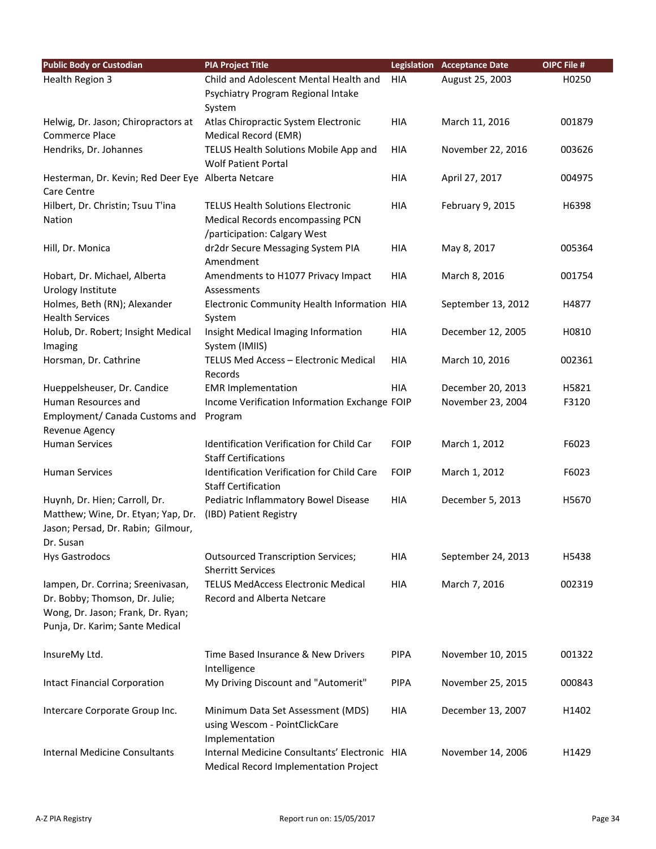| <b>Public Body or Custodian</b>                    | <b>PIA Project Title</b>                      |             | <b>Legislation Acceptance Date</b> | OIPC File # |
|----------------------------------------------------|-----------------------------------------------|-------------|------------------------------------|-------------|
| <b>Health Region 3</b>                             | Child and Adolescent Mental Health and        | HIA         | August 25, 2003                    | H0250       |
|                                                    | Psychiatry Program Regional Intake            |             |                                    |             |
|                                                    | System                                        |             |                                    |             |
| Helwig, Dr. Jason; Chiropractors at                | Atlas Chiropractic System Electronic          | <b>HIA</b>  | March 11, 2016                     | 001879      |
| <b>Commerce Place</b>                              | Medical Record (EMR)                          |             |                                    |             |
| Hendriks, Dr. Johannes                             | TELUS Health Solutions Mobile App and         | HIA         | November 22, 2016                  | 003626      |
|                                                    | <b>Wolf Patient Portal</b>                    |             |                                    |             |
| Hesterman, Dr. Kevin; Red Deer Eye Alberta Netcare |                                               | HIA         | April 27, 2017                     | 004975      |
| Care Centre                                        |                                               |             |                                    |             |
| Hilbert, Dr. Christin; Tsuu T'ina                  | <b>TELUS Health Solutions Electronic</b>      | HIA         | February 9, 2015                   | H6398       |
| Nation                                             | Medical Records encompassing PCN              |             |                                    |             |
|                                                    | /participation: Calgary West                  |             |                                    |             |
| Hill, Dr. Monica                                   | dr2dr Secure Messaging System PIA             | HIA         | May 8, 2017                        | 005364      |
|                                                    | Amendment                                     |             |                                    |             |
| Hobart, Dr. Michael, Alberta                       | Amendments to H1077 Privacy Impact            | HIA         | March 8, 2016                      | 001754      |
| Urology Institute                                  | Assessments                                   |             |                                    |             |
| Holmes, Beth (RN); Alexander                       | Electronic Community Health Information HIA   |             | September 13, 2012                 | H4877       |
| <b>Health Services</b>                             | System                                        |             |                                    |             |
| Holub, Dr. Robert; Insight Medical                 | Insight Medical Imaging Information           | <b>HIA</b>  | December 12, 2005                  | H0810       |
| Imaging                                            | System (IMIIS)                                |             |                                    |             |
| Horsman, Dr. Cathrine                              | TELUS Med Access - Electronic Medical         | HIA         | March 10, 2016                     | 002361      |
|                                                    | Records                                       |             |                                    |             |
| Hueppelsheuser, Dr. Candice                        | <b>EMR Implementation</b>                     | HIA         | December 20, 2013                  | H5821       |
| Human Resources and                                | Income Verification Information Exchange FOIP |             | November 23, 2004                  | F3120       |
| Employment/ Canada Customs and                     | Program                                       |             |                                    |             |
| Revenue Agency                                     |                                               |             |                                    |             |
| <b>Human Services</b>                              | Identification Verification for Child Car     | <b>FOIP</b> | March 1, 2012                      | F6023       |
|                                                    | <b>Staff Certifications</b>                   |             |                                    |             |
| <b>Human Services</b>                              | Identification Verification for Child Care    | <b>FOIP</b> | March 1, 2012                      | F6023       |
|                                                    | <b>Staff Certification</b>                    |             |                                    |             |
| Huynh, Dr. Hien; Carroll, Dr.                      | Pediatric Inflammatory Bowel Disease          | HIA         | December 5, 2013                   | H5670       |
| Matthew; Wine, Dr. Etyan; Yap, Dr.                 | (IBD) Patient Registry                        |             |                                    |             |
| Jason; Persad, Dr. Rabin; Gilmour,                 |                                               |             |                                    |             |
| Dr. Susan                                          |                                               |             |                                    |             |
| <b>Hys Gastrodocs</b>                              | <b>Outsourced Transcription Services;</b>     | HIA         | September 24, 2013                 | H5438       |
|                                                    | <b>Sherritt Services</b>                      |             |                                    |             |
| lampen, Dr. Corrina; Sreenivasan,                  | <b>TELUS MedAccess Electronic Medical</b>     | HIA         | March 7, 2016                      | 002319      |
| Dr. Bobby; Thomson, Dr. Julie;                     | Record and Alberta Netcare                    |             |                                    |             |
| Wong, Dr. Jason; Frank, Dr. Ryan;                  |                                               |             |                                    |             |
| Punja, Dr. Karim; Sante Medical                    |                                               |             |                                    |             |
|                                                    |                                               |             |                                    |             |
| InsureMy Ltd.                                      | Time Based Insurance & New Drivers            | <b>PIPA</b> | November 10, 2015                  | 001322      |
|                                                    | Intelligence                                  |             |                                    |             |
| <b>Intact Financial Corporation</b>                | My Driving Discount and "Automerit"           | <b>PIPA</b> | November 25, 2015                  | 000843      |
|                                                    |                                               |             |                                    |             |
| Intercare Corporate Group Inc.                     | Minimum Data Set Assessment (MDS)             | HIA         | December 13, 2007                  | H1402       |
|                                                    | using Wescom - PointClickCare                 |             |                                    |             |
|                                                    | Implementation                                |             |                                    |             |
| Internal Medicine Consultants                      | Internal Medicine Consultants' Electronic HIA |             | November 14, 2006                  | H1429       |
|                                                    | Medical Record Implementation Project         |             |                                    |             |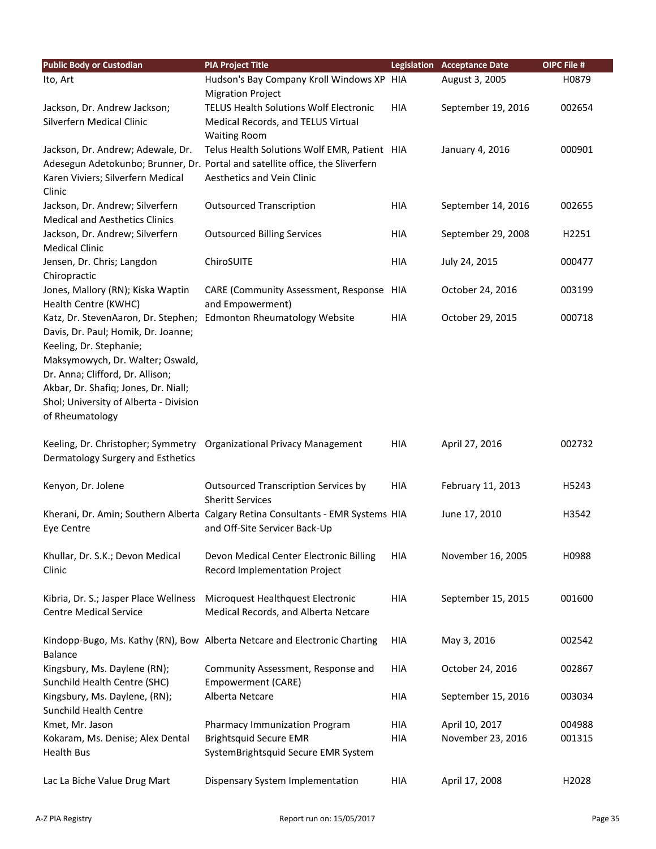| <b>Public Body or Custodian</b>        | <b>PIA Project Title</b>                                                         |            | <b>Legislation Acceptance Date</b> | OIPC File # |
|----------------------------------------|----------------------------------------------------------------------------------|------------|------------------------------------|-------------|
| Ito, Art                               | Hudson's Bay Company Kroll Windows XP HIA                                        |            | August 3, 2005                     | H0879       |
|                                        | <b>Migration Project</b>                                                         |            |                                    |             |
| Jackson, Dr. Andrew Jackson;           | <b>TELUS Health Solutions Wolf Electronic</b>                                    | <b>HIA</b> | September 19, 2016                 | 002654      |
| Silverfern Medical Clinic              | Medical Records, and TELUS Virtual                                               |            |                                    |             |
|                                        | <b>Waiting Room</b>                                                              |            |                                    |             |
| Jackson, Dr. Andrew; Adewale, Dr.      | Telus Health Solutions Wolf EMR, Patient HIA                                     |            | January 4, 2016                    | 000901      |
|                                        | Adesegun Adetokunbo; Brunner, Dr. Portal and satellite office, the Sliverfern    |            |                                    |             |
| Karen Viviers; Silverfern Medical      | Aesthetics and Vein Clinic                                                       |            |                                    |             |
| Clinic                                 |                                                                                  |            |                                    |             |
| Jackson, Dr. Andrew; Silverfern        | <b>Outsourced Transcription</b>                                                  | HIA        | September 14, 2016                 | 002655      |
| <b>Medical and Aesthetics Clinics</b>  |                                                                                  |            |                                    |             |
| Jackson, Dr. Andrew; Silverfern        | <b>Outsourced Billing Services</b>                                               | HIA        | September 29, 2008                 | H2251       |
| <b>Medical Clinic</b>                  |                                                                                  |            |                                    |             |
| Jensen, Dr. Chris; Langdon             | ChiroSUITE                                                                       | HIA        | July 24, 2015                      | 000477      |
| Chiropractic                           |                                                                                  |            |                                    |             |
| Jones, Mallory (RN); Kiska Waptin      | CARE (Community Assessment, Response HIA                                         |            | October 24, 2016                   | 003199      |
| Health Centre (KWHC)                   | and Empowerment)                                                                 |            |                                    |             |
| Katz, Dr. StevenAaron, Dr. Stephen;    | <b>Edmonton Rheumatology Website</b>                                             | <b>HIA</b> | October 29, 2015                   | 000718      |
| Davis, Dr. Paul; Homik, Dr. Joanne;    |                                                                                  |            |                                    |             |
| Keeling, Dr. Stephanie;                |                                                                                  |            |                                    |             |
| Maksymowych, Dr. Walter; Oswald,       |                                                                                  |            |                                    |             |
| Dr. Anna; Clifford, Dr. Allison;       |                                                                                  |            |                                    |             |
| Akbar, Dr. Shafiq; Jones, Dr. Niall;   |                                                                                  |            |                                    |             |
| Shol; University of Alberta - Division |                                                                                  |            |                                    |             |
| of Rheumatology                        |                                                                                  |            |                                    |             |
|                                        |                                                                                  |            |                                    |             |
|                                        | Keeling, Dr. Christopher; Symmetry Organizational Privacy Management             | <b>HIA</b> | April 27, 2016                     | 002732      |
| Dermatology Surgery and Esthetics      |                                                                                  |            |                                    |             |
|                                        |                                                                                  |            |                                    |             |
| Kenyon, Dr. Jolene                     | <b>Outsourced Transcription Services by</b>                                      | <b>HIA</b> | February 11, 2013                  | H5243       |
|                                        | <b>Sheritt Services</b>                                                          |            |                                    |             |
|                                        | Kherani, Dr. Amin; Southern Alberta Calgary Retina Consultants - EMR Systems HIA |            | June 17, 2010                      | H3542       |
| Eye Centre                             | and Off-Site Servicer Back-Up                                                    |            |                                    |             |
|                                        |                                                                                  |            |                                    |             |
| Khullar, Dr. S.K.; Devon Medical       | Devon Medical Center Electronic Billing                                          | HIA        | November 16, 2005                  | H0988       |
| Clinic                                 | Record Implementation Project                                                    |            |                                    |             |
|                                        |                                                                                  |            |                                    |             |
| Kibria, Dr. S.; Jasper Place Wellness  | Microquest Healthquest Electronic                                                | <b>HIA</b> | September 15, 2015                 | 001600      |
| <b>Centre Medical Service</b>          | Medical Records, and Alberta Netcare                                             |            |                                    |             |
|                                        |                                                                                  |            |                                    |             |
|                                        | Kindopp-Bugo, Ms. Kathy (RN), Bow Alberta Netcare and Electronic Charting        | HIA        | May 3, 2016                        | 002542      |
| <b>Balance</b>                         |                                                                                  |            |                                    |             |
| Kingsbury, Ms. Daylene (RN);           | Community Assessment, Response and                                               | HIA        | October 24, 2016                   | 002867      |
| Sunchild Health Centre (SHC)           | Empowerment (CARE)                                                               |            |                                    |             |
| Kingsbury, Ms. Daylene, (RN);          | Alberta Netcare                                                                  | HIA        | September 15, 2016                 | 003034      |
| Sunchild Health Centre                 |                                                                                  |            |                                    |             |
| Kmet, Mr. Jason                        | Pharmacy Immunization Program                                                    | HIA        | April 10, 2017                     | 004988      |
| Kokaram, Ms. Denise; Alex Dental       | <b>Brightsquid Secure EMR</b>                                                    | <b>HIA</b> | November 23, 2016                  | 001315      |
| <b>Health Bus</b>                      | SystemBrightsquid Secure EMR System                                              |            |                                    |             |
|                                        |                                                                                  |            |                                    |             |
| Lac La Biche Value Drug Mart           | Dispensary System Implementation                                                 | HIA        | April 17, 2008                     | H2028       |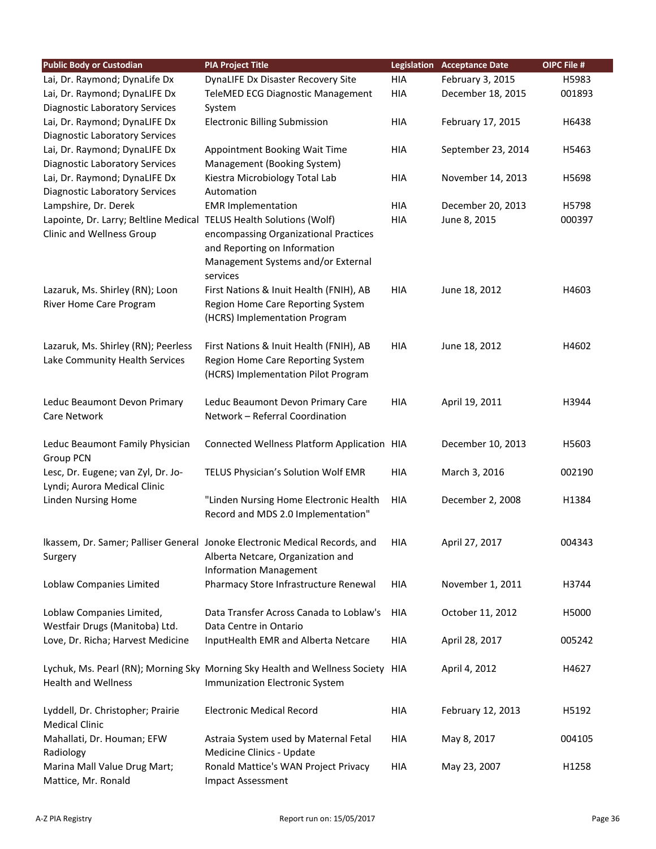| <b>Public Body or Custodian</b>                                     | <b>PIA Project Title</b>                                                        | <b>Legislation</b> | <b>Acceptance Date</b> | OIPC File # |
|---------------------------------------------------------------------|---------------------------------------------------------------------------------|--------------------|------------------------|-------------|
| Lai, Dr. Raymond; DynaLife Dx                                       | DynaLIFE Dx Disaster Recovery Site                                              | <b>HIA</b>         | February 3, 2015       | H5983       |
| Lai, Dr. Raymond; DynaLIFE Dx                                       | TeleMED ECG Diagnostic Management                                               | <b>HIA</b>         | December 18, 2015      | 001893      |
| <b>Diagnostic Laboratory Services</b>                               | System                                                                          |                    |                        |             |
| Lai, Dr. Raymond; DynaLIFE Dx                                       | <b>Electronic Billing Submission</b>                                            | <b>HIA</b>         | February 17, 2015      | H6438       |
| <b>Diagnostic Laboratory Services</b>                               |                                                                                 |                    |                        |             |
| Lai, Dr. Raymond; DynaLIFE Dx                                       | Appointment Booking Wait Time                                                   | <b>HIA</b>         | September 23, 2014     | H5463       |
| <b>Diagnostic Laboratory Services</b>                               | Management (Booking System)                                                     |                    |                        |             |
| Lai, Dr. Raymond; DynaLIFE Dx                                       | Kiestra Microbiology Total Lab                                                  | HIA                | November 14, 2013      | H5698       |
| <b>Diagnostic Laboratory Services</b>                               | Automation                                                                      |                    |                        |             |
| Lampshire, Dr. Derek                                                | <b>EMR Implementation</b>                                                       | <b>HIA</b>         | December 20, 2013      | H5798       |
| Lapointe, Dr. Larry; Beltline Medical TELUS Health Solutions (Wolf) |                                                                                 | HIA                | June 8, 2015           | 000397      |
| Clinic and Wellness Group                                           | encompassing Organizational Practices                                           |                    |                        |             |
|                                                                     | and Reporting on Information                                                    |                    |                        |             |
|                                                                     | Management Systems and/or External                                              |                    |                        |             |
|                                                                     | services                                                                        |                    |                        |             |
| Lazaruk, Ms. Shirley (RN); Loon                                     | First Nations & Inuit Health (FNIH), AB                                         | HIA                | June 18, 2012          | H4603       |
| River Home Care Program                                             | Region Home Care Reporting System                                               |                    |                        |             |
|                                                                     | (HCRS) Implementation Program                                                   |                    |                        |             |
| Lazaruk, Ms. Shirley (RN); Peerless                                 | First Nations & Inuit Health (FNIH), AB                                         | <b>HIA</b>         | June 18, 2012          | H4602       |
| Lake Community Health Services                                      | Region Home Care Reporting System                                               |                    |                        |             |
|                                                                     | (HCRS) Implementation Pilot Program                                             |                    |                        |             |
|                                                                     |                                                                                 |                    |                        |             |
| Leduc Beaumont Devon Primary                                        | Leduc Beaumont Devon Primary Care                                               | HIA                | April 19, 2011         | H3944       |
| Care Network                                                        | Network - Referral Coordination                                                 |                    |                        |             |
|                                                                     |                                                                                 |                    |                        |             |
| Leduc Beaumont Family Physician                                     | Connected Wellness Platform Application HIA                                     |                    | December 10, 2013      | H5603       |
| Group PCN                                                           |                                                                                 |                    |                        |             |
| Lesc, Dr. Eugene; van Zyl, Dr. Jo-                                  | TELUS Physician's Solution Wolf EMR                                             | <b>HIA</b>         | March 3, 2016          | 002190      |
| Lyndi; Aurora Medical Clinic                                        |                                                                                 |                    |                        |             |
| Linden Nursing Home                                                 | "Linden Nursing Home Electronic Health                                          | <b>HIA</b>         | December 2, 2008       | H1384       |
|                                                                     | Record and MDS 2.0 Implementation"                                              |                    |                        |             |
|                                                                     |                                                                                 |                    |                        |             |
|                                                                     | Ikassem, Dr. Samer; Palliser General Jonoke Electronic Medical Records, and     | HIA                | April 27, 2017         | 004343      |
| Surgery                                                             | Alberta Netcare, Organization and                                               |                    |                        |             |
|                                                                     | <b>Information Management</b>                                                   |                    |                        |             |
| Loblaw Companies Limited                                            | Pharmacy Store Infrastructure Renewal                                           | HIA                | November 1, 2011       | H3744       |
|                                                                     |                                                                                 |                    |                        |             |
| Loblaw Companies Limited,                                           | Data Transfer Across Canada to Loblaw's                                         | HIA                | October 11, 2012       | H5000       |
| Westfair Drugs (Manitoba) Ltd.                                      | Data Centre in Ontario                                                          |                    |                        |             |
| Love, Dr. Richa; Harvest Medicine                                   | InputHealth EMR and Alberta Netcare                                             | HIA                | April 28, 2017         | 005242      |
|                                                                     | Lychuk, Ms. Pearl (RN); Morning Sky Morning Sky Health and Wellness Society HIA |                    | April 4, 2012          | H4627       |
| <b>Health and Wellness</b>                                          | Immunization Electronic System                                                  |                    |                        |             |
|                                                                     |                                                                                 |                    |                        |             |
| Lyddell, Dr. Christopher; Prairie                                   | <b>Electronic Medical Record</b>                                                | HIA                | February 12, 2013      | H5192       |
| <b>Medical Clinic</b>                                               |                                                                                 |                    |                        |             |
| Mahallati, Dr. Houman; EFW                                          | Astraia System used by Maternal Fetal                                           | HIA                | May 8, 2017            | 004105      |
| Radiology                                                           | Medicine Clinics - Update                                                       |                    |                        |             |
| Marina Mall Value Drug Mart;                                        | Ronald Mattice's WAN Project Privacy                                            | HIA                | May 23, 2007           | H1258       |
| Mattice, Mr. Ronald                                                 | Impact Assessment                                                               |                    |                        |             |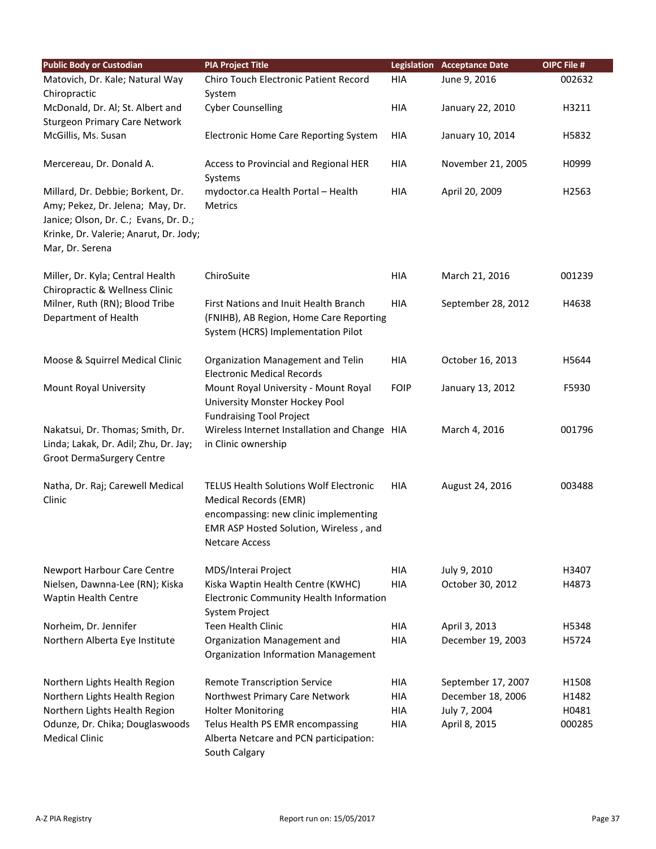| <b>Public Body or Custodian</b>                                       | <b>PIA Project Title</b>                      |             | <b>Legislation Acceptance Date</b> | OIPC File # |
|-----------------------------------------------------------------------|-----------------------------------------------|-------------|------------------------------------|-------------|
| Matovich, Dr. Kale; Natural Way                                       | Chiro Touch Electronic Patient Record         | <b>HIA</b>  | June 9, 2016                       | 002632      |
| Chiropractic                                                          | System                                        |             |                                    |             |
| McDonald, Dr. Al; St. Albert and                                      | <b>Cyber Counselling</b>                      | HIA         | January 22, 2010                   | H3211       |
| <b>Sturgeon Primary Care Network</b>                                  |                                               |             |                                    |             |
| McGillis, Ms. Susan                                                   | Electronic Home Care Reporting System         | HIA         | January 10, 2014                   | H5832       |
|                                                                       |                                               |             |                                    |             |
| Mercereau, Dr. Donald A.                                              | Access to Provincial and Regional HER         | HIA         | November 21, 2005                  | H0999       |
|                                                                       | Systems                                       |             |                                    |             |
| Millard, Dr. Debbie; Borkent, Dr.<br>Amy; Pekez, Dr. Jelena; May, Dr. | mydoctor.ca Health Portal - Health<br>Metrics | HIA         | April 20, 2009                     | H2563       |
| Janice; Olson, Dr. C.; Evans, Dr. D.;                                 |                                               |             |                                    |             |
| Krinke, Dr. Valerie; Anarut, Dr. Jody;                                |                                               |             |                                    |             |
| Mar, Dr. Serena                                                       |                                               |             |                                    |             |
|                                                                       |                                               |             |                                    |             |
| Miller, Dr. Kyla; Central Health                                      | ChiroSuite                                    | <b>HIA</b>  | March 21, 2016                     | 001239      |
| Chiropractic & Wellness Clinic                                        |                                               |             |                                    |             |
| Milner, Ruth (RN); Blood Tribe                                        | First Nations and Inuit Health Branch         | <b>HIA</b>  | September 28, 2012                 | H4638       |
| Department of Health                                                  | (FNIHB), AB Region, Home Care Reporting       |             |                                    |             |
|                                                                       | System (HCRS) Implementation Pilot            |             |                                    |             |
| Moose & Squirrel Medical Clinic                                       | Organization Management and Telin             | <b>HIA</b>  | October 16, 2013                   | H5644       |
|                                                                       | <b>Electronic Medical Records</b>             |             |                                    |             |
| Mount Royal University                                                | Mount Royal University - Mount Royal          | <b>FOIP</b> | January 13, 2012                   | F5930       |
|                                                                       | University Monster Hockey Pool                |             |                                    |             |
|                                                                       | <b>Fundraising Tool Project</b>               |             |                                    |             |
| Nakatsui, Dr. Thomas; Smith, Dr.                                      | Wireless Internet Installation and Change HIA |             | March 4, 2016                      | 001796      |
| Linda; Lakak, Dr. Adil; Zhu, Dr. Jay;                                 | in Clinic ownership                           |             |                                    |             |
| Groot DermaSurgery Centre                                             |                                               |             |                                    |             |
|                                                                       | <b>TELUS Health Solutions Wolf Electronic</b> |             |                                    |             |
| Natha, Dr. Raj; Carewell Medical<br>Clinic                            | Medical Records (EMR)                         | <b>HIA</b>  | August 24, 2016                    | 003488      |
|                                                                       | encompassing: new clinic implementing         |             |                                    |             |
|                                                                       | EMR ASP Hosted Solution, Wireless, and        |             |                                    |             |
|                                                                       | <b>Netcare Access</b>                         |             |                                    |             |
|                                                                       |                                               |             |                                    |             |
| Newport Harbour Care Centre                                           | MDS/Interai Project                           | HIA         | July 9, 2010                       | H3407       |
| Nielsen, Dawnna-Lee (RN); Kiska                                       | Kiska Waptin Health Centre (KWHC)             | <b>HIA</b>  | October 30, 2012                   | H4873       |
| Waptin Health Centre                                                  | Electronic Community Health Information       |             |                                    |             |
|                                                                       | <b>System Project</b>                         |             |                                    |             |
| Norheim, Dr. Jennifer                                                 | <b>Teen Health Clinic</b>                     | <b>HIA</b>  | April 3, 2013                      | H5348       |
| Northern Alberta Eye Institute                                        | Organization Management and                   | <b>HIA</b>  | December 19, 2003                  | H5724       |
|                                                                       | <b>Organization Information Management</b>    |             |                                    |             |
| Northern Lights Health Region                                         | <b>Remote Transcription Service</b>           | HIA         | September 17, 2007                 | H1508       |
| Northern Lights Health Region                                         | Northwest Primary Care Network                | <b>HIA</b>  | December 18, 2006                  | H1482       |
| Northern Lights Health Region                                         | <b>Holter Monitoring</b>                      | HIA         | July 7, 2004                       | H0481       |
| Odunze, Dr. Chika; Douglaswoods                                       | Telus Health PS EMR encompassing              | HIA         | April 8, 2015                      | 000285      |
| <b>Medical Clinic</b>                                                 | Alberta Netcare and PCN participation:        |             |                                    |             |
|                                                                       | South Calgary                                 |             |                                    |             |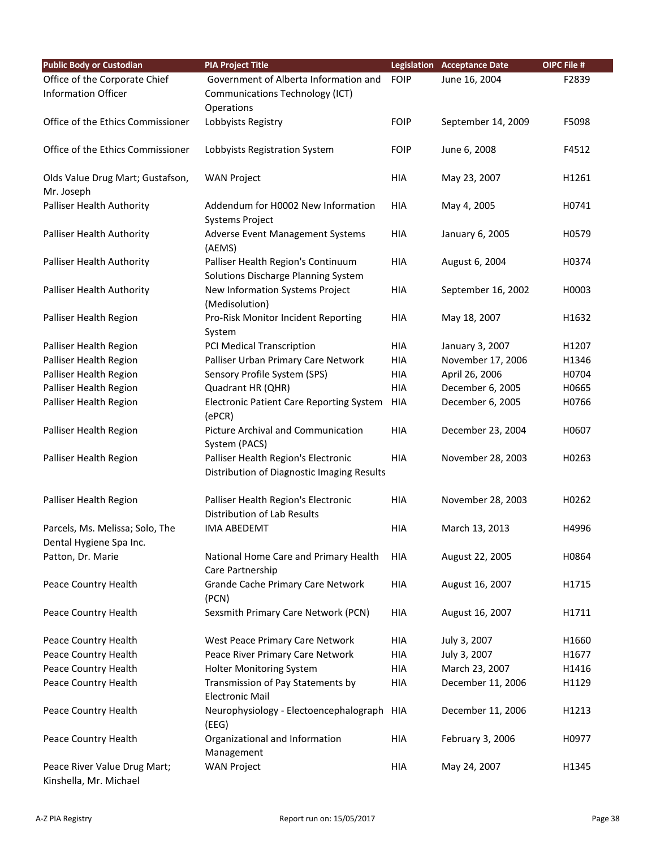| <b>Public Body or Custodian</b>                        | <b>PIA Project Title</b>                                                          |             | <b>Legislation Acceptance Date</b> | OIPC File # |
|--------------------------------------------------------|-----------------------------------------------------------------------------------|-------------|------------------------------------|-------------|
| Office of the Corporate Chief                          | Government of Alberta Information and                                             | <b>FOIP</b> | June 16, 2004                      | F2839       |
| <b>Information Officer</b>                             | <b>Communications Technology (ICT)</b>                                            |             |                                    |             |
|                                                        | Operations                                                                        |             |                                    |             |
| Office of the Ethics Commissioner                      | Lobbyists Registry                                                                | <b>FOIP</b> | September 14, 2009                 | F5098       |
| Office of the Ethics Commissioner                      | Lobbyists Registration System                                                     | <b>FOIP</b> | June 6, 2008                       | F4512       |
| Olds Value Drug Mart; Gustafson,                       | <b>WAN Project</b>                                                                | <b>HIA</b>  | May 23, 2007                       | H1261       |
| Mr. Joseph                                             |                                                                                   |             |                                    |             |
| Palliser Health Authority                              | Addendum for H0002 New Information<br><b>Systems Project</b>                      | HIA         | May 4, 2005                        | H0741       |
| Palliser Health Authority                              | Adverse Event Management Systems<br>(AEMS)                                        | <b>HIA</b>  | January 6, 2005                    | H0579       |
| Palliser Health Authority                              | Palliser Health Region's Continuum<br>Solutions Discharge Planning System         | <b>HIA</b>  | August 6, 2004                     | H0374       |
| Palliser Health Authority                              | New Information Systems Project                                                   | <b>HIA</b>  | September 16, 2002                 | H0003       |
|                                                        | (Medisolution)                                                                    |             |                                    |             |
| Palliser Health Region                                 | Pro-Risk Monitor Incident Reporting<br>System                                     | <b>HIA</b>  | May 18, 2007                       | H1632       |
| Palliser Health Region                                 | PCI Medical Transcription                                                         | <b>HIA</b>  | January 3, 2007                    | H1207       |
| Palliser Health Region                                 | Palliser Urban Primary Care Network                                               | HIA         | November 17, 2006                  | H1346       |
| Palliser Health Region                                 | Sensory Profile System (SPS)                                                      | HIA         | April 26, 2006                     | H0704       |
| Palliser Health Region                                 | Quadrant HR (QHR)                                                                 | <b>HIA</b>  | December 6, 2005                   | H0665       |
| Palliser Health Region                                 | <b>Electronic Patient Care Reporting System</b><br>(ePCR)                         | <b>HIA</b>  | December 6, 2005                   | H0766       |
| Palliser Health Region                                 | Picture Archival and Communication<br>System (PACS)                               | <b>HIA</b>  | December 23, 2004                  | H0607       |
| Palliser Health Region                                 | Palliser Health Region's Electronic<br>Distribution of Diagnostic Imaging Results | <b>HIA</b>  | November 28, 2003                  | H0263       |
| Palliser Health Region                                 | Palliser Health Region's Electronic<br>Distribution of Lab Results                | <b>HIA</b>  | November 28, 2003                  | H0262       |
| Parcels, Ms. Melissa; Solo, The                        | <b>IMA ABEDEMT</b>                                                                | HIA         | March 13, 2013                     | H4996       |
| Dental Hygiene Spa Inc.                                |                                                                                   |             |                                    |             |
| Patton, Dr. Marie                                      | National Home Care and Primary Health<br>Care Partnership                         | HIA         | August 22, 2005                    | H0864       |
| Peace Country Health                                   | <b>Grande Cache Primary Care Network</b><br>(PCN)                                 | <b>HIA</b>  | August 16, 2007                    | H1715       |
| Peace Country Health                                   | Sexsmith Primary Care Network (PCN)                                               | HIA         | August 16, 2007                    | H1711       |
| Peace Country Health                                   | West Peace Primary Care Network                                                   | HIA         | July 3, 2007                       | H1660       |
| Peace Country Health                                   | Peace River Primary Care Network                                                  | HIA         | July 3, 2007                       | H1677       |
| Peace Country Health                                   | Holter Monitoring System                                                          | <b>HIA</b>  | March 23, 2007                     | H1416       |
| Peace Country Health                                   | Transmission of Pay Statements by<br><b>Electronic Mail</b>                       | HIA         | December 11, 2006                  | H1129       |
| Peace Country Health                                   | Neurophysiology - Electoencephalograph<br>(EEG)                                   | HIA         | December 11, 2006                  | H1213       |
| Peace Country Health                                   | Organizational and Information<br>Management                                      | <b>HIA</b>  | February 3, 2006                   | H0977       |
| Peace River Value Drug Mart;<br>Kinshella, Mr. Michael | <b>WAN Project</b>                                                                | HIA         | May 24, 2007                       | H1345       |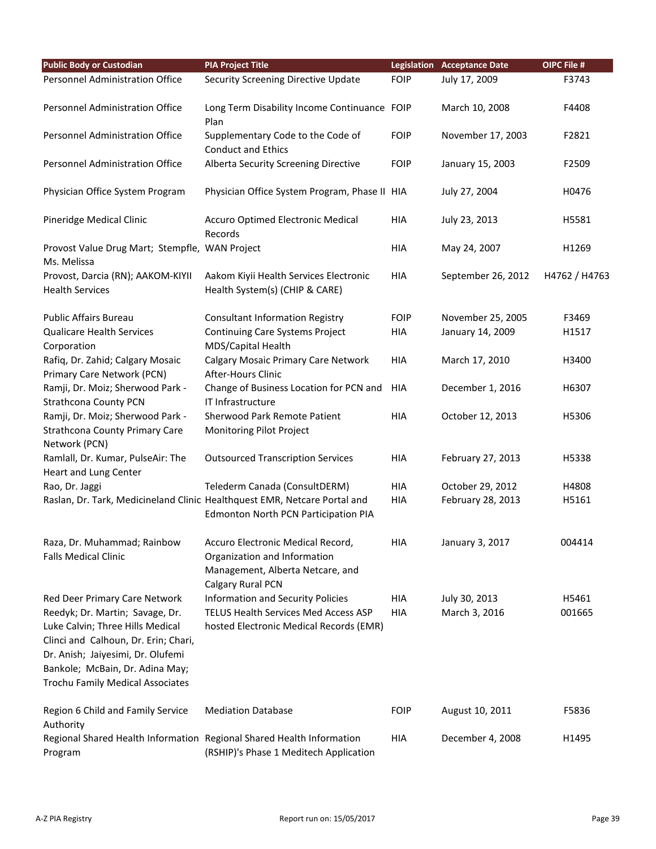| <b>Public Body or Custodian</b>                                                            | <b>PIA Project Title</b>                                                                                                   |             | <b>Legislation Acceptance Date</b> | OIPC File #   |
|--------------------------------------------------------------------------------------------|----------------------------------------------------------------------------------------------------------------------------|-------------|------------------------------------|---------------|
| <b>Personnel Administration Office</b>                                                     | <b>Security Screening Directive Update</b>                                                                                 | <b>FOIP</b> | July 17, 2009                      | F3743         |
| Personnel Administration Office                                                            | Long Term Disability Income Continuance FOIP<br>Plan                                                                       |             | March 10, 2008                     | F4408         |
| Personnel Administration Office                                                            | Supplementary Code to the Code of<br><b>Conduct and Ethics</b>                                                             | <b>FOIP</b> | November 17, 2003                  | F2821         |
| Personnel Administration Office                                                            | Alberta Security Screening Directive                                                                                       | <b>FOIP</b> | January 15, 2003                   | F2509         |
| Physician Office System Program                                                            | Physician Office System Program, Phase II HIA                                                                              |             | July 27, 2004                      | H0476         |
| Pineridge Medical Clinic                                                                   | Accuro Optimed Electronic Medical<br>Records                                                                               | <b>HIA</b>  | July 23, 2013                      | H5581         |
| Provost Value Drug Mart; Stempfle, WAN Project<br>Ms. Melissa                              |                                                                                                                            | <b>HIA</b>  | May 24, 2007                       | H1269         |
| Provost, Darcia (RN); AAKOM-KIYII<br><b>Health Services</b>                                | Aakom Kiyii Health Services Electronic<br>Health System(s) (CHIP & CARE)                                                   | <b>HIA</b>  | September 26, 2012                 | H4762 / H4763 |
| <b>Public Affairs Bureau</b>                                                               | <b>Consultant Information Registry</b>                                                                                     | <b>FOIP</b> | November 25, 2005                  | F3469         |
| <b>Qualicare Health Services</b><br>Corporation                                            | Continuing Care Systems Project<br>MDS/Capital Health                                                                      | HIA         | January 14, 2009                   | H1517         |
| Rafiq, Dr. Zahid; Calgary Mosaic<br>Primary Care Network (PCN)                             | <b>Calgary Mosaic Primary Care Network</b><br>After-Hours Clinic                                                           | <b>HIA</b>  | March 17, 2010                     | H3400         |
| Ramji, Dr. Moiz; Sherwood Park -<br><b>Strathcona County PCN</b>                           | Change of Business Location for PCN and<br>IT Infrastructure                                                               | HIA         | December 1, 2016                   | H6307         |
| Ramji, Dr. Moiz; Sherwood Park -<br><b>Strathcona County Primary Care</b><br>Network (PCN) | Sherwood Park Remote Patient<br>Monitoring Pilot Project                                                                   | <b>HIA</b>  | October 12, 2013                   | H5306         |
| Ramlall, Dr. Kumar, PulseAir: The<br>Heart and Lung Center                                 | <b>Outsourced Transcription Services</b>                                                                                   | <b>HIA</b>  | February 27, 2013                  | H5338         |
| Rao, Dr. Jaggi                                                                             | Telederm Canada (ConsultDERM)                                                                                              | <b>HIA</b>  | October 29, 2012                   | H4808         |
|                                                                                            | Raslan, Dr. Tark, Medicineland Clinic Healthquest EMR, Netcare Portal and<br>Edmonton North PCN Participation PIA          | <b>HIA</b>  | February 28, 2013                  | H5161         |
| Raza, Dr. Muhammad; Rainbow<br><b>Falls Medical Clinic</b>                                 | Accuro Electronic Medical Record,<br>Organization and Information<br>Management, Alberta Netcare, and<br>Calgary Rural PCN | <b>HIA</b>  | January 3, 2017                    | 004414        |
| Red Deer Primary Care Network                                                              | <b>Information and Security Policies</b>                                                                                   | HIA         | July 30, 2013                      | H5461         |
| Reedyk; Dr. Martin; Savage, Dr.                                                            | TELUS Health Services Med Access ASP                                                                                       | <b>HIA</b>  | March 3, 2016                      | 001665        |
| Luke Calvin; Three Hills Medical                                                           | hosted Electronic Medical Records (EMR)                                                                                    |             |                                    |               |
| Clinci and Calhoun, Dr. Erin; Chari,                                                       |                                                                                                                            |             |                                    |               |
| Dr. Anish; Jaiyesimi, Dr. Olufemi                                                          |                                                                                                                            |             |                                    |               |
| Bankole; McBain, Dr. Adina May;                                                            |                                                                                                                            |             |                                    |               |
| <b>Trochu Family Medical Associates</b>                                                    |                                                                                                                            |             |                                    |               |
| Region 6 Child and Family Service<br>Authority                                             | <b>Mediation Database</b>                                                                                                  | <b>FOIP</b> | August 10, 2011                    | F5836         |
| Program                                                                                    | Regional Shared Health Information Regional Shared Health Information<br>(RSHIP)'s Phase 1 Meditech Application            | HIA         | December 4, 2008                   | H1495         |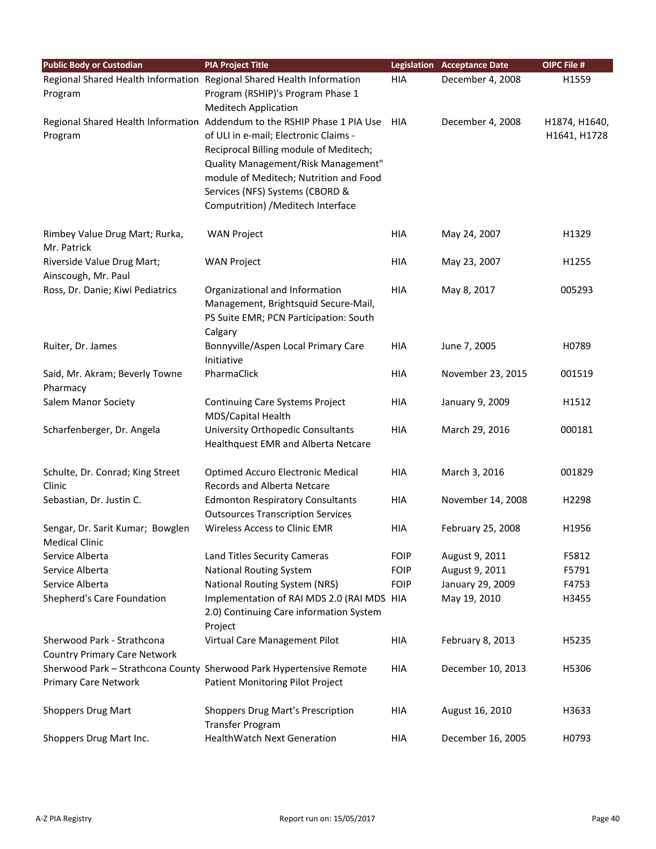| <b>Public Body or Custodian</b>                   | <b>PIA Project Title</b>                                                     |             | <b>Legislation Acceptance Date</b> | <b>OIPC File #</b> |
|---------------------------------------------------|------------------------------------------------------------------------------|-------------|------------------------------------|--------------------|
|                                                   | Regional Shared Health Information Regional Shared Health Information        | <b>HIA</b>  | December 4, 2008                   | H1559              |
| Program                                           | Program (RSHIP)'s Program Phase 1                                            |             |                                    |                    |
|                                                   | <b>Meditech Application</b>                                                  |             |                                    |                    |
|                                                   | Regional Shared Health Information Addendum to the RSHIP Phase 1 PIA Use HIA |             | December 4, 2008                   | H1874, H1640,      |
| Program                                           | of ULI in e-mail; Electronic Claims -                                        |             |                                    | H1641, H1728       |
|                                                   | Reciprocal Billing module of Meditech;                                       |             |                                    |                    |
|                                                   | Quality Management/Risk Management"                                          |             |                                    |                    |
|                                                   | module of Meditech; Nutrition and Food                                       |             |                                    |                    |
|                                                   | Services (NFS) Systems (CBORD &                                              |             |                                    |                    |
|                                                   | Computrition) / Meditech Interface                                           |             |                                    |                    |
| Rimbey Value Drug Mart; Rurka,<br>Mr. Patrick     | <b>WAN Project</b>                                                           | <b>HIA</b>  | May 24, 2007                       | H1329              |
| Riverside Value Drug Mart;<br>Ainscough, Mr. Paul | <b>WAN Project</b>                                                           | <b>HIA</b>  | May 23, 2007                       | H1255              |
| Ross, Dr. Danie; Kiwi Pediatrics                  | Organizational and Information                                               | HIA         | May 8, 2017                        | 005293             |
|                                                   | Management, Brightsquid Secure-Mail,                                         |             |                                    |                    |
|                                                   | PS Suite EMR; PCN Participation: South                                       |             |                                    |                    |
|                                                   | Calgary                                                                      |             |                                    |                    |
| Ruiter, Dr. James                                 | Bonnyville/Aspen Local Primary Care                                          | HIA         | June 7, 2005                       | H0789              |
|                                                   | Initiative                                                                   |             |                                    |                    |
| Said, Mr. Akram; Beverly Towne                    | PharmaClick                                                                  | <b>HIA</b>  | November 23, 2015                  | 001519             |
| Pharmacy                                          |                                                                              |             |                                    |                    |
| <b>Salem Manor Society</b>                        | Continuing Care Systems Project                                              | HIA         | January 9, 2009                    | H1512              |
|                                                   | MDS/Capital Health                                                           |             |                                    |                    |
| Scharfenberger, Dr. Angela                        | University Orthopedic Consultants                                            | <b>HIA</b>  | March 29, 2016                     | 000181             |
|                                                   | Healthquest EMR and Alberta Netcare                                          |             |                                    |                    |
| Schulte, Dr. Conrad; King Street                  | <b>Optimed Accuro Electronic Medical</b>                                     | HIA         | March 3, 2016                      | 001829             |
| Clinic                                            | <b>Records and Alberta Netcare</b>                                           |             |                                    |                    |
| Sebastian, Dr. Justin C.                          | <b>Edmonton Respiratory Consultants</b>                                      | HIA         | November 14, 2008                  | H2298              |
|                                                   | <b>Outsources Transcription Services</b>                                     |             |                                    |                    |
| Sengar, Dr. Sarit Kumar; Bowglen                  | Wireless Access to Clinic EMR                                                | HIA         | February 25, 2008                  | H1956              |
| <b>Medical Clinic</b>                             |                                                                              |             |                                    |                    |
| Service Alberta                                   | Land Titles Security Cameras                                                 | <b>FOIP</b> | August 9, 2011                     | F5812              |
| Service Alberta                                   | <b>National Routing System</b>                                               | <b>FOIP</b> | August 9, 2011                     | F5791              |
| Service Alberta                                   | National Routing System (NRS)                                                | <b>FOIP</b> | January 29, 2009                   | F4753              |
| Shepherd's Care Foundation                        | Implementation of RAI MDS 2.0 (RAI MDS HIA                                   |             | May 19, 2010                       | H3455              |
|                                                   | 2.0) Continuing Care information System                                      |             |                                    |                    |
|                                                   | Project                                                                      |             |                                    |                    |
| Sherwood Park - Strathcona                        | Virtual Care Management Pilot                                                | HIA         | February 8, 2013                   | H5235              |
| <b>Country Primary Care Network</b>               |                                                                              |             |                                    |                    |
|                                                   | Sherwood Park - Strathcona County Sherwood Park Hypertensive Remote          | HIA         | December 10, 2013                  | H5306              |
| <b>Primary Care Network</b>                       | Patient Monitoring Pilot Project                                             |             |                                    |                    |
| <b>Shoppers Drug Mart</b>                         | <b>Shoppers Drug Mart's Prescription</b>                                     | HIA         | August 16, 2010                    | H3633              |
|                                                   | Transfer Program                                                             |             |                                    |                    |
| Shoppers Drug Mart Inc.                           | <b>HealthWatch Next Generation</b>                                           | HIA         | December 16, 2005                  | H0793              |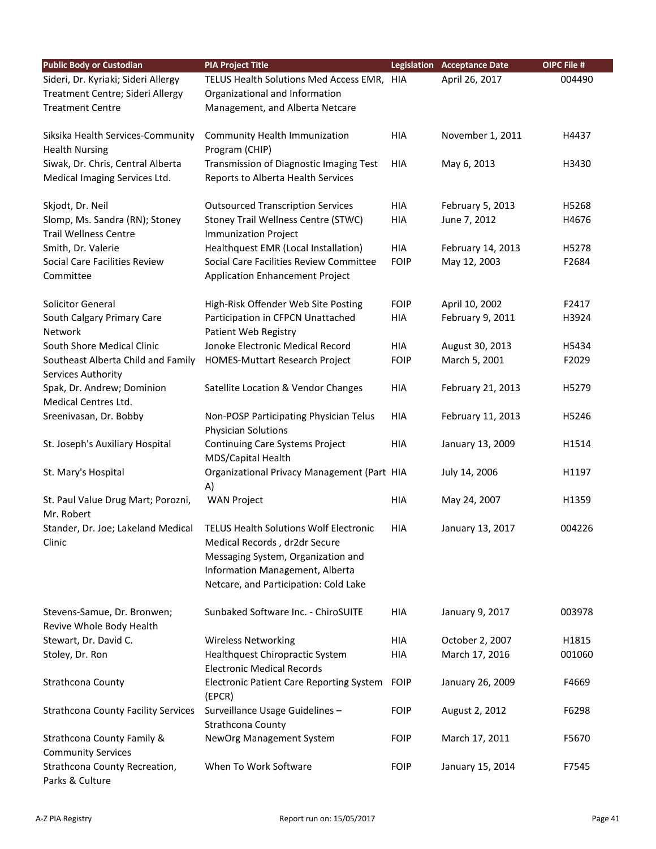| <b>Public Body or Custodian</b>                                                                    | <b>PIA Project Title</b>                                                                                        |             | <b>Legislation Acceptance Date</b> | OIPC File # |
|----------------------------------------------------------------------------------------------------|-----------------------------------------------------------------------------------------------------------------|-------------|------------------------------------|-------------|
| Sideri, Dr. Kyriaki; Sideri Allergy<br>Treatment Centre; Sideri Allergy<br><b>Treatment Centre</b> | TELUS Health Solutions Med Access EMR, HIA<br>Organizational and Information<br>Management, and Alberta Netcare |             | April 26, 2017                     | 004490      |
|                                                                                                    |                                                                                                                 |             |                                    |             |
| Siksika Health Services-Community<br><b>Health Nursing</b>                                         | Community Health Immunization<br>Program (CHIP)                                                                 | HIA         | November 1, 2011                   | H4437       |
| Siwak, Dr. Chris, Central Alberta<br>Medical Imaging Services Ltd.                                 | Transmission of Diagnostic Imaging Test<br>Reports to Alberta Health Services                                   | HIA         | May 6, 2013                        | H3430       |
| Skjodt, Dr. Neil                                                                                   | <b>Outsourced Transcription Services</b>                                                                        | HIA         | February 5, 2013                   | H5268       |
| Slomp, Ms. Sandra (RN); Stoney<br><b>Trail Wellness Centre</b>                                     | Stoney Trail Wellness Centre (STWC)<br><b>Immunization Project</b>                                              | <b>HIA</b>  | June 7, 2012                       | H4676       |
| Smith, Dr. Valerie                                                                                 | Healthquest EMR (Local Installation)                                                                            | HIA         | February 14, 2013                  | H5278       |
| Social Care Facilities Review<br>Committee                                                         | Social Care Facilities Review Committee<br>Application Enhancement Project                                      | <b>FOIP</b> | May 12, 2003                       | F2684       |
| Solicitor General                                                                                  | High-Risk Offender Web Site Posting                                                                             | <b>FOIP</b> | April 10, 2002                     | F2417       |
| South Calgary Primary Care<br>Network                                                              | Participation in CFPCN Unattached<br>Patient Web Registry                                                       | <b>HIA</b>  | February 9, 2011                   | H3924       |
| South Shore Medical Clinic                                                                         | Jonoke Electronic Medical Record                                                                                | <b>HIA</b>  | August 30, 2013                    | H5434       |
| Southeast Alberta Child and Family<br>Services Authority                                           | HOMES-Muttart Research Project                                                                                  | <b>FOIP</b> | March 5, 2001                      | F2029       |
| Spak, Dr. Andrew; Dominion<br>Medical Centres Ltd.                                                 | Satellite Location & Vendor Changes                                                                             | HIA         | February 21, 2013                  | H5279       |
| Sreenivasan, Dr. Bobby                                                                             | Non-POSP Participating Physician Telus<br><b>Physician Solutions</b>                                            | HIA         | February 11, 2013                  | H5246       |
| St. Joseph's Auxiliary Hospital                                                                    | Continuing Care Systems Project<br>MDS/Capital Health                                                           | <b>HIA</b>  | January 13, 2009                   | H1514       |
| St. Mary's Hospital                                                                                | Organizational Privacy Management (Part HIA<br>A)                                                               |             | July 14, 2006                      | H1197       |
| St. Paul Value Drug Mart; Porozni,<br>Mr. Robert                                                   | <b>WAN Project</b>                                                                                              | <b>HIA</b>  | May 24, 2007                       | H1359       |
| Stander, Dr. Joe; Lakeland Medical                                                                 | <b>TELUS Health Solutions Wolf Electronic</b>                                                                   | HIA         | January 13, 2017                   | 004226      |
| Clinic                                                                                             | Medical Records, dr2dr Secure                                                                                   |             |                                    |             |
|                                                                                                    | Messaging System, Organization and<br>Information Management, Alberta                                           |             |                                    |             |
|                                                                                                    | Netcare, and Participation: Cold Lake                                                                           |             |                                    |             |
| Stevens-Samue, Dr. Bronwen;<br>Revive Whole Body Health                                            | Sunbaked Software Inc. - ChiroSUITE                                                                             | <b>HIA</b>  | January 9, 2017                    | 003978      |
| Stewart, Dr. David C.                                                                              | <b>Wireless Networking</b>                                                                                      | HIA         | October 2, 2007                    | H1815       |
| Stoley, Dr. Ron                                                                                    | Healthquest Chiropractic System<br><b>Electronic Medical Records</b>                                            | <b>HIA</b>  | March 17, 2016                     | 001060      |
| Strathcona County                                                                                  | <b>Electronic Patient Care Reporting System</b><br>(EPCR)                                                       | <b>FOIP</b> | January 26, 2009                   | F4669       |
| <b>Strathcona County Facility Services</b>                                                         | Surveillance Usage Guidelines -<br>Strathcona County                                                            | <b>FOIP</b> | August 2, 2012                     | F6298       |
| Strathcona County Family &<br><b>Community Services</b>                                            | NewOrg Management System                                                                                        | <b>FOIP</b> | March 17, 2011                     | F5670       |
| Strathcona County Recreation,<br>Parks & Culture                                                   | When To Work Software                                                                                           | <b>FOIP</b> | January 15, 2014                   | F7545       |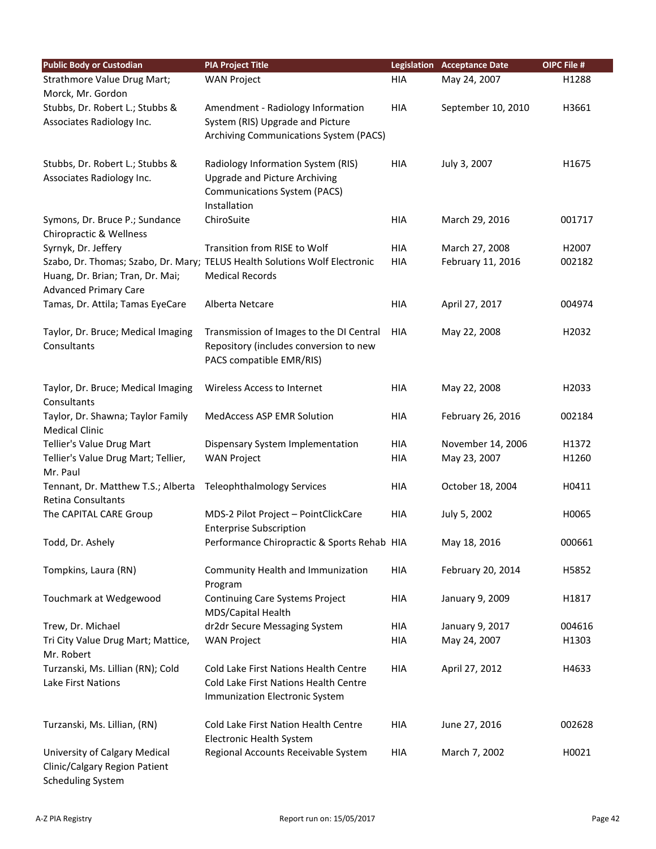| <b>Public Body or Custodian</b>                   | <b>PIA Project Title</b>                                                           |            | <b>Legislation Acceptance Date</b> | OIPC File # |
|---------------------------------------------------|------------------------------------------------------------------------------------|------------|------------------------------------|-------------|
| Strathmore Value Drug Mart;                       | <b>WAN Project</b>                                                                 | HIA        | May 24, 2007                       | H1288       |
| Morck, Mr. Gordon                                 |                                                                                    |            |                                    |             |
| Stubbs, Dr. Robert L.; Stubbs &                   | Amendment - Radiology Information                                                  | HIA        | September 10, 2010                 | H3661       |
| Associates Radiology Inc.                         | System (RIS) Upgrade and Picture                                                   |            |                                    |             |
|                                                   | Archiving Communications System (PACS)                                             |            |                                    |             |
|                                                   |                                                                                    |            |                                    |             |
| Stubbs, Dr. Robert L.; Stubbs &                   | Radiology Information System (RIS)                                                 | <b>HIA</b> | July 3, 2007                       | H1675       |
| Associates Radiology Inc.                         | <b>Upgrade and Picture Archiving</b>                                               |            |                                    |             |
|                                                   | <b>Communications System (PACS)</b>                                                |            |                                    |             |
|                                                   | Installation                                                                       |            |                                    |             |
| Symons, Dr. Bruce P.; Sundance                    | ChiroSuite                                                                         | HIA        | March 29, 2016                     | 001717      |
| Chiropractic & Wellness                           |                                                                                    |            |                                    |             |
| Syrnyk, Dr. Jeffery                               | Transition from RISE to Wolf                                                       | HIA        | March 27, 2008                     | H2007       |
|                                                   | Szabo, Dr. Thomas; Szabo, Dr. Mary; TELUS Health Solutions Wolf Electronic         | <b>HIA</b> | February 11, 2016                  | 002182      |
| Huang, Dr. Brian; Tran, Dr. Mai;                  | <b>Medical Records</b>                                                             |            |                                    |             |
| <b>Advanced Primary Care</b>                      |                                                                                    |            |                                    |             |
| Tamas, Dr. Attila; Tamas EyeCare                  | Alberta Netcare                                                                    | <b>HIA</b> | April 27, 2017                     | 004974      |
|                                                   |                                                                                    |            |                                    | H2032       |
| Taylor, Dr. Bruce; Medical Imaging<br>Consultants | Transmission of Images to the DI Central<br>Repository (includes conversion to new | HIA        | May 22, 2008                       |             |
|                                                   | PACS compatible EMR/RIS)                                                           |            |                                    |             |
|                                                   |                                                                                    |            |                                    |             |
| Taylor, Dr. Bruce; Medical Imaging                | Wireless Access to Internet                                                        | <b>HIA</b> | May 22, 2008                       | H2033       |
| Consultants                                       |                                                                                    |            |                                    |             |
| Taylor, Dr. Shawna; Taylor Family                 | <b>MedAccess ASP EMR Solution</b>                                                  | <b>HIA</b> | February 26, 2016                  | 002184      |
| <b>Medical Clinic</b>                             |                                                                                    |            |                                    |             |
| Tellier's Value Drug Mart                         | Dispensary System Implementation                                                   | HIA        | November 14, 2006                  | H1372       |
| Tellier's Value Drug Mart; Tellier,               | <b>WAN Project</b>                                                                 | HIA        | May 23, 2007                       | H1260       |
| Mr. Paul                                          |                                                                                    |            |                                    |             |
| Tennant, Dr. Matthew T.S.; Alberta                | <b>Teleophthalmology Services</b>                                                  | HIA        | October 18, 2004                   | H0411       |
| Retina Consultants                                |                                                                                    |            |                                    |             |
| The CAPITAL CARE Group                            | MDS-2 Pilot Project - PointClickCare                                               | HIA        | July 5, 2002                       | H0065       |
|                                                   | <b>Enterprise Subscription</b>                                                     |            |                                    |             |
| Todd, Dr. Ashely                                  | Performance Chiropractic & Sports Rehab HIA                                        |            | May 18, 2016                       | 000661      |
|                                                   |                                                                                    |            |                                    |             |
| Tompkins, Laura (RN)                              | Community Health and Immunization                                                  | <b>HIA</b> | February 20, 2014                  | H5852       |
|                                                   | Program                                                                            |            |                                    |             |
| Touchmark at Wedgewood                            | Continuing Care Systems Project                                                    | HIA        | January 9, 2009                    | H1817       |
|                                                   | MDS/Capital Health                                                                 |            |                                    |             |
| Trew, Dr. Michael                                 | dr2dr Secure Messaging System                                                      | HIA        | January 9, 2017                    | 004616      |
| Tri City Value Drug Mart; Mattice,                | <b>WAN Project</b>                                                                 | HIA        | May 24, 2007                       | H1303       |
| Mr. Robert<br>Turzanski, Ms. Lillian (RN); Cold   | Cold Lake First Nations Health Centre                                              | <b>HIA</b> | April 27, 2012                     | H4633       |
| Lake First Nations                                | Cold Lake First Nations Health Centre                                              |            |                                    |             |
|                                                   | Immunization Electronic System                                                     |            |                                    |             |
|                                                   |                                                                                    |            |                                    |             |
| Turzanski, Ms. Lillian, (RN)                      | Cold Lake First Nation Health Centre                                               | HIA        | June 27, 2016                      | 002628      |
|                                                   | Electronic Health System                                                           |            |                                    |             |
| University of Calgary Medical                     | Regional Accounts Receivable System                                                | HIA        | March 7, 2002                      | H0021       |
| Clinic/Calgary Region Patient                     |                                                                                    |            |                                    |             |
| <b>Scheduling System</b>                          |                                                                                    |            |                                    |             |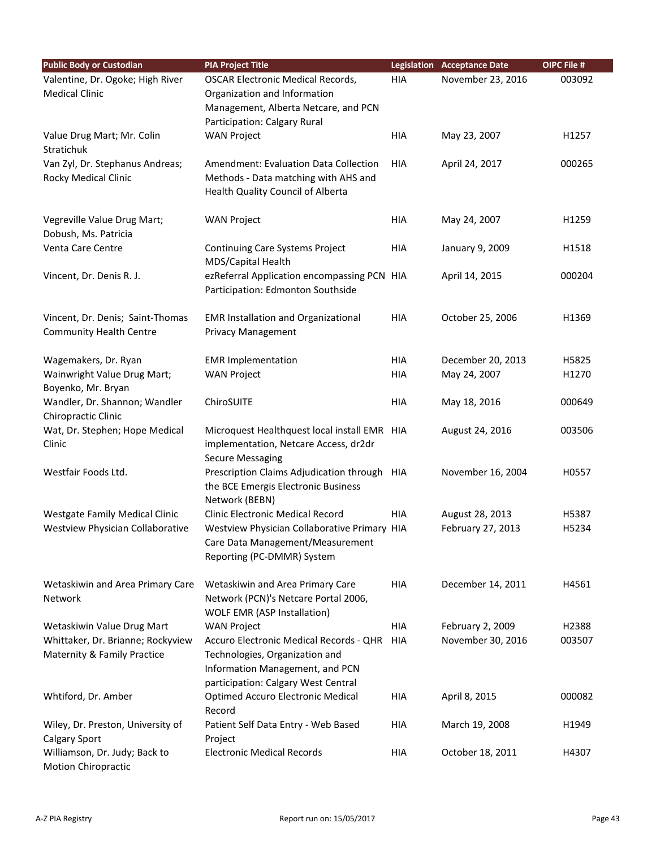| <b>Public Body or Custodian</b>       | <b>PIA Project Title</b>                                                        |            | <b>Legislation Acceptance Date</b> | OIPC File # |
|---------------------------------------|---------------------------------------------------------------------------------|------------|------------------------------------|-------------|
| Valentine, Dr. Ogoke; High River      | <b>OSCAR Electronic Medical Records,</b>                                        | HIA        | November 23, 2016                  | 003092      |
| <b>Medical Clinic</b>                 | Organization and Information                                                    |            |                                    |             |
|                                       | Management, Alberta Netcare, and PCN                                            |            |                                    |             |
|                                       | Participation: Calgary Rural                                                    |            |                                    |             |
| Value Drug Mart; Mr. Colin            | <b>WAN Project</b>                                                              | <b>HIA</b> | May 23, 2007                       | H1257       |
| Stratichuk                            |                                                                                 |            |                                    |             |
| Van Zyl, Dr. Stephanus Andreas;       | Amendment: Evaluation Data Collection                                           | <b>HIA</b> | April 24, 2017                     | 000265      |
| Rocky Medical Clinic                  | Methods - Data matching with AHS and<br>Health Quality Council of Alberta       |            |                                    |             |
|                                       |                                                                                 |            |                                    |             |
| Vegreville Value Drug Mart;           | <b>WAN Project</b>                                                              | <b>HIA</b> | May 24, 2007                       | H1259       |
| Dobush, Ms. Patricia                  |                                                                                 |            |                                    |             |
| Venta Care Centre                     | Continuing Care Systems Project                                                 | HIA        | January 9, 2009                    | H1518       |
|                                       | MDS/Capital Health                                                              |            |                                    |             |
| Vincent, Dr. Denis R. J.              | ezReferral Application encompassing PCN HIA                                     |            | April 14, 2015                     | 000204      |
|                                       | Participation: Edmonton Southside                                               |            |                                    |             |
|                                       |                                                                                 |            |                                    |             |
| Vincent, Dr. Denis; Saint-Thomas      | <b>EMR Installation and Organizational</b>                                      | HIA        | October 25, 2006                   | H1369       |
| <b>Community Health Centre</b>        | <b>Privacy Management</b>                                                       |            |                                    |             |
| Wagemakers, Dr. Ryan                  | <b>EMR Implementation</b>                                                       | HIA        | December 20, 2013                  | H5825       |
| Wainwright Value Drug Mart;           | <b>WAN Project</b>                                                              | <b>HIA</b> | May 24, 2007                       | H1270       |
| Boyenko, Mr. Bryan                    |                                                                                 |            |                                    |             |
| Wandler, Dr. Shannon; Wandler         | ChiroSUITE                                                                      | <b>HIA</b> | May 18, 2016                       | 000649      |
| Chiropractic Clinic                   |                                                                                 |            |                                    |             |
| Wat, Dr. Stephen; Hope Medical        | Microquest Healthquest local install EMR HIA                                    |            | August 24, 2016                    | 003506      |
| Clinic                                | implementation, Netcare Access, dr2dr                                           |            |                                    |             |
|                                       | <b>Secure Messaging</b>                                                         |            |                                    |             |
| Westfair Foods Ltd.                   | Prescription Claims Adjudication through HIA                                    |            | November 16, 2004                  | H0557       |
|                                       | the BCE Emergis Electronic Business                                             |            |                                    |             |
| <b>Westgate Family Medical Clinic</b> | Network (BEBN)<br>Clinic Electronic Medical Record                              | HIA        | August 28, 2013                    | H5387       |
| Westview Physician Collaborative      | Westview Physician Collaborative Primary HIA                                    |            | February 27, 2013                  | H5234       |
|                                       | Care Data Management/Measurement                                                |            |                                    |             |
|                                       | Reporting (PC-DMMR) System                                                      |            |                                    |             |
|                                       |                                                                                 |            |                                    |             |
| Wetaskiwin and Area Primary Care      | Wetaskiwin and Area Primary Care                                                | HIA        | December 14, 2011                  | H4561       |
| Network                               | Network (PCN)'s Netcare Portal 2006,                                            |            |                                    |             |
|                                       | <b>WOLF EMR (ASP Installation)</b>                                              |            |                                    |             |
| Wetaskiwin Value Drug Mart            | <b>WAN Project</b>                                                              | <b>HIA</b> | February 2, 2009                   | H2388       |
| Whittaker, Dr. Brianne; Rockyview     | Accuro Electronic Medical Records - QHR                                         | HIA        | November 30, 2016                  | 003507      |
| Maternity & Family Practice           | Technologies, Organization and                                                  |            |                                    |             |
|                                       | Information Management, and PCN                                                 |            |                                    |             |
|                                       | participation: Calgary West Central<br><b>Optimed Accuro Electronic Medical</b> | <b>HIA</b> |                                    | 000082      |
| Whtiford, Dr. Amber                   | Record                                                                          |            | April 8, 2015                      |             |
| Wiley, Dr. Preston, University of     | Patient Self Data Entry - Web Based                                             | HIA        | March 19, 2008                     | H1949       |
| <b>Calgary Sport</b>                  | Project                                                                         |            |                                    |             |
| Williamson, Dr. Judy; Back to         | <b>Electronic Medical Records</b>                                               | HIA        | October 18, 2011                   | H4307       |
| <b>Motion Chiropractic</b>            |                                                                                 |            |                                    |             |